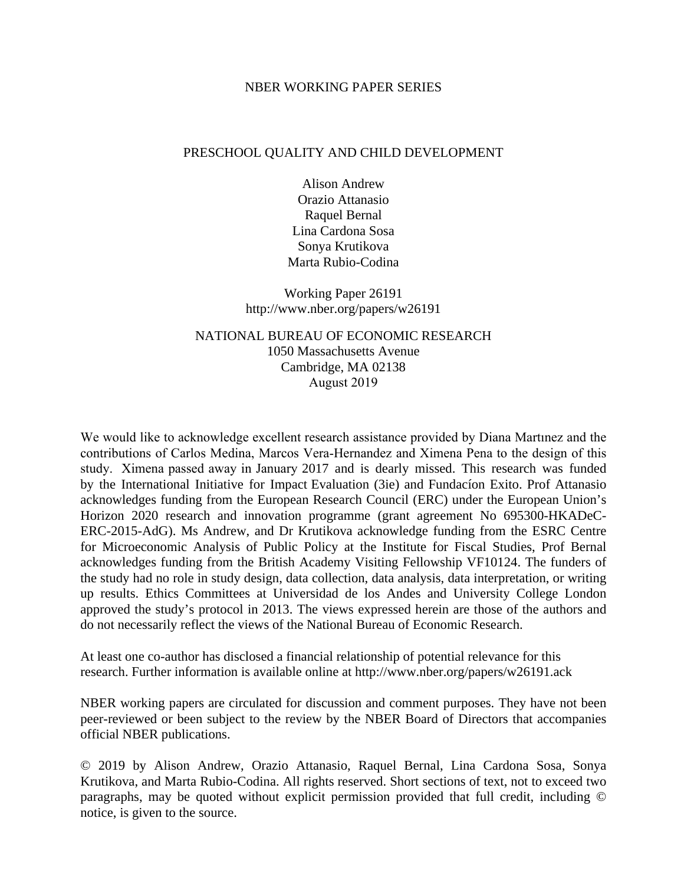## NBER WORKING PAPER SERIES

## PRESCHOOL QUALITY AND CHILD DEVELOPMENT

Alison Andrew Orazio Attanasio Raquel Bernal Lina Cardona Sosa Sonya Krutikova Marta Rubio-Codina

Working Paper 26191 http://www.nber.org/papers/w26191

NATIONAL BUREAU OF ECONOMIC RESEARCH 1050 Massachusetts Avenue Cambridge, MA 02138 August 2019

We would like to acknowledge excellent research assistance provided by Diana Martınez and the contributions of Carlos Medina, Marcos Vera-Hernandez and Ximena Pena to the design of this study. Ximena passed away in January 2017 and is dearly missed. This research was funded by the International Initiative for Impact Evaluation (3ie) and Fundacíon Exito. Prof Attanasio acknowledges funding from the European Research Council (ERC) under the European Union's Horizon 2020 research and innovation programme (grant agreement No 695300-HKADeC-ERC-2015-AdG). Ms Andrew, and Dr Krutikova acknowledge funding from the ESRC Centre for Microeconomic Analysis of Public Policy at the Institute for Fiscal Studies, Prof Bernal acknowledges funding from the British Academy Visiting Fellowship VF10124. The funders of the study had no role in study design, data collection, data analysis, data interpretation, or writing up results. Ethics Committees at Universidad de los Andes and University College London approved the study's protocol in 2013. The views expressed herein are those of the authors and do not necessarily reflect the views of the National Bureau of Economic Research.

At least one co-author has disclosed a financial relationship of potential relevance for this research. Further information is available online at http://www.nber.org/papers/w26191.ack

NBER working papers are circulated for discussion and comment purposes. They have not been peer-reviewed or been subject to the review by the NBER Board of Directors that accompanies official NBER publications.

© 2019 by Alison Andrew, Orazio Attanasio, Raquel Bernal, Lina Cardona Sosa, Sonya Krutikova, and Marta Rubio-Codina. All rights reserved. Short sections of text, not to exceed two paragraphs, may be quoted without explicit permission provided that full credit, including © notice, is given to the source.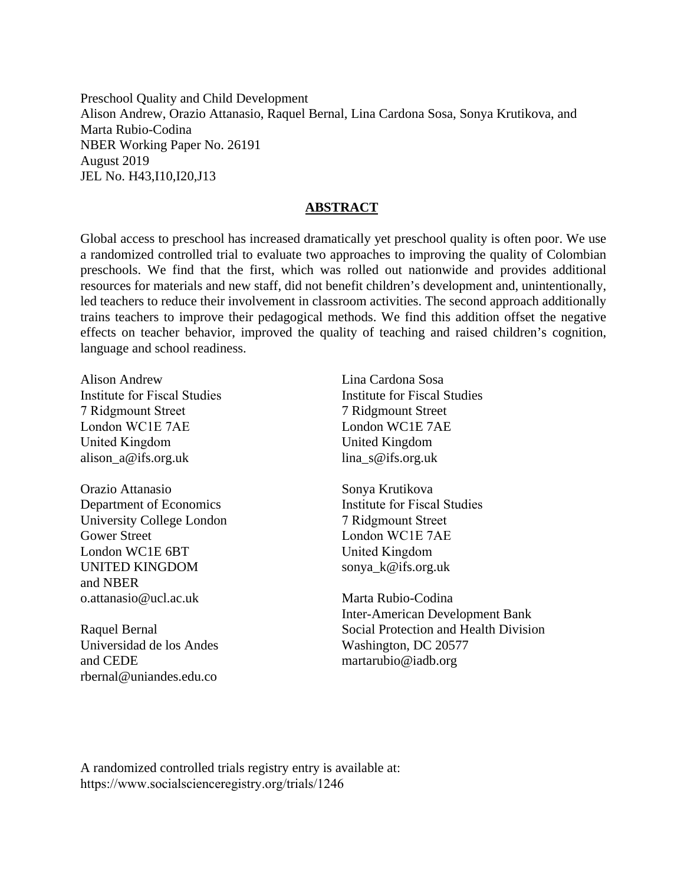Preschool Quality and Child Development Alison Andrew, Orazio Attanasio, Raquel Bernal, Lina Cardona Sosa, Sonya Krutikova, and Marta Rubio-Codina NBER Working Paper No. 26191 August 2019 JEL No. H43,I10,I20,J13

## **ABSTRACT**

Global access to preschool has increased dramatically yet preschool quality is often poor. We use a randomized controlled trial to evaluate two approaches to improving the quality of Colombian preschools. We find that the first, which was rolled out nationwide and provides additional resources for materials and new staff, did not benefit children's development and, unintentionally, led teachers to reduce their involvement in classroom activities. The second approach additionally trains teachers to improve their pedagogical methods. We find this addition offset the negative effects on teacher behavior, improved the quality of teaching and raised children's cognition, language and school readiness.

Alison Andrew Institute for Fiscal Studies 7 Ridgmount Street London WC1E 7AE United Kingdom alison\_a@ifs.org.uk

Orazio Attanasio Department of Economics University College London Gower Street London WC1E 6BT UNITED KINGDOM and NBER o.attanasio@ucl.ac.uk

Raquel Bernal Universidad de los Andes and CEDE rbernal@uniandes.edu.co

Lina Cardona Sosa Institute for Fiscal Studies 7 Ridgmount Street London WC1E 7AE United Kingdom lina\_s@ifs.org.uk

Sonya Krutikova Institute for Fiscal Studies 7 Ridgmount Street London WC1E 7AE United Kingdom sonya\_k@ifs.org.uk

Marta Rubio-Codina Inter-American Development Bank Social Protection and Health Division Washington, DC 20577 martarubio@iadb.org

A randomized controlled trials registry entry is available at: https://www.socialscienceregistry.org/trials/1246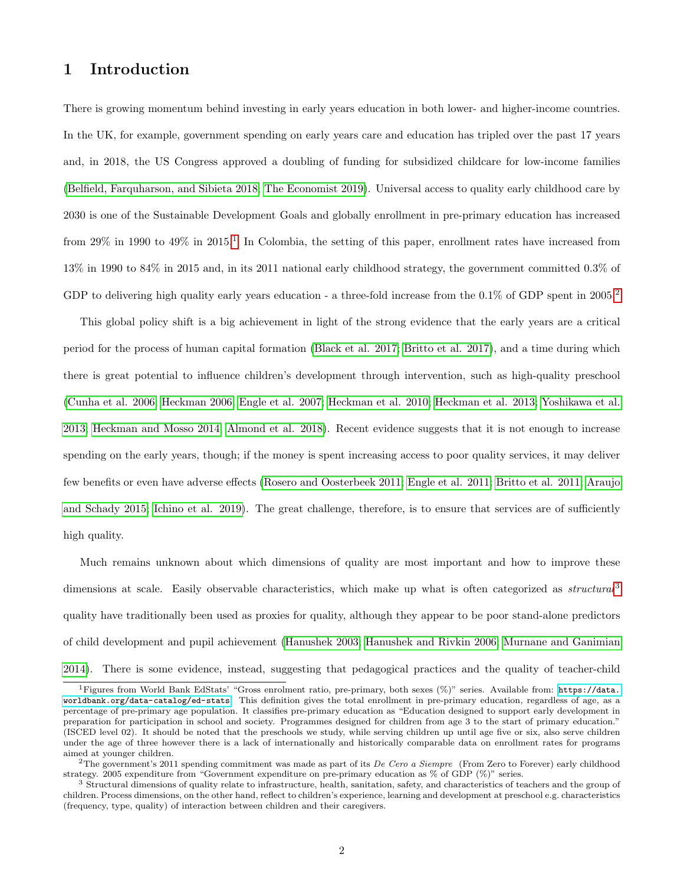# 1 Introduction

There is growing momentum behind investing in early years education in both lower- and higher-income countries. In the UK, for example, government spending on early years care and education has tripled over the past 17 years and, in 2018, the US Congress approved a doubling of funding for subsidized childcare for low-income families [\(Belfield, Farquharson, and Sibieta 2018;](#page-34-0) [The Economist 2019\)](#page-40-0). Universal access to quality early childhood care by 2030 is one of the Sustainable Development Goals and globally enrollment in pre-primary education has increased from 29% in [1](#page--1-0)990 to 49% in 2015.<sup>1</sup> In Colombia, the setting of this paper, enrollment rates have increased from 13% in 1990 to 84% in 2015 and, in its 2011 national early childhood strategy, the government committed 0.3% of GDP to delivering high quality early years education - a three-fold increase from the  $0.1\%$  of GDP spent in [2](#page--1-0)005.<sup>2</sup>

This global policy shift is a big achievement in light of the strong evidence that the early years are a critical period for the process of human capital formation [\(Black et al. 2017;](#page-35-0) [Britto et al. 2017\)](#page-35-1), and a time during which there is great potential to influence children's development through intervention, such as high-quality preschool [\(Cunha et al. 2006;](#page-35-2) [Heckman 2006;](#page-37-0) [Engle et al. 2007;](#page-36-0) [Heckman et al. 2010;](#page-37-1) [Heckman et al. 2013;](#page-37-2) [Yoshikawa et al.](#page-40-1) [2013;](#page-40-1) [Heckman and Mosso 2014;](#page-37-3) [Almond et al. 2018\)](#page-33-0). Recent evidence suggests that it is not enough to increase spending on the early years, though; if the money is spent increasing access to poor quality services, it may deliver few benefits or even have adverse effects [\(Rosero and Oosterbeek 2011;](#page-39-0) [Engle et al. 2011;](#page-36-1) [Britto et al. 2011;](#page-35-3) [Araujo](#page-33-1) [and Schady 2015;](#page-33-1) [Ichino et al. 2019\)](#page-37-4). The great challenge, therefore, is to ensure that services are of sufficiently high quality.

Much remains unknown about which dimensions of quality are most important and how to improve these dimensions at scale. Easily observable characteristics, which make up what is often categorized as *structural*<sup>[3](#page--1-0)</sup> quality have traditionally been used as proxies for quality, although they appear to be poor stand-alone predictors of child development and pupil achievement [\(Hanushek 2003;](#page-37-5) [Hanushek and Rivkin 2006;](#page-37-6) [Murnane and Ganimian](#page-38-0) [2014\)](#page-38-0). There is some evidence, instead, suggesting that pedagogical practices and the quality of teacher-child

<sup>1</sup>Figures from World Bank EdStats' "Gross enrolment ratio, pre-primary, both sexes (%)" series. Available from: [https://data.](https://data.worldbank.org/data-catalog/ed-stats) [worldbank.org/data-catalog/ed-stats](https://data.worldbank.org/data-catalog/ed-stats). This definition gives the total enrollment in pre-primary education, regardless of age, as a percentage of pre-primary age population. It classifies pre-primary education as "Education designed to support early development in preparation for participation in school and society. Programmes designed for children from age 3 to the start of primary education." (ISCED level 02). It should be noted that the preschools we study, while serving children up until age five or six, also serve children under the age of three however there is a lack of internationally and historically comparable data on enrollment rates for programs aimed at younger children.

<sup>&</sup>lt;sup>2</sup>The government's 2011 spending commitment was made as part of its De Cero a Siempre (From Zero to Forever) early childhood strategy. 2005 expenditure from "Government expenditure on pre-primary education as % of GDP (%)" series.

<sup>&</sup>lt;sup>3</sup> Structural dimensions of quality relate to infrastructure, health, sanitation, safety, and characteristics of teachers and the group of children. Process dimensions, on the other hand, reflect to children's experience, learning and development at preschool e.g. characteristics (frequency, type, quality) of interaction between children and their caregivers.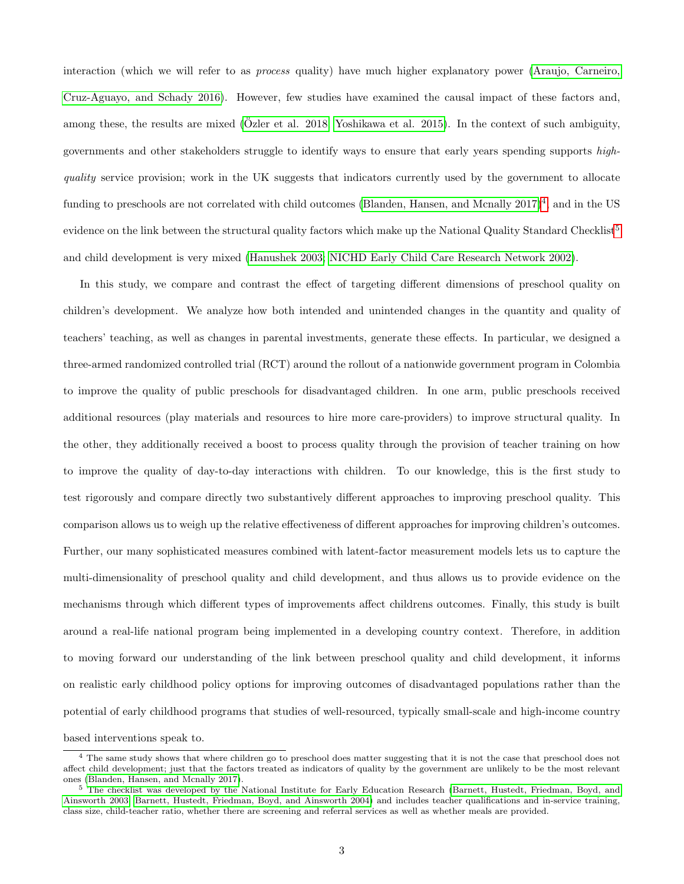interaction (which we will refer to as process quality) have much higher explanatory power [\(Araujo, Carneiro,](#page-33-2) [Cruz-Aguayo, and Schady 2016\)](#page-33-2). However, few studies have examined the causal impact of these factors and, among these, the results are mixed ( $\ddot{O}$ zler et al. 2018; [Yoshikawa et al. 2015\)](#page-40-2). In the context of such ambiguity, governments and other stakeholders struggle to identify ways to ensure that early years spending supports highquality service provision; work in the UK suggests that indicators currently used by the government to allocate funding to preschools are not correlated with child outcomes (Blanden, Hansen, and Mcnally  $2017)^4$  $2017)^4$ , and in the US evidence on the link between the structural quality factors which make up the National Quality Standard Checklist<sup>[5](#page--1-0)</sup> and child development is very mixed [\(Hanushek 2003;](#page-37-5) [NICHD Early Child Care Research Network 2002\)](#page-38-2).

In this study, we compare and contrast the effect of targeting different dimensions of preschool quality on children's development. We analyze how both intended and unintended changes in the quantity and quality of teachers' teaching, as well as changes in parental investments, generate these effects. In particular, we designed a three-armed randomized controlled trial (RCT) around the rollout of a nationwide government program in Colombia to improve the quality of public preschools for disadvantaged children. In one arm, public preschools received additional resources (play materials and resources to hire more care-providers) to improve structural quality. In the other, they additionally received a boost to process quality through the provision of teacher training on how to improve the quality of day-to-day interactions with children. To our knowledge, this is the first study to test rigorously and compare directly two substantively different approaches to improving preschool quality. This comparison allows us to weigh up the relative effectiveness of different approaches for improving children's outcomes. Further, our many sophisticated measures combined with latent-factor measurement models lets us to capture the multi-dimensionality of preschool quality and child development, and thus allows us to provide evidence on the mechanisms through which different types of improvements affect childrens outcomes. Finally, this study is built around a real-life national program being implemented in a developing country context. Therefore, in addition to moving forward our understanding of the link between preschool quality and child development, it informs on realistic early childhood policy options for improving outcomes of disadvantaged populations rather than the potential of early childhood programs that studies of well-resourced, typically small-scale and high-income country based interventions speak to.

<sup>&</sup>lt;sup>4</sup> The same study shows that where children go to preschool does matter suggesting that it is not the case that preschool does not affect child development; just that the factors treated as indicators of quality by the government are unlikely to be the most relevant ones [\(Blanden, Hansen, and Mcnally 2017\)](#page-35-4).

<sup>5</sup> The checklist was developed by the National Institute for Early Education Research [\(Barnett, Hustedt, Friedman, Boyd, and](#page-34-1) [Ainsworth 2003;](#page-34-1) [Barnett, Hustedt, Friedman, Boyd, and Ainsworth 2004\)](#page-34-2) and includes teacher qualifications and in-service training, class size, child-teacher ratio, whether there are screening and referral services as well as whether meals are provided.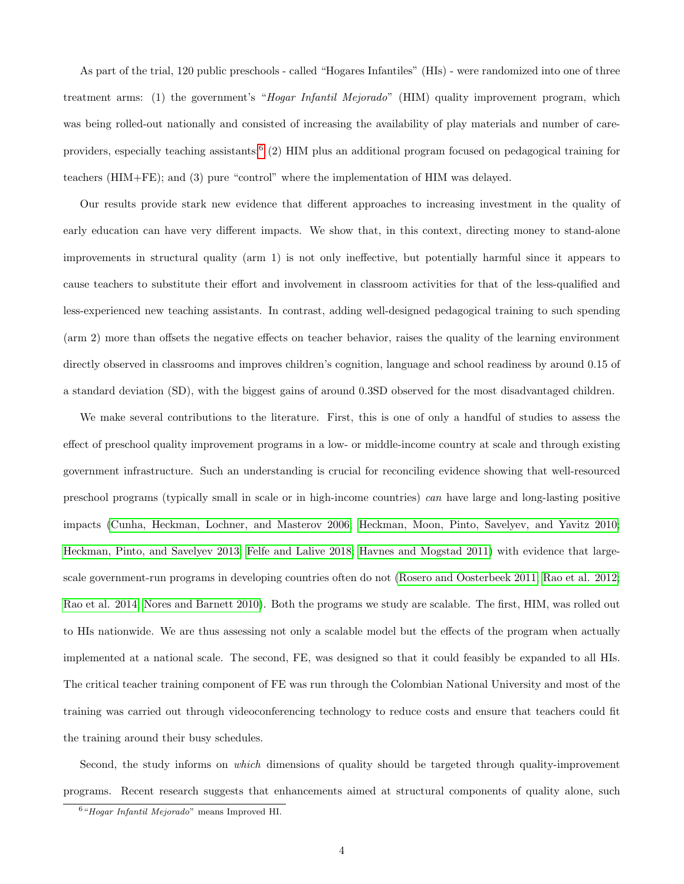As part of the trial, 120 public preschools - called "Hogares Infantiles" (HIs) - were randomized into one of three treatment arms: (1) the government's "Hogar Infantil Mejorado" (HIM) quality improvement program, which was being rolled-out nationally and consisted of increasing the availability of play materials and number of care-providers, especially teaching assistants;<sup>[6](#page--1-0)</sup> (2) HIM plus an additional program focused on pedagogical training for teachers (HIM+FE); and (3) pure "control" where the implementation of HIM was delayed.

Our results provide stark new evidence that different approaches to increasing investment in the quality of early education can have very different impacts. We show that, in this context, directing money to stand-alone improvements in structural quality (arm 1) is not only ineffective, but potentially harmful since it appears to cause teachers to substitute their effort and involvement in classroom activities for that of the less-qualified and less-experienced new teaching assistants. In contrast, adding well-designed pedagogical training to such spending (arm 2) more than offsets the negative effects on teacher behavior, raises the quality of the learning environment directly observed in classrooms and improves children's cognition, language and school readiness by around 0.15 of a standard deviation (SD), with the biggest gains of around 0.3SD observed for the most disadvantaged children.

We make several contributions to the literature. First, this is one of only a handful of studies to assess the effect of preschool quality improvement programs in a low- or middle-income country at scale and through existing government infrastructure. Such an understanding is crucial for reconciling evidence showing that well-resourced preschool programs (typically small in scale or in high-income countries) can have large and long-lasting positive impacts [\(Cunha, Heckman, Lochner, and Masterov 2006;](#page-35-2) [Heckman, Moon, Pinto, Savelyev, and Yavitz 2010;](#page-37-1) [Heckman, Pinto, and Savelyev 2013;](#page-37-2) [Felfe and Lalive 2018;](#page-36-2) [Havnes and Mogstad 2011\)](#page-37-7) with evidence that largescale government-run programs in developing countries often do not [\(Rosero and Oosterbeek 2011;](#page-39-0) [Rao et al. 2012;](#page-39-1) [Rao et al. 2014;](#page-39-2) [Nores and Barnett 2010\)](#page-38-3). Both the programs we study are scalable. The first, HIM, was rolled out to HIs nationwide. We are thus assessing not only a scalable model but the effects of the program when actually implemented at a national scale. The second, FE, was designed so that it could feasibly be expanded to all HIs. The critical teacher training component of FE was run through the Colombian National University and most of the training was carried out through videoconferencing technology to reduce costs and ensure that teachers could fit the training around their busy schedules.

Second, the study informs on which dimensions of quality should be targeted through quality-improvement programs. Recent research suggests that enhancements aimed at structural components of quality alone, such

<sup>6</sup>"Hogar Infantil Mejorado" means Improved HI.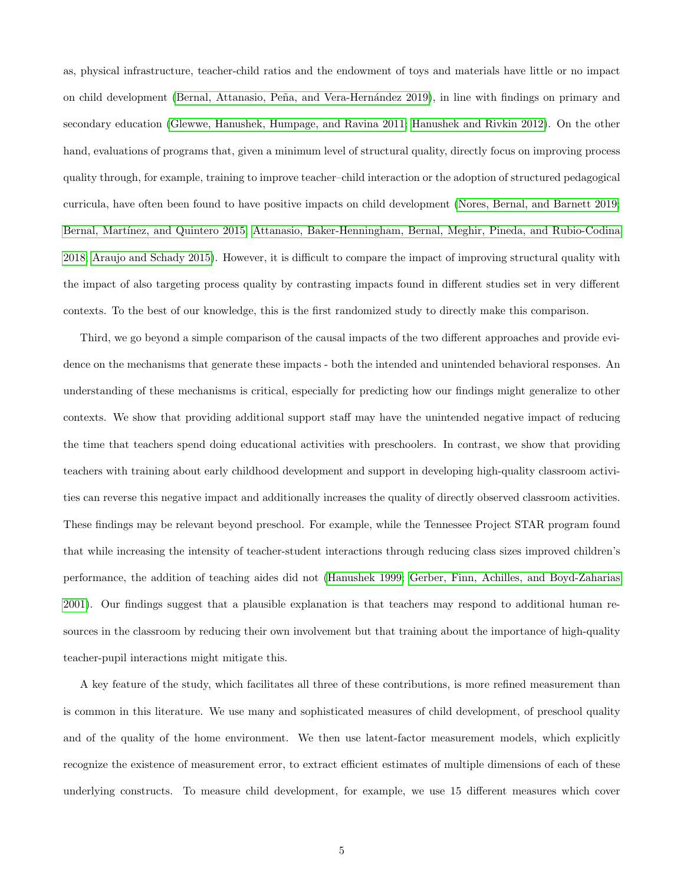as, physical infrastructure, teacher-child ratios and the endowment of toys and materials have little or no impact on child development (Bernal, Attanasio, Peña, and Vera-Hernández 2019), in line with findings on primary and secondary education [\(Glewwe, Hanushek, Humpage, and Ravina 2011;](#page-36-3) [Hanushek and Rivkin 2012\)](#page-37-8). On the other hand, evaluations of programs that, given a minimum level of structural quality, directly focus on improving process quality through, for example, training to improve teacher–child interaction or the adoption of structured pedagogical curricula, have often been found to have positive impacts on child development [\(Nores, Bernal, and Barnett 2019;](#page-38-4) [Bernal, Mart´ınez, and Quintero 2015;](#page-34-4) [Attanasio, Baker-Henningham, Bernal, Meghir, Pineda, and Rubio-Codina](#page-33-3) [2018;](#page-33-3) [Araujo and Schady 2015\)](#page-33-1). However, it is difficult to compare the impact of improving structural quality with the impact of also targeting process quality by contrasting impacts found in different studies set in very different contexts. To the best of our knowledge, this is the first randomized study to directly make this comparison.

Third, we go beyond a simple comparison of the causal impacts of the two different approaches and provide evidence on the mechanisms that generate these impacts - both the intended and unintended behavioral responses. An understanding of these mechanisms is critical, especially for predicting how our findings might generalize to other contexts. We show that providing additional support staff may have the unintended negative impact of reducing the time that teachers spend doing educational activities with preschoolers. In contrast, we show that providing teachers with training about early childhood development and support in developing high-quality classroom activities can reverse this negative impact and additionally increases the quality of directly observed classroom activities. These findings may be relevant beyond preschool. For example, while the Tennessee Project STAR program found that while increasing the intensity of teacher-student interactions through reducing class sizes improved children's performance, the addition of teaching aides did not [\(Hanushek 1999;](#page-37-9) [Gerber, Finn, Achilles, and Boyd-Zaharias](#page-36-4) [2001\)](#page-36-4). Our findings suggest that a plausible explanation is that teachers may respond to additional human resources in the classroom by reducing their own involvement but that training about the importance of high-quality teacher-pupil interactions might mitigate this.

A key feature of the study, which facilitates all three of these contributions, is more refined measurement than is common in this literature. We use many and sophisticated measures of child development, of preschool quality and of the quality of the home environment. We then use latent-factor measurement models, which explicitly recognize the existence of measurement error, to extract efficient estimates of multiple dimensions of each of these underlying constructs. To measure child development, for example, we use 15 different measures which cover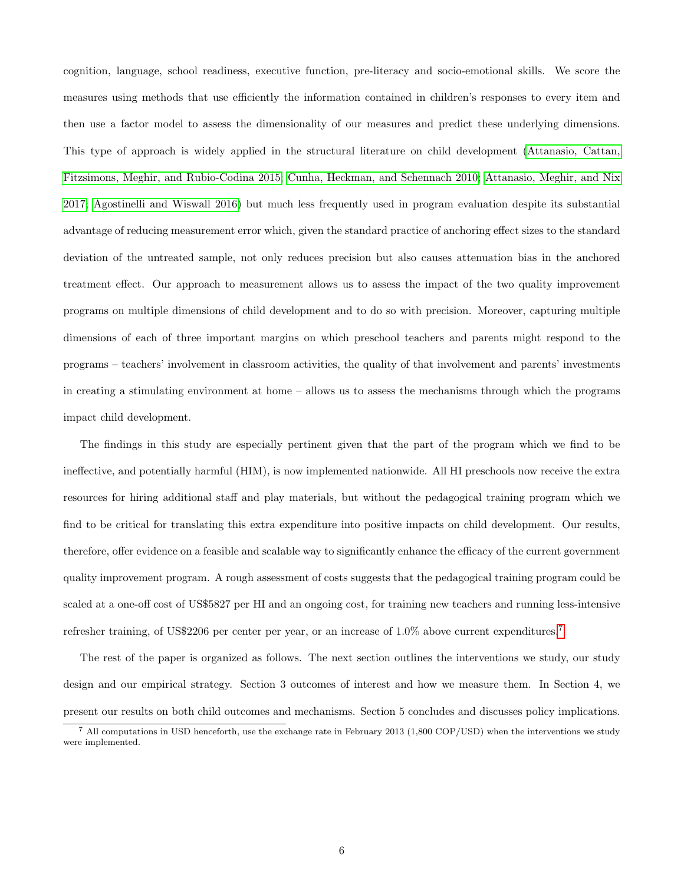cognition, language, school readiness, executive function, pre-literacy and socio-emotional skills. We score the measures using methods that use efficiently the information contained in children's responses to every item and then use a factor model to assess the dimensionality of our measures and predict these underlying dimensions. This type of approach is widely applied in the structural literature on child development [\(Attanasio, Cattan,](#page-33-4) [Fitzsimons, Meghir, and Rubio-Codina 2015;](#page-33-4) [Cunha, Heckman, and Schennach 2010;](#page-35-5) [Attanasio, Meghir, and Nix](#page-34-5) [2017;](#page-34-5) [Agostinelli and Wiswall 2016\)](#page-33-5) but much less frequently used in program evaluation despite its substantial advantage of reducing measurement error which, given the standard practice of anchoring effect sizes to the standard deviation of the untreated sample, not only reduces precision but also causes attenuation bias in the anchored treatment effect. Our approach to measurement allows us to assess the impact of the two quality improvement programs on multiple dimensions of child development and to do so with precision. Moreover, capturing multiple dimensions of each of three important margins on which preschool teachers and parents might respond to the programs – teachers' involvement in classroom activities, the quality of that involvement and parents' investments in creating a stimulating environment at home – allows us to assess the mechanisms through which the programs impact child development.

The findings in this study are especially pertinent given that the part of the program which we find to be ineffective, and potentially harmful (HIM), is now implemented nationwide. All HI preschools now receive the extra resources for hiring additional staff and play materials, but without the pedagogical training program which we find to be critical for translating this extra expenditure into positive impacts on child development. Our results, therefore, offer evidence on a feasible and scalable way to significantly enhance the efficacy of the current government quality improvement program. A rough assessment of costs suggests that the pedagogical training program could be scaled at a one-off cost of US\$5827 per HI and an ongoing cost, for training new teachers and running less-intensive refresher training, of US\$2206 per center per year, or an increase of 1.0% above current expenditures.[7](#page--1-0)

The rest of the paper is organized as follows. The next section outlines the interventions we study, our study design and our empirical strategy. Section 3 outcomes of interest and how we measure them. In Section 4, we present our results on both child outcomes and mechanisms. Section 5 concludes and discusses policy implications.

 $^7$  All computations in USD henceforth, use the exchange rate in February 2013 (1,800 COP/USD) when the interventions we study were implemented.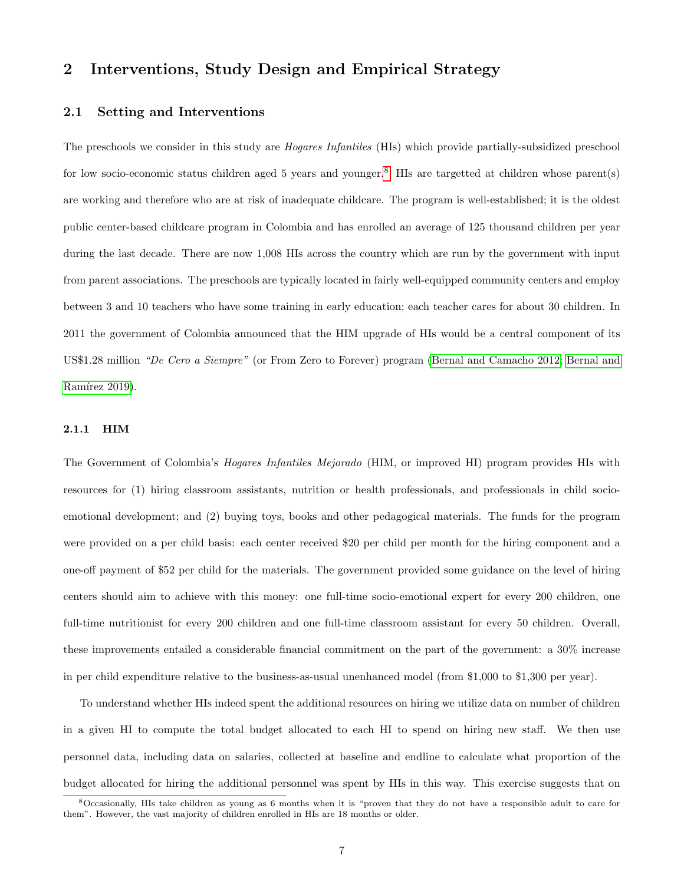# 2 Interventions, Study Design and Empirical Strategy

#### 2.1 Setting and Interventions

The preschools we consider in this study are Hogares Infantiles (HIs) which provide partially-subsidized preschool for low socio-economic status children aged 5 years and younger.[8](#page--1-0) HIs are targetted at children whose parent(s) are working and therefore who are at risk of inadequate childcare. The program is well-established; it is the oldest public center-based childcare program in Colombia and has enrolled an average of 125 thousand children per year during the last decade. There are now 1,008 HIs across the country which are run by the government with input from parent associations. The preschools are typically located in fairly well-equipped community centers and employ between 3 and 10 teachers who have some training in early education; each teacher cares for about 30 children. In 2011 the government of Colombia announced that the HIM upgrade of HIs would be a central component of its US\$1.28 million "De Cero a Siempre" (or From Zero to Forever) program [\(Bernal and Camacho 2012;](#page-34-6) [Bernal and](#page-34-7) Ramírez 2019).

#### 2.1.1 HIM

The Government of Colombia's Hogares Infantiles Mejorado (HIM, or improved HI) program provides HIs with resources for (1) hiring classroom assistants, nutrition or health professionals, and professionals in child socioemotional development; and (2) buying toys, books and other pedagogical materials. The funds for the program were provided on a per child basis: each center received \$20 per child per month for the hiring component and a one-off payment of \$52 per child for the materials. The government provided some guidance on the level of hiring centers should aim to achieve with this money: one full-time socio-emotional expert for every 200 children, one full-time nutritionist for every 200 children and one full-time classroom assistant for every 50 children. Overall, these improvements entailed a considerable financial commitment on the part of the government: a 30% increase in per child expenditure relative to the business-as-usual unenhanced model (from \$1,000 to \$1,300 per year).

To understand whether HIs indeed spent the additional resources on hiring we utilize data on number of children in a given HI to compute the total budget allocated to each HI to spend on hiring new staff. We then use personnel data, including data on salaries, collected at baseline and endline to calculate what proportion of the budget allocated for hiring the additional personnel was spent by HIs in this way. This exercise suggests that on

<sup>8</sup>Occasionally, HIs take children as young as 6 months when it is "proven that they do not have a responsible adult to care for them". However, the vast majority of children enrolled in HIs are 18 months or older.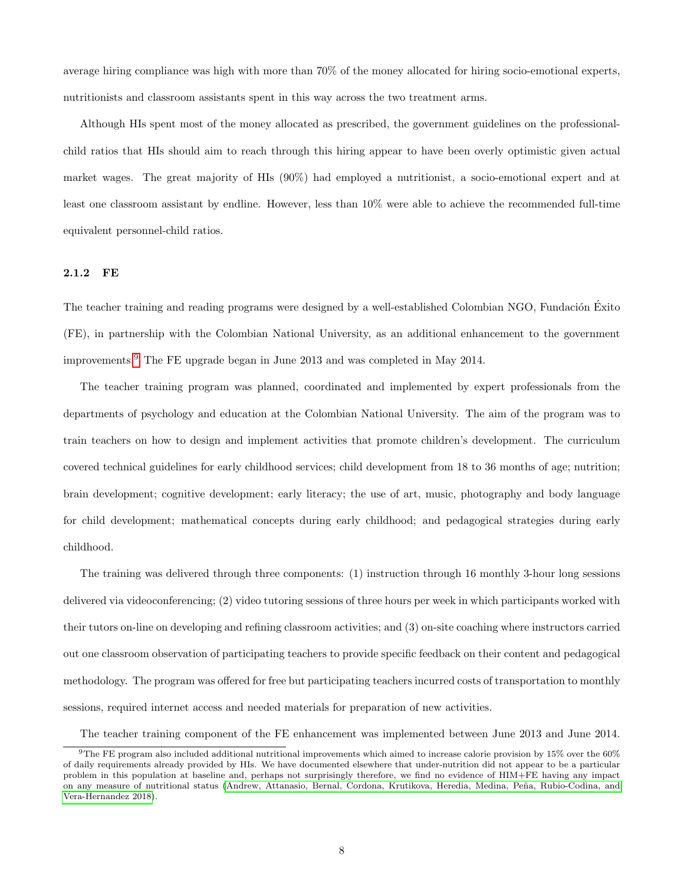average hiring compliance was high with more than 70% of the money allocated for hiring socio-emotional experts, nutritionists and classroom assistants spent in this way across the two treatment arms.

Although HIs spent most of the money allocated as prescribed, the government guidelines on the professionalchild ratios that HIs should aim to reach through this hiring appear to have been overly optimistic given actual market wages. The great majority of HIs (90%) had employed a nutritionist, a socio-emotional expert and at least one classroom assistant by endline. However, less than 10% were able to achieve the recommended full-time equivalent personnel-child ratios.

#### 2.1.2 FE

The teacher training and reading programs were designed by a well-established Colombian NGO, Fundación Exito (FE), in partnership with the Colombian National University, as an additional enhancement to the government improvements.[9](#page--1-0) The FE upgrade began in June 2013 and was completed in May 2014.

The teacher training program was planned, coordinated and implemented by expert professionals from the departments of psychology and education at the Colombian National University. The aim of the program was to train teachers on how to design and implement activities that promote children's development. The curriculum covered technical guidelines for early childhood services; child development from 18 to 36 months of age; nutrition; brain development; cognitive development; early literacy; the use of art, music, photography and body language for child development; mathematical concepts during early childhood; and pedagogical strategies during early childhood.

The training was delivered through three components: (1) instruction through 16 monthly 3-hour long sessions delivered via videoconferencing; (2) video tutoring sessions of three hours per week in which participants worked with their tutors on-line on developing and refining classroom activities; and (3) on-site coaching where instructors carried out one classroom observation of participating teachers to provide specific feedback on their content and pedagogical methodology. The program was offered for free but participating teachers incurred costs of transportation to monthly sessions, required internet access and needed materials for preparation of new activities.

The teacher training component of the FE enhancement was implemented between June 2013 and June 2014.

 $9$ The FE program also included additional nutritional improvements which aimed to increase calorie provision by 15% over the 60% of daily requirements already provided by HIs. We have documented elsewhere that under-nutrition did not appear to be a particular problem in this population at baseline and, perhaps not surprisingly therefore, we find no evidence of HIM+FE having any impact on any measure of nutritional status (Andrew, Attanasio, Bernal, Cordona, Krutikova, Heredia, Medina, Peña, Rubio-Codina, and [Vera-Hernandez 2018\)](#page-33-6).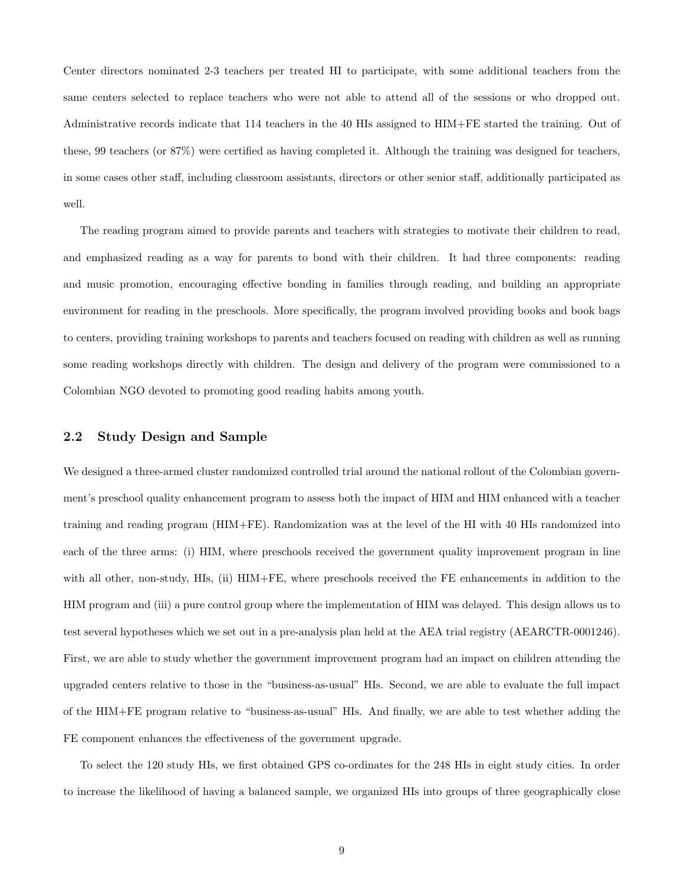Center directors nominated 2-3 teachers per treated HI to participate, with some additional teachers from the same centers selected to replace teachers who were not able to attend all of the sessions or who dropped out. Administrative records indicate that 114 teachers in the 40 HIs assigned to HIM+FE started the training. Out of these, 99 teachers (or 87%) were certified as having completed it. Although the training was designed for teachers, in some cases other staff, including classroom assistants, directors or other senior staff, additionally participated as well.

The reading program aimed to provide parents and teachers with strategies to motivate their children to read, and emphasized reading as a way for parents to bond with their children. It had three components: reading and music promotion, encouraging effective bonding in families through reading, and building an appropriate environment for reading in the preschools. More specifically, the program involved providing books and book bags to centers, providing training workshops to parents and teachers focused on reading with children as well as running some reading workshops directly with children. The design and delivery of the program were commissioned to a Colombian NGO devoted to promoting good reading habits among youth.

## 2.2 Study Design and Sample

We designed a three-armed cluster randomized controlled trial around the national rollout of the Colombian government's preschool quality enhancement program to assess both the impact of HIM and HIM enhanced with a teacher training and reading program (HIM+FE). Randomization was at the level of the HI with 40 HIs randomized into each of the three arms: (i) HIM, where preschools received the government quality improvement program in line with all other, non-study, HIs, (ii) HIM+FE, where preschools received the FE enhancements in addition to the HIM program and (iii) a pure control group where the implementation of HIM was delayed. This design allows us to test several hypotheses which we set out in a pre-analysis plan held at the AEA trial registry (AEARCTR-0001246). First, we are able to study whether the government improvement program had an impact on children attending the upgraded centers relative to those in the "business-as-usual" HIs. Second, we are able to evaluate the full impact of the HIM+FE program relative to "business-as-usual" HIs. And finally, we are able to test whether adding the FE component enhances the effectiveness of the government upgrade.

To select the 120 study HIs, we first obtained GPS co-ordinates for the 248 HIs in eight study cities. In order to increase the likelihood of having a balanced sample, we organized HIs into groups of three geographically close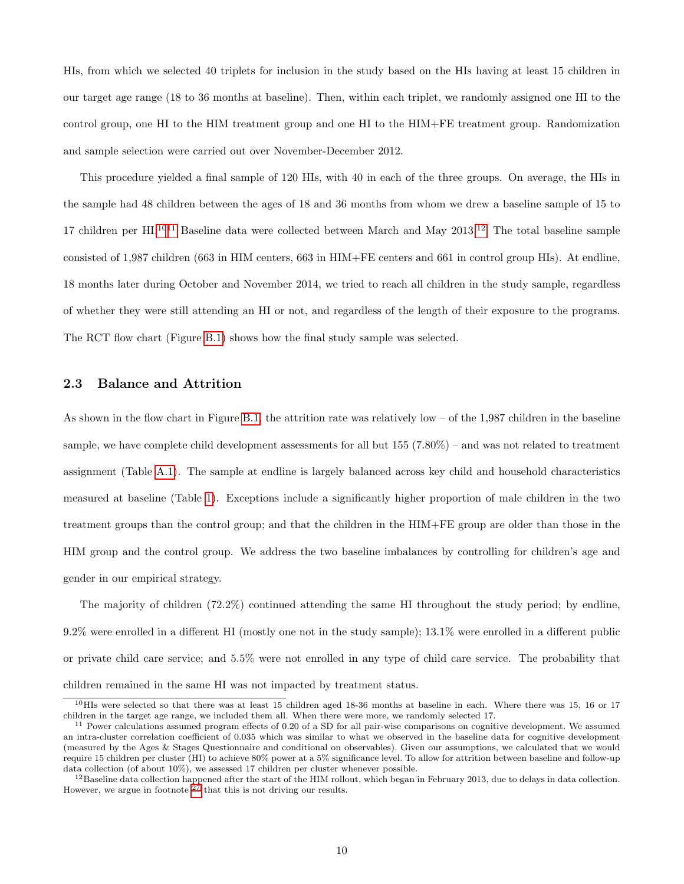HIs, from which we selected 40 triplets for inclusion in the study based on the HIs having at least 15 children in our target age range (18 to 36 months at baseline). Then, within each triplet, we randomly assigned one HI to the control group, one HI to the HIM treatment group and one HI to the HIM+FE treatment group. Randomization and sample selection were carried out over November-December 2012.

This procedure yielded a final sample of 120 HIs, with 40 in each of the three groups. On average, the HIs in the sample had 48 children between the ages of 18 and 36 months from whom we drew a baseline sample of 15 to 17 children per HI.<sup>[1011](#page--1-0)</sup> Baseline data were collected between March and May 2013.<sup>[12](#page--1-0)</sup> The total baseline sample consisted of 1,987 children (663 in HIM centers, 663 in HIM+FE centers and 661 in control group HIs). At endline, 18 months later during October and November 2014, we tried to reach all children in the study sample, regardless of whether they were still attending an HI or not, and regardless of the length of their exposure to the programs. The RCT flow chart (Figure [B.1\)](#page-52-0) shows how the final study sample was selected.

## 2.3 Balance and Attrition

As shown in the flow chart in Figure [B.1,](#page-52-0) the attrition rate was relatively low – of the 1,987 children in the baseline sample, we have complete child development assessments for all but 155 (7.80%) – and was not related to treatment assignment (Table [A.1\)](#page-42-0). The sample at endline is largely balanced across key child and household characteristics measured at baseline (Table [1\)](#page-11-0). Exceptions include a significantly higher proportion of male children in the two treatment groups than the control group; and that the children in the HIM+FE group are older than those in the HIM group and the control group. We address the two baseline imbalances by controlling for children's age and gender in our empirical strategy.

The majority of children (72.2%) continued attending the same HI throughout the study period; by endline, 9.2% were enrolled in a different HI (mostly one not in the study sample); 13.1% were enrolled in a different public or private child care service; and 5.5% were not enrolled in any type of child care service. The probability that children remained in the same HI was not impacted by treatment status.

<sup>10</sup>HIs were selected so that there was at least 15 children aged 18-36 months at baseline in each. Where there was 15, 16 or 17 children in the target age range, we included them all. When there were more, we randomly selected 17.

 $11$  Power calculations assumed program effects of 0.20 of a SD for all pair-wise comparisons on cognitive development. We assumed an intra-cluster correlation coefficient of 0.035 which was similar to what we observed in the baseline data for cognitive development (measured by the Ages & Stages Questionnaire and conditional on observables). Given our assumptions, we calculated that we would require 15 children per cluster (HI) to achieve 80% power at a 5% significance level. To allow for attrition between baseline and follow-up data collection (of about 10%), we assessed 17 children per cluster whenever possible.

 $^{12}$ Baseline data collection happened after the start of the HIM rollout, which began in February 2013, due to delays in data collection. However, we argue in footnote <sup>[27](#page--1-0)</sup> that this is not driving our results.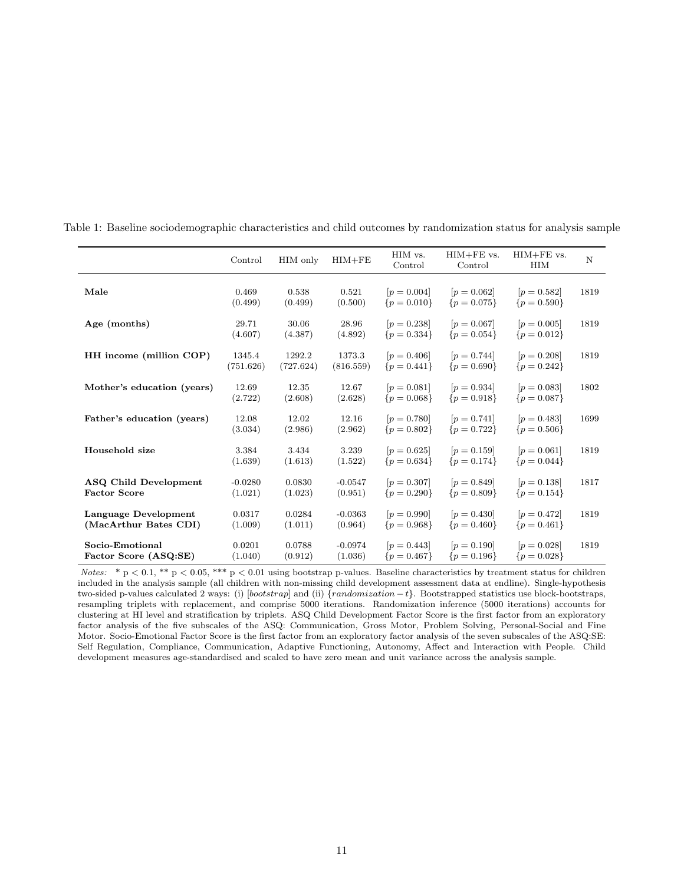<span id="page-11-0"></span>

|                                               | Control              | HIM only            | $HIM + FE$           | HIM vs.<br>Control             | $HIM + FE$ vs.<br>Control      | $HIM + FE$ vs.<br><b>HIM</b>   | N    |
|-----------------------------------------------|----------------------|---------------------|----------------------|--------------------------------|--------------------------------|--------------------------------|------|
| Male                                          | 0.469<br>(0.499)     | 0.538<br>(0.499)    | 0.521<br>(0.500)     | $[p = 0.004]$<br>$\{p=0.010\}$ | $[p = 0.062]$<br>${p = 0.075}$ | $[p = 0.582]$<br>${p = 0.590}$ | 1819 |
| Age (months)                                  | 29.71<br>(4.607)     | 30.06<br>(4.387)    | 28.96<br>(4.892)     | $[p = 0.238]$<br>${p = 0.334}$ | $[p = 0.067]$<br>$\{p=0.054\}$ | $[p = 0.005]$<br>$\{p=0.012\}$ | 1819 |
| HH income (million COP)                       | 1345.4<br>(751.626)  | 1292.2<br>(727.624) | 1373.3<br>(816.559)  | $[p = 0.406]$<br>$\{p=0.441\}$ | $[p = 0.744]$<br>${p = 0.690}$ | $[p = 0.208]$<br>${p = 0.242}$ | 1819 |
| Mother's education (years)                    | 12.69<br>(2.722)     | 12.35<br>(2.608)    | 12.67<br>(2.628)     | $[p = 0.081]$<br>${p = 0.068}$ | $[p = 0.934]$<br>${p = 0.918}$ | $[p = 0.083]$<br>${p = 0.087}$ | 1802 |
| Father's education (years)                    | 12.08<br>(3.034)     | 12.02<br>(2.986)    | 12.16<br>(2.962)     | $[p = 0.780]$<br>${p = 0.802}$ | $[p = 0.741]$<br>${p = 0.722}$ | $[p = 0.483]$<br>${p = 0.506}$ | 1699 |
| Household size                                | 3.384<br>(1.639)     | 3.434<br>(1.613)    | 3.239<br>(1.522)     | $[p = 0.625]$<br>${p = 0.634}$ | $[p = 0.159]$<br>${p = 0.174}$ | $[p = 0.061]$<br>$\{p=0.044\}$ | 1819 |
| ASQ Child Development<br><b>Factor Score</b>  | $-0.0280$<br>(1.021) | 0.0830<br>(1.023)   | $-0.0547$<br>(0.951) | $[p = 0.307]$<br>${p = 0.290}$ | $[p = 0.849]$<br>${p = 0.809}$ | $[p = 0.138]$<br>${p = 0.154}$ | 1817 |
| Language Development<br>(MacArthur Bates CDI) | 0.0317<br>(1.009)    | 0.0284<br>(1.011)   | $-0.0363$<br>(0.964) | $[p = 0.990]$<br>${p = 0.968}$ | $[p = 0.430]$<br>$\{p=0.460\}$ | $[p = 0.472]$<br>${p = 0.461}$ | 1819 |
| Socio-Emotional<br>Factor Score (ASQ:SE)      | 0.0201<br>(1.040)    | 0.0788<br>(0.912)   | $-0.0974$<br>(1.036) | $[p = 0.443]$<br>${p = 0.467}$ | $[p = 0.190]$<br>${p = 0.196}$ | $[p = 0.028]$<br>${p = 0.028}$ | 1819 |

Table 1: Baseline sociodemographic characteristics and child outcomes by randomization status for analysis sample

Notes: \* p < 0.1, \*\* p < 0.05, \*\*\* p < 0.01 using bootstrap p-values. Baseline characteristics by treatment status for children included in the analysis sample (all children with non-missing child development assessment data at endline). Single-hypothesis two-sided p-values calculated 2 ways: (i) [bootstrap] and (ii)  $\{randomization - t\}$ . Bootstrapped statistics use block-bootstraps, resampling triplets with replacement, and comprise 5000 iterations. Randomization inference (5000 iterations) accounts for clustering at HI level and stratification by triplets. ASQ Child Development Factor Score is the first factor from an exploratory factor analysis of the five subscales of the ASQ: Communication, Gross Motor, Problem Solving, Personal-Social and Fine Motor. Socio-Emotional Factor Score is the first factor from an exploratory factor analysis of the seven subscales of the ASQ:SE: Self Regulation, Compliance, Communication, Adaptive Functioning, Autonomy, Affect and Interaction with People. Child development measures age-standardised and scaled to have zero mean and unit variance across the analysis sample.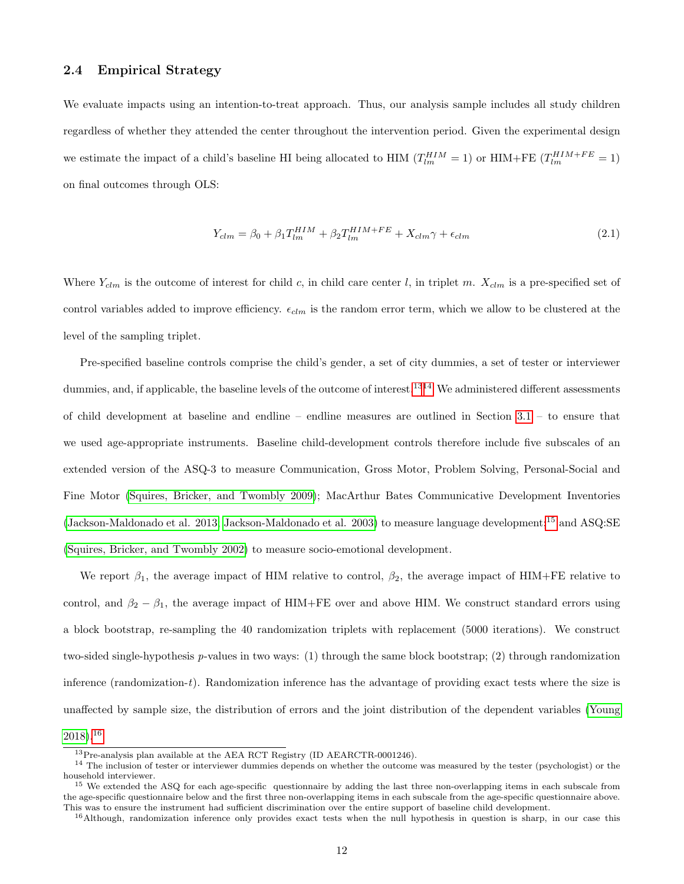### <span id="page-12-0"></span>2.4 Empirical Strategy

We evaluate impacts using an intention-to-treat approach. Thus, our analysis sample includes all study children regardless of whether they attended the center throughout the intervention period. Given the experimental design we estimate the impact of a child's baseline HI being allocated to HIM  $(T_{lm}^{HIM} = 1)$  or HIM+FE  $(T_{lm}^{HIM + FE} = 1)$ on final outcomes through OLS:

$$
Y_{clm} = \beta_0 + \beta_1 T_{lm}^{HIM} + \beta_2 T_{lm}^{HIM + FE} + X_{clm} \gamma + \epsilon_{clm}
$$
\n(2.1)

Where  $Y_{clm}$  is the outcome of interest for child c, in child care center l, in triplet m.  $X_{clm}$  is a pre-specified set of control variables added to improve efficiency.  $\epsilon_{elm}$  is the random error term, which we allow to be clustered at the level of the sampling triplet.

Pre-specified baseline controls comprise the child's gender, a set of city dummies, a set of tester or interviewer dummies, and, if applicable, the baseline levels of the outcome of interest.<sup>[1314](#page--1-0)</sup> We administered different assessments of child development at baseline and endline – endline measures are outlined in Section [3.1](#page-14-0) – to ensure that we used age-appropriate instruments. Baseline child-development controls therefore include five subscales of an extended version of the ASQ-3 to measure Communication, Gross Motor, Problem Solving, Personal-Social and Fine Motor [\(Squires, Bricker, and Twombly 2009\)](#page-39-3); MacArthur Bates Communicative Development Inventories [\(Jackson-Maldonado et al. 2013;](#page-38-5) [Jackson-Maldonado et al. 2003\)](#page-38-6) to measure language development;[15](#page--1-0) and ASQ:SE [\(Squires, Bricker, and Twombly 2002\)](#page-39-4) to measure socio-emotional development.

We report  $\beta_1$ , the average impact of HIM relative to control,  $\beta_2$ , the average impact of HIM+FE relative to control, and  $\beta_2 - \beta_1$ , the average impact of HIM+FE over and above HIM. We construct standard errors using a block bootstrap, re-sampling the 40 randomization triplets with replacement (5000 iterations). We construct two-sided single-hypothesis p-values in two ways: (1) through the same block bootstrap; (2) through randomization inference (randomization-t). Randomization inference has the advantage of providing exact tests where the size is unaffected by sample size, the distribution of errors and the joint distribution of the dependent variables [\(Young](#page-40-3)  $2018$ ).<sup>[16](#page--1-0)</sup>

<sup>&</sup>lt;sup>13</sup>Pre-analysis plan available at the AEA RCT Registry (ID AEARCTR-0001246).

<sup>&</sup>lt;sup>14</sup> The inclusion of tester or interviewer dummies depends on whether the outcome was measured by the tester (psychologist) or the household interviewer.

<sup>&</sup>lt;sup>15</sup> We extended the ASQ for each age-specific questionnaire by adding the last three non-overlapping items in each subscale from the age-specific questionnaire below and the first three non-overlapping items in each subscale from the age-specific questionnaire above. This was to ensure the instrument had sufficient discrimination over the entire support of baseline child development.

<sup>&</sup>lt;sup>16</sup>Although, randomization inference only provides exact tests when the null hypothesis in question is sharp, in our case this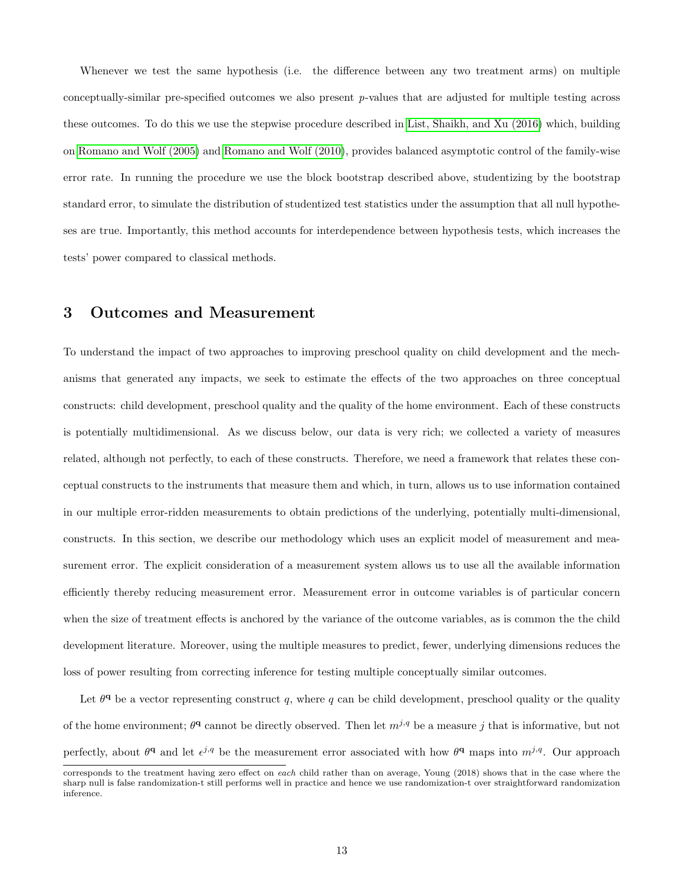Whenever we test the same hypothesis (i.e. the difference between any two treatment arms) on multiple conceptually-similar pre-specified outcomes we also present  $p$ -values that are adjusted for multiple testing across these outcomes. To do this we use the stepwise procedure described in [List, Shaikh, and Xu \(2016\)](#page-38-7) which, building on [Romano and Wolf \(2005\)](#page-39-5) and [Romano and Wolf \(2010\)](#page-39-6), provides balanced asymptotic control of the family-wise error rate. In running the procedure we use the block bootstrap described above, studentizing by the bootstrap standard error, to simulate the distribution of studentized test statistics under the assumption that all null hypotheses are true. Importantly, this method accounts for interdependence between hypothesis tests, which increases the tests' power compared to classical methods.

## <span id="page-13-0"></span>3 Outcomes and Measurement

To understand the impact of two approaches to improving preschool quality on child development and the mechanisms that generated any impacts, we seek to estimate the effects of the two approaches on three conceptual constructs: child development, preschool quality and the quality of the home environment. Each of these constructs is potentially multidimensional. As we discuss below, our data is very rich; we collected a variety of measures related, although not perfectly, to each of these constructs. Therefore, we need a framework that relates these conceptual constructs to the instruments that measure them and which, in turn, allows us to use information contained in our multiple error-ridden measurements to obtain predictions of the underlying, potentially multi-dimensional, constructs. In this section, we describe our methodology which uses an explicit model of measurement and measurement error. The explicit consideration of a measurement system allows us to use all the available information efficiently thereby reducing measurement error. Measurement error in outcome variables is of particular concern when the size of treatment effects is anchored by the variance of the outcome variables, as is common the the child development literature. Moreover, using the multiple measures to predict, fewer, underlying dimensions reduces the loss of power resulting from correcting inference for testing multiple conceptually similar outcomes.

Let  $\theta^q$  be a vector representing construct q, where q can be child development, preschool quality or the quality of the home environment;  $\theta^q$  cannot be directly observed. Then let  $m^{j,q}$  be a measure j that is informative, but not perfectly, about  $\theta^q$  and let  $\epsilon^{j,q}$  be the measurement error associated with how  $\theta^q$  maps into  $m^{j,q}$ . Our approach

corresponds to the treatment having zero effect on each child rather than on average, Young (2018) shows that in the case where the sharp null is false randomization-t still performs well in practice and hence we use randomization-t over straightforward randomization inference.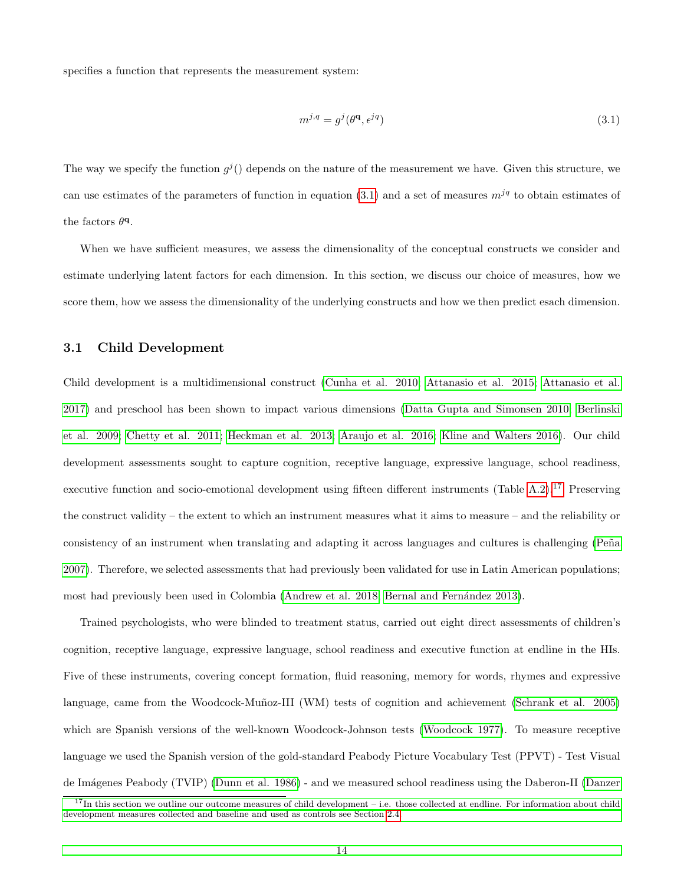specifies a function that represents the measurement system:

<span id="page-14-1"></span>
$$
m^{j,q} = g^j(\theta^{\mathbf{q}}, \epsilon^{jq}) \tag{3.1}
$$

The way we specify the function  $g^{j}$  depends on the nature of the measurement we have. Given this structure, we can use estimates of the parameters of function in equation [\(3.1\)](#page-14-1) and a set of measures  $m^{jq}$  to obtain estimates of the factors  $\theta^{\mathbf{q}}$ .

When we have sufficient measures, we assess the dimensionality of the conceptual constructs we consider and estimate underlying latent factors for each dimension. In this section, we discuss our choice of measures, how we score them, how we assess the dimensionality of the underlying constructs and how we then predict esach dimension.

## <span id="page-14-0"></span>3.1 Child Development

Child development is a multidimensional construct [\(Cunha et al. 2010;](#page-35-5) [Attanasio et al. 2015;](#page-33-4) [Attanasio et al.](#page-34-5) [2017\)](#page-34-5) and preschool has been shown to impact various dimensions [\(Datta Gupta and Simonsen 2010;](#page-36-5) [Berlinski](#page-34-8) [et al. 2009;](#page-34-8) [Chetty et al. 2011;](#page-35-6) [Heckman et al. 2013;](#page-37-2) [Araujo et al. 2016;](#page-33-2) [Kline and Walters 2016\)](#page-38-8). Our child development assessments sought to capture cognition, receptive language, expressive language, school readiness, executive function and socio-emotional development using fifteen different instruments (Table [A.2\)](#page-43-0).<sup>[17](#page--1-0)</sup> Preserving the construct validity – the extent to which an instrument measures what it aims to measure – and the reliability or consistency of an instrument when translating and adapting it across languages and cultures is challenging (Peña [2007\)](#page-39-7). Therefore, we selected assessments that had previously been validated for use in Latin American populations; most had previously been used in Colombia [\(Andrew et al. 2018;](#page-33-7) Bernal and Fernández 2013).

Trained psychologists, who were blinded to treatment status, carried out eight direct assessments of children's cognition, receptive language, expressive language, school readiness and executive function at endline in the HIs. Five of these instruments, covering concept formation, fluid reasoning, memory for words, rhymes and expressive language, came from the Woodcock-Muñoz-III (WM) tests of cognition and achievement [\(Schrank et al. 2005\)](#page-39-8) which are Spanish versions of the well-known Woodcock-Johnson tests [\(Woodcock 1977\)](#page-40-4). To measure receptive language we used the Spanish version of the gold-standard Peabody Picture Vocabulary Test (PPVT) - Test Visual de Im´agenes Peabody (TVIP) [\(Dunn et al. 1986\)](#page-36-6) - and we measured school readiness using the Daberon-II [\(Danzer](#page-35-7)

 $17$ [In this section we outline our outcome measures of child development – i.e. those collected at endline. For information about child](#page-35-7) [development measures collected and baseline and used as controls see Section 2.4.](#page-35-7)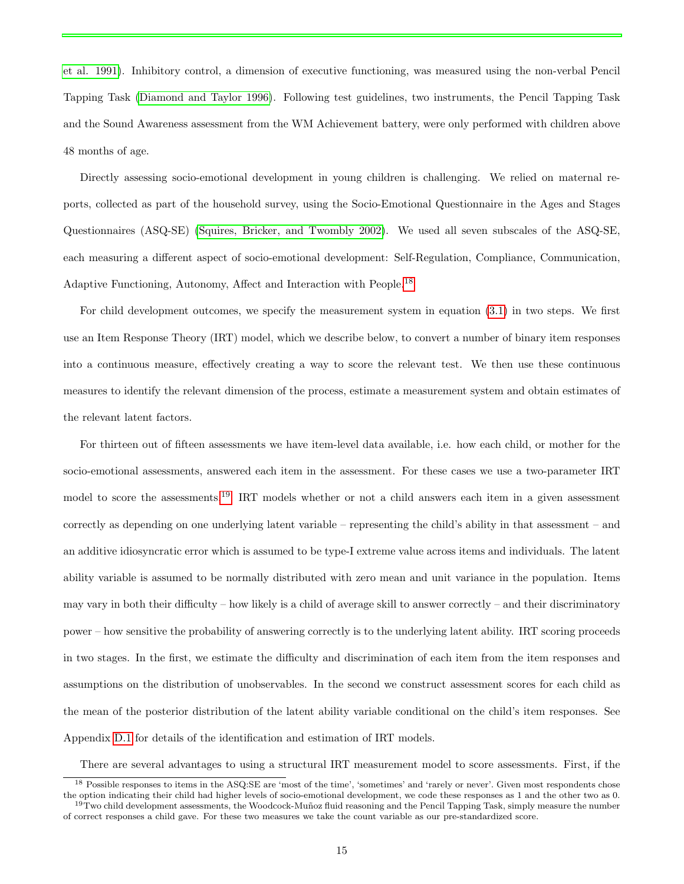[et al. 1991\)](#page-35-7). Inhibitory control, a dimension of executive functioning, was measured using the non-verbal Pencil Tapping Task [\(Diamond and Taylor 1996\)](#page-36-7). Following test guidelines, two instruments, the Pencil Tapping Task and the Sound Awareness assessment from the WM Achievement battery, were only performed with children above 48 months of age.

Directly assessing socio-emotional development in young children is challenging. We relied on maternal reports, collected as part of the household survey, using the Socio-Emotional Questionnaire in the Ages and Stages Questionnaires (ASQ-SE) [\(Squires, Bricker, and Twombly 2002\)](#page-39-4). We used all seven subscales of the ASQ-SE, each measuring a different aspect of socio-emotional development: Self-Regulation, Compliance, Communication, Adaptive Functioning, Autonomy, Affect and Interaction with People.[18](#page--1-0)

For child development outcomes, we specify the measurement system in equation [\(3.1\)](#page-14-1) in two steps. We first use an Item Response Theory (IRT) model, which we describe below, to convert a number of binary item responses into a continuous measure, effectively creating a way to score the relevant test. We then use these continuous measures to identify the relevant dimension of the process, estimate a measurement system and obtain estimates of the relevant latent factors.

For thirteen out of fifteen assessments we have item-level data available, i.e. how each child, or mother for the socio-emotional assessments, answered each item in the assessment. For these cases we use a two-parameter IRT model to score the assessments.[19](#page--1-0) IRT models whether or not a child answers each item in a given assessment correctly as depending on one underlying latent variable – representing the child's ability in that assessment – and an additive idiosyncratic error which is assumed to be type-I extreme value across items and individuals. The latent ability variable is assumed to be normally distributed with zero mean and unit variance in the population. Items may vary in both their difficulty – how likely is a child of average skill to answer correctly – and their discriminatory power – how sensitive the probability of answering correctly is to the underlying latent ability. IRT scoring proceeds in two stages. In the first, we estimate the difficulty and discrimination of each item from the item responses and assumptions on the distribution of unobservables. In the second we construct assessment scores for each child as the mean of the posterior distribution of the latent ability variable conditional on the child's item responses. See Appendix [D.1](#page-56-0) for details of the identification and estimation of IRT models.

There are several advantages to using a structural IRT measurement model to score assessments. First, if the

<sup>&</sup>lt;sup>18</sup> Possible responses to items in the ASQ:SE are 'most of the time', 'sometimes' and 'rarely or never'. Given most respondents chose the option indicating their child had higher levels of socio-emotional development, we code these responses as 1 and the other two as 0. <sup>19</sup>Two child development assessments, the Woodcock-Muñoz fluid reasoning and the Pencil Tapping Task, simply measure the number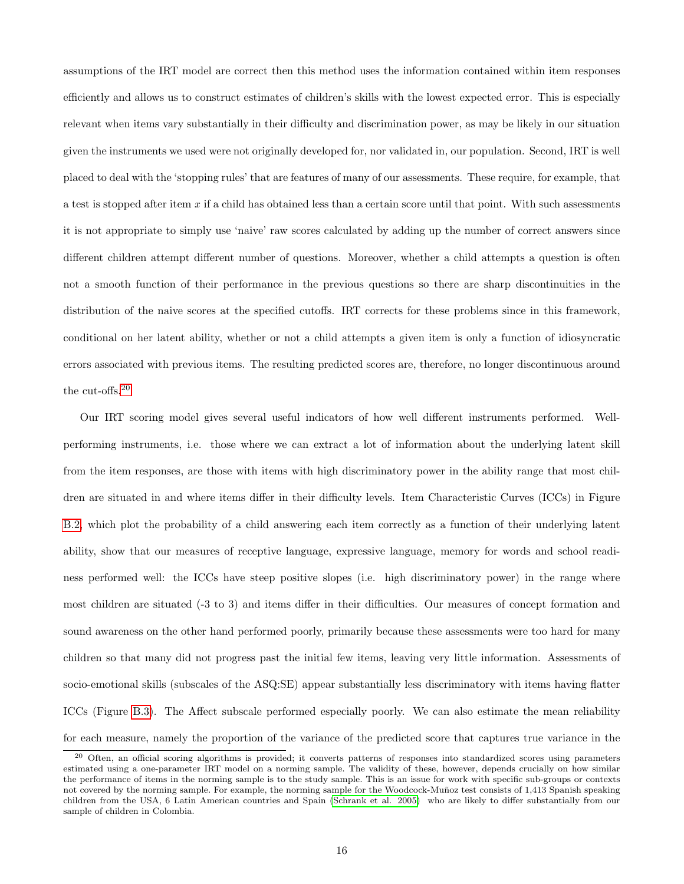assumptions of the IRT model are correct then this method uses the information contained within item responses efficiently and allows us to construct estimates of children's skills with the lowest expected error. This is especially relevant when items vary substantially in their difficulty and discrimination power, as may be likely in our situation given the instruments we used were not originally developed for, nor validated in, our population. Second, IRT is well placed to deal with the 'stopping rules' that are features of many of our assessments. These require, for example, that a test is stopped after item  $x$  if a child has obtained less than a certain score until that point. With such assessments it is not appropriate to simply use 'naive' raw scores calculated by adding up the number of correct answers since different children attempt different number of questions. Moreover, whether a child attempts a question is often not a smooth function of their performance in the previous questions so there are sharp discontinuities in the distribution of the naive scores at the specified cutoffs. IRT corrects for these problems since in this framework, conditional on her latent ability, whether or not a child attempts a given item is only a function of idiosyncratic errors associated with previous items. The resulting predicted scores are, therefore, no longer discontinuous around the cut-offs.[20](#page--1-0)

Our IRT scoring model gives several useful indicators of how well different instruments performed. Wellperforming instruments, i.e. those where we can extract a lot of information about the underlying latent skill from the item responses, are those with items with high discriminatory power in the ability range that most children are situated in and where items differ in their difficulty levels. Item Characteristic Curves (ICCs) in Figure [B.2,](#page-53-0) which plot the probability of a child answering each item correctly as a function of their underlying latent ability, show that our measures of receptive language, expressive language, memory for words and school readiness performed well: the ICCs have steep positive slopes (i.e. high discriminatory power) in the range where most children are situated (-3 to 3) and items differ in their difficulties. Our measures of concept formation and sound awareness on the other hand performed poorly, primarily because these assessments were too hard for many children so that many did not progress past the initial few items, leaving very little information. Assessments of socio-emotional skills (subscales of the ASQ:SE) appear substantially less discriminatory with items having flatter ICCs (Figure [B.3\)](#page-54-0). The Affect subscale performed especially poorly. We can also estimate the mean reliability for each measure, namely the proportion of the variance of the predicted score that captures true variance in the

<sup>&</sup>lt;sup>20</sup> Often, an official scoring algorithms is provided; it converts patterns of responses into standardized scores using parameters estimated using a one-parameter IRT model on a norming sample. The validity of these, however, depends crucially on how similar the performance of items in the norming sample is to the study sample. This is an issue for work with specific sub-groups or contexts not covered by the norming sample. For example, the norming sample for the Woodcock-Muñoz test consists of 1,413 Spanish speaking children from the USA, 6 Latin American countries and Spain [\(Schrank et al. 2005\)](#page-39-8) who are likely to differ substantially from our sample of children in Colombia.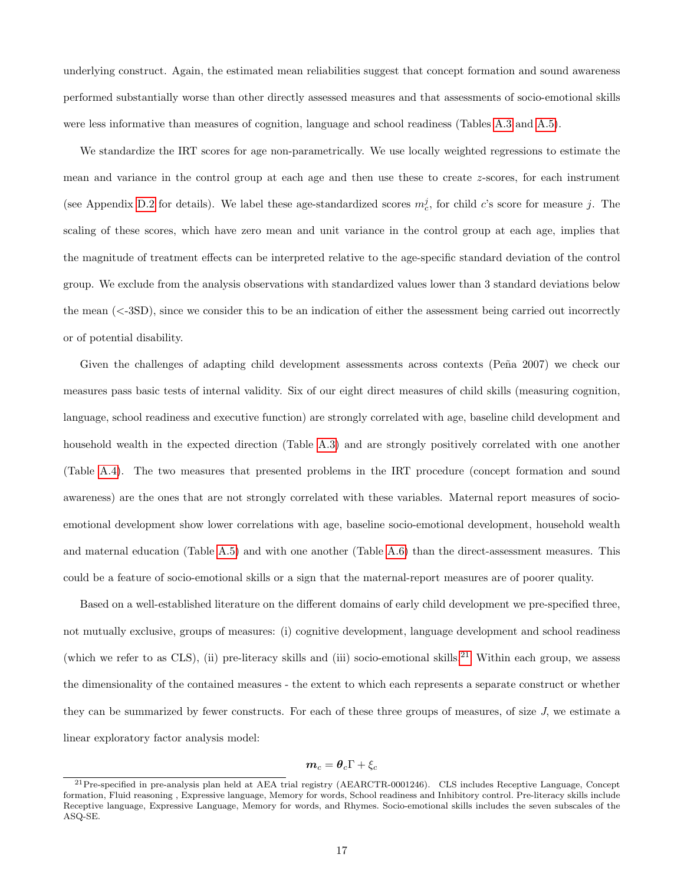underlying construct. Again, the estimated mean reliabilities suggest that concept formation and sound awareness performed substantially worse than other directly assessed measures and that assessments of socio-emotional skills were less informative than measures of cognition, language and school readiness (Tables [A.3](#page-44-0) and [A.5\)](#page-45-0).

We standardize the IRT scores for age non-parametrically. We use locally weighted regressions to estimate the mean and variance in the control group at each age and then use these to create z-scores, for each instrument (see Appendix [D.2](#page-57-0) for details). We label these age-standardized scores  $m_c^j$ , for child c's score for measure j. The scaling of these scores, which have zero mean and unit variance in the control group at each age, implies that the magnitude of treatment effects can be interpreted relative to the age-specific standard deviation of the control group. We exclude from the analysis observations with standardized values lower than 3 standard deviations below the mean  $\langle \langle -3SD \rangle$ , since we consider this to be an indication of either the assessment being carried out incorrectly or of potential disability.

Given the challenges of adapting child development assessments across contexts (Peña 2007) we check our measures pass basic tests of internal validity. Six of our eight direct measures of child skills (measuring cognition, language, school readiness and executive function) are strongly correlated with age, baseline child development and household wealth in the expected direction (Table [A.3\)](#page-44-0) and are strongly positively correlated with one another (Table [A.4\)](#page-44-1). The two measures that presented problems in the IRT procedure (concept formation and sound awareness) are the ones that are not strongly correlated with these variables. Maternal report measures of socioemotional development show lower correlations with age, baseline socio-emotional development, household wealth and maternal education (Table [A.5\)](#page-45-0) and with one another (Table [A.6\)](#page-45-1) than the direct-assessment measures. This could be a feature of socio-emotional skills or a sign that the maternal-report measures are of poorer quality.

Based on a well-established literature on the different domains of early child development we pre-specified three, not mutually exclusive, groups of measures: (i) cognitive development, language development and school readiness (which we refer to as CLS), (ii) pre-literacy skills and (iii) socio-emotional skills.<sup>[21](#page--1-0)</sup> Within each group, we assess the dimensionality of the contained measures - the extent to which each represents a separate construct or whether they can be summarized by fewer constructs. For each of these three groups of measures, of size J, we estimate a linear exploratory factor analysis model:

## $m_c = \theta_c \Gamma + \xi_c$

<sup>21</sup>Pre-specified in pre-analysis plan held at AEA trial registry (AEARCTR-0001246). CLS includes Receptive Language, Concept formation, Fluid reasoning , Expressive language, Memory for words, School readiness and Inhibitory control. Pre-literacy skills include Receptive language, Expressive Language, Memory for words, and Rhymes. Socio-emotional skills includes the seven subscales of the ASQ-SE.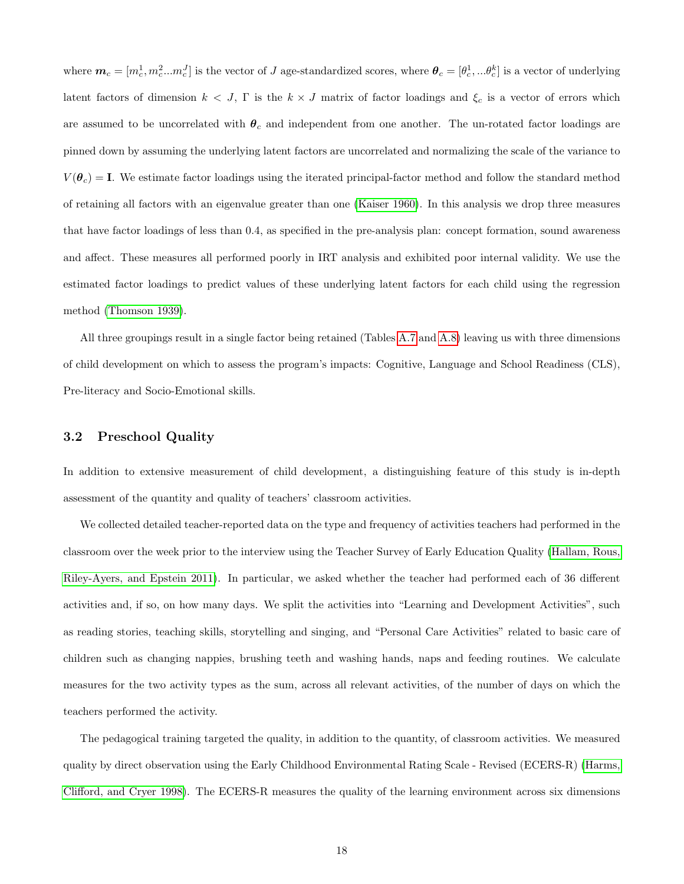where  $\boldsymbol{m}_c = [m_c^1, m_c^2...m_c^J]$  is the vector of J age-standardized scores, where  $\boldsymbol{\theta}_c = [\theta_c^1, ...\theta_c^k]$  is a vector of underlying latent factors of dimension  $k < J$ , Γ is the  $k \times J$  matrix of factor loadings and  $\xi_c$  is a vector of errors which are assumed to be uncorrelated with  $\theta_c$  and independent from one another. The un-rotated factor loadings are pinned down by assuming the underlying latent factors are uncorrelated and normalizing the scale of the variance to  $V(\theta_c) = I$ . We estimate factor loadings using the iterated principal-factor method and follow the standard method of retaining all factors with an eigenvalue greater than one [\(Kaiser 1960\)](#page-38-9). In this analysis we drop three measures that have factor loadings of less than 0.4, as specified in the pre-analysis plan: concept formation, sound awareness and affect. These measures all performed poorly in IRT analysis and exhibited poor internal validity. We use the estimated factor loadings to predict values of these underlying latent factors for each child using the regression method [\(Thomson 1939\)](#page-40-5).

All three groupings result in a single factor being retained (Tables [A.7](#page-46-0) and [A.8\)](#page-46-1) leaving us with three dimensions of child development on which to assess the program's impacts: Cognitive, Language and School Readiness (CLS), Pre-literacy and Socio-Emotional skills.

## <span id="page-18-0"></span>3.2 Preschool Quality

In addition to extensive measurement of child development, a distinguishing feature of this study is in-depth assessment of the quantity and quality of teachers' classroom activities.

We collected detailed teacher-reported data on the type and frequency of activities teachers had performed in the classroom over the week prior to the interview using the Teacher Survey of Early Education Quality [\(Hallam, Rous,](#page-36-8) [Riley-Ayers, and Epstein 2011\)](#page-36-8). In particular, we asked whether the teacher had performed each of 36 different activities and, if so, on how many days. We split the activities into "Learning and Development Activities", such as reading stories, teaching skills, storytelling and singing, and "Personal Care Activities" related to basic care of children such as changing nappies, brushing teeth and washing hands, naps and feeding routines. We calculate measures for the two activity types as the sum, across all relevant activities, of the number of days on which the teachers performed the activity.

The pedagogical training targeted the quality, in addition to the quantity, of classroom activities. We measured quality by direct observation using the Early Childhood Environmental Rating Scale - Revised (ECERS-R) [\(Harms,](#page-37-10) [Clifford, and Cryer 1998\)](#page-37-10). The ECERS-R measures the quality of the learning environment across six dimensions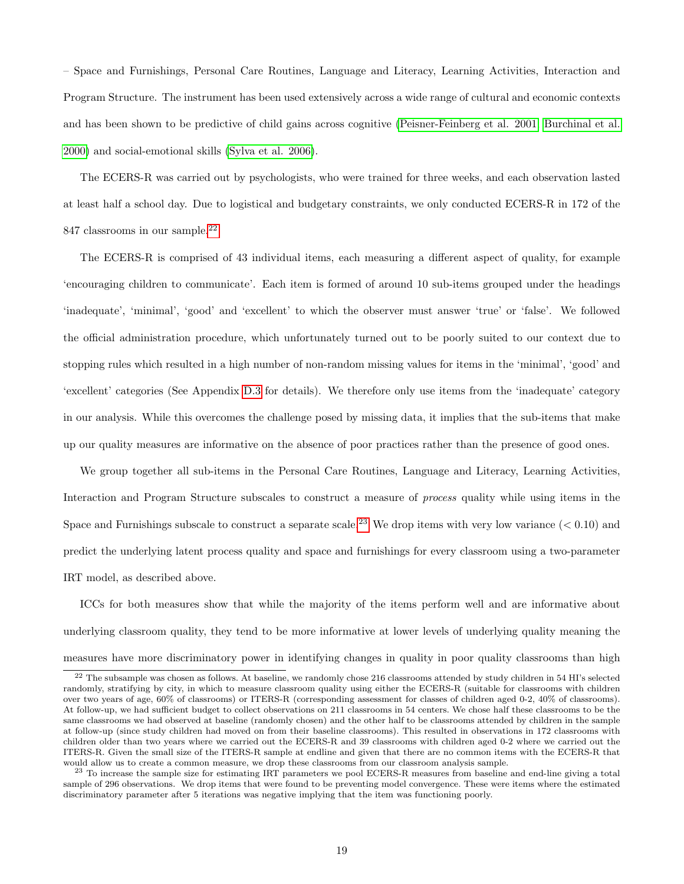– Space and Furnishings, Personal Care Routines, Language and Literacy, Learning Activities, Interaction and Program Structure. The instrument has been used extensively across a wide range of cultural and economic contexts and has been shown to be predictive of child gains across cognitive [\(Peisner-Feinberg et al. 2001;](#page-39-9) [Burchinal et al.](#page-35-8) [2000\)](#page-35-8) and social-emotional skills [\(Sylva et al. 2006\)](#page-39-10).

The ECERS-R was carried out by psychologists, who were trained for three weeks, and each observation lasted at least half a school day. Due to logistical and budgetary constraints, we only conducted ECERS-R in 172 of the 847 classrooms in our sample.<sup>[22](#page--1-0)</sup>

The ECERS-R is comprised of 43 individual items, each measuring a different aspect of quality, for example 'encouraging children to communicate'. Each item is formed of around 10 sub-items grouped under the headings 'inadequate', 'minimal', 'good' and 'excellent' to which the observer must answer 'true' or 'false'. We followed the official administration procedure, which unfortunately turned out to be poorly suited to our context due to stopping rules which resulted in a high number of non-random missing values for items in the 'minimal', 'good' and 'excellent' categories (See Appendix [D.3](#page-57-1) for details). We therefore only use items from the 'inadequate' category in our analysis. While this overcomes the challenge posed by missing data, it implies that the sub-items that make up our quality measures are informative on the absence of poor practices rather than the presence of good ones.

We group together all sub-items in the Personal Care Routines, Language and Literacy, Learning Activities, Interaction and Program Structure subscales to construct a measure of process quality while using items in the Space and Furnishings subscale to construct a separate scale.<sup>[23](#page--1-0)</sup> We drop items with very low variance  $(< 0.10$ ) and predict the underlying latent process quality and space and furnishings for every classroom using a two-parameter IRT model, as described above.

ICCs for both measures show that while the majority of the items perform well and are informative about underlying classroom quality, they tend to be more informative at lower levels of underlying quality meaning the measures have more discriminatory power in identifying changes in quality in poor quality classrooms than high

 $22$  The subsample was chosen as follows. At baseline, we randomly chose 216 classrooms attended by study children in 54 HI's selected randomly, stratifying by city, in which to measure classroom quality using either the ECERS-R (suitable for classrooms with children over two years of age, 60% of classrooms) or ITERS-R (corresponding assessment for classes of children aged 0-2, 40% of classrooms). At follow-up, we had sufficient budget to collect observations on 211 classrooms in 54 centers. We chose half these classrooms to be the same classrooms we had observed at baseline (randomly chosen) and the other half to be classrooms attended by children in the sample at follow-up (since study children had moved on from their baseline classrooms). This resulted in observations in 172 classrooms with children older than two years where we carried out the ECERS-R and 39 classrooms with children aged 0-2 where we carried out the ITERS-R. Given the small size of the ITERS-R sample at endline and given that there are no common items with the ECERS-R that would allow us to create a common measure, we drop these classrooms from our classroom analysis sample.

 $^{23}$  To increase the sample size for estimating IRT parameters we pool ECERS-R measures from baseline and end-line giving a total sample of 296 observations. We drop items that were found to be preventing model convergence. These were items where the estimated discriminatory parameter after 5 iterations was negative implying that the item was functioning poorly.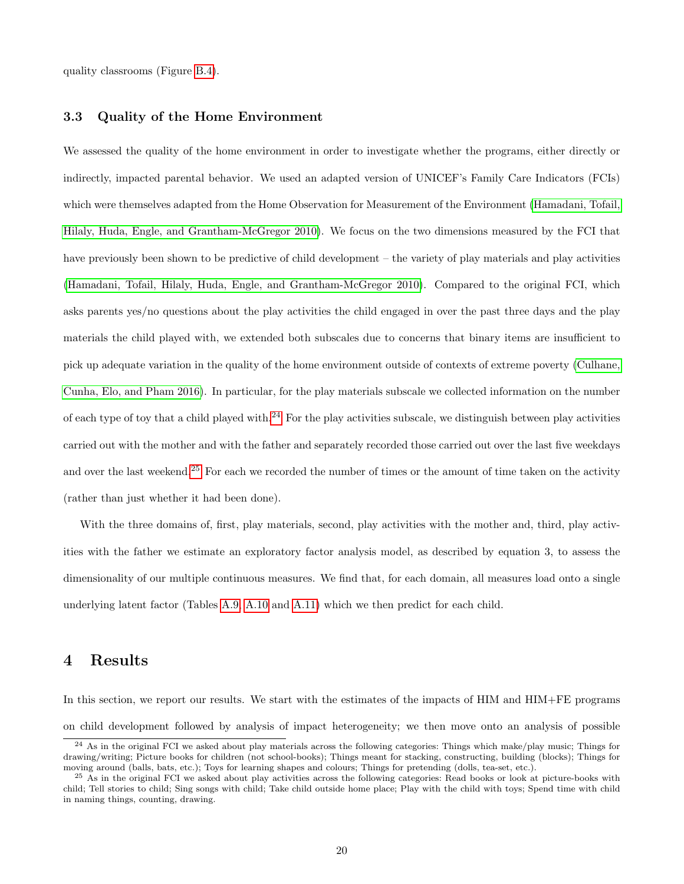quality classrooms (Figure [B.4\)](#page-55-0).

## 3.3 Quality of the Home Environment

We assessed the quality of the home environment in order to investigate whether the programs, either directly or indirectly, impacted parental behavior. We used an adapted version of UNICEF's Family Care Indicators (FCIs) which were themselves adapted from the Home Observation for Measurement of the Environment [\(Hamadani, Tofail,](#page-37-11) [Hilaly, Huda, Engle, and Grantham-McGregor 2010\)](#page-37-11). We focus on the two dimensions measured by the FCI that have previously been shown to be predictive of child development – the variety of play materials and play activities [\(Hamadani, Tofail, Hilaly, Huda, Engle, and Grantham-McGregor 2010\)](#page-37-11). Compared to the original FCI, which asks parents yes/no questions about the play activities the child engaged in over the past three days and the play materials the child played with, we extended both subscales due to concerns that binary items are insufficient to pick up adequate variation in the quality of the home environment outside of contexts of extreme poverty [\(Culhane,](#page-35-9) [Cunha, Elo, and Pham 2016\)](#page-35-9). In particular, for the play materials subscale we collected information on the number of each type of toy that a child played with.<sup>[24](#page--1-0)</sup> For the play activities subscale, we distinguish between play activities carried out with the mother and with the father and separately recorded those carried out over the last five weekdays and over the last weekend.<sup>[25](#page--1-0)</sup> For each we recorded the number of times or the amount of time taken on the activity (rather than just whether it had been done).

With the three domains of, first, play materials, second, play activities with the mother and, third, play activities with the father we estimate an exploratory factor analysis model, as described by equation 3, to assess the dimensionality of our multiple continuous measures. We find that, for each domain, all measures load onto a single underlying latent factor (Tables [A.9,](#page-46-2) [A.10](#page-47-0) and [A.11\)](#page-47-1) which we then predict for each child.

## 4 Results

In this section, we report our results. We start with the estimates of the impacts of HIM and HIM+FE programs on child development followed by analysis of impact heterogeneity; we then move onto an analysis of possible

 $^{24}$  As in the original FCI we asked about play materials across the following categories: Things which make/play music; Things for drawing/writing; Picture books for children (not school-books); Things meant for stacking, constructing, building (blocks); Things for moving around (balls, bats, etc.); Toys for learning shapes and colours; Things for pretending (dolls, tea-set, etc.).

 $^{25}$  As in the original FCI we asked about play activities across the following categories: Read books or look at picture-books with child; Tell stories to child; Sing songs with child; Take child outside home place; Play with the child with toys; Spend time with child in naming things, counting, drawing.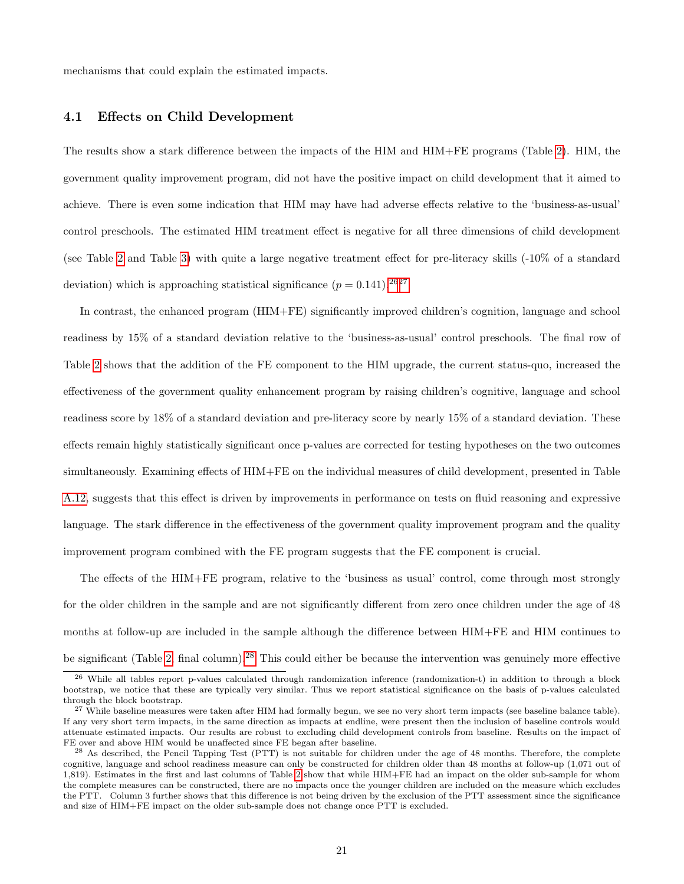mechanisms that could explain the estimated impacts.

## <span id="page-21-0"></span>4.1 Effects on Child Development

The results show a stark difference between the impacts of the HIM and HIM+FE programs (Table [2\)](#page-22-0). HIM, the government quality improvement program, did not have the positive impact on child development that it aimed to achieve. There is even some indication that HIM may have had adverse effects relative to the 'business-as-usual' control preschools. The estimated HIM treatment effect is negative for all three dimensions of child development (see Table [2](#page-22-0) and Table [3\)](#page-23-0) with quite a large negative treatment effect for pre-literacy skills (-10% of a standard deviation) which is approaching statistical significance  $(p = 0.141).^{2627}$  $(p = 0.141).^{2627}$  $(p = 0.141).^{2627}$ 

In contrast, the enhanced program (HIM+FE) significantly improved children's cognition, language and school readiness by 15% of a standard deviation relative to the 'business-as-usual' control preschools. The final row of Table [2](#page-22-0) shows that the addition of the FE component to the HIM upgrade, the current status-quo, increased the effectiveness of the government quality enhancement program by raising children's cognitive, language and school readiness score by 18% of a standard deviation and pre-literacy score by nearly 15% of a standard deviation. These effects remain highly statistically significant once p-values are corrected for testing hypotheses on the two outcomes simultaneously. Examining effects of HIM+FE on the individual measures of child development, presented in Table [A.12,](#page-48-0) suggests that this effect is driven by improvements in performance on tests on fluid reasoning and expressive language. The stark difference in the effectiveness of the government quality improvement program and the quality improvement program combined with the FE program suggests that the FE component is crucial.

The effects of the HIM+FE program, relative to the 'business as usual' control, come through most strongly for the older children in the sample and are not significantly different from zero once children under the age of 48 months at follow-up are included in the sample although the difference between HIM+FE and HIM continues to be significant (Table [2,](#page-22-0) final column).[28](#page--1-0) This could either be because the intervention was genuinely more effective

<sup>&</sup>lt;sup>26</sup> While all tables report p-values calculated through randomization inference (randomization-t) in addition to through a block bootstrap, we notice that these are typically very similar. Thus we report statistical significance on the basis of p-values calculated through the block bootstrap.

<sup>&</sup>lt;sup>27</sup> While baseline measures were taken after HIM had formally begun, we see no very short term impacts (see baseline balance table). If any very short term impacts, in the same direction as impacts at endline, were present then the inclusion of baseline controls would attenuate estimated impacts. Our results are robust to excluding child development controls from baseline. Results on the impact of FE over and above HIM would be unaffected since FE began after baseline.

<sup>&</sup>lt;sup>28</sup> As described, the Pencil Tapping Test (PTT) is not suitable for children under the age of 48 months. Therefore, the complete cognitive, language and school readiness measure can only be constructed for children older than 48 months at follow-up (1,071 out of 1,819). Estimates in the first and last columns of Table [2](#page-22-0) show that while HIM+FE had an impact on the older sub-sample for whom the complete measures can be constructed, there are no impacts once the younger children are included on the measure which excludes the PTT. Column 3 further shows that this difference is not being driven by the exclusion of the PTT assessment since the significance and size of HIM+FE impact on the older sub-sample does not change once PTT is excluded.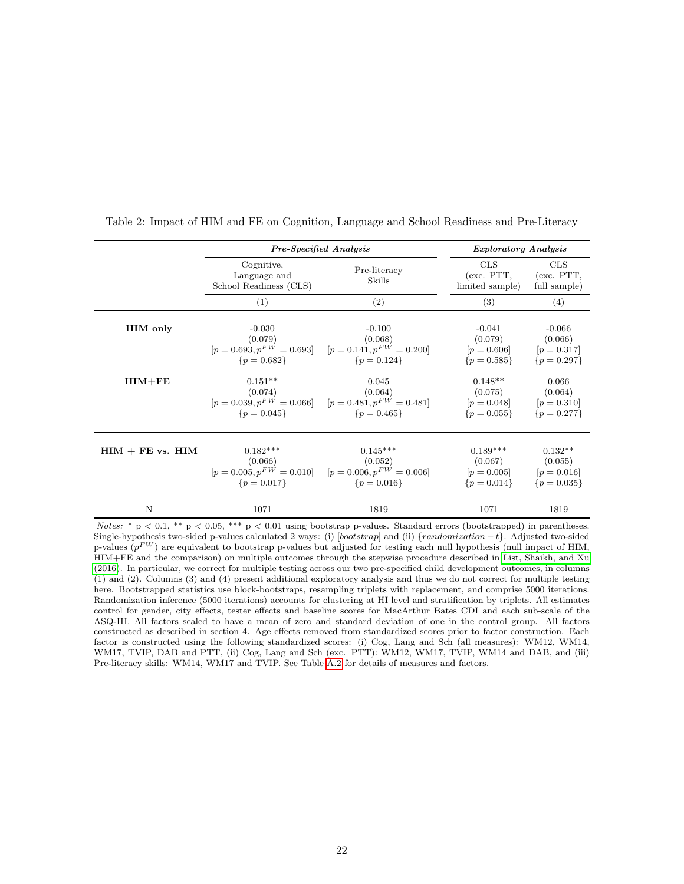|                      |                                                      | <b>Pre-Specified Analysis</b>                                                                                                  | <i>Exploratory Analysis</i>                                                         |                      |
|----------------------|------------------------------------------------------|--------------------------------------------------------------------------------------------------------------------------------|-------------------------------------------------------------------------------------|----------------------|
|                      | Cognitive,<br>Language and<br>School Readiness (CLS) | Pre-literacy<br>Skills                                                                                                         | CLS<br>(exc. PTT, (exc. PTT,<br>limited sample)                                     | CLS<br>full sample)  |
|                      | (1)                                                  | (2)                                                                                                                            | (3)                                                                                 | (4)                  |
| <b>HIM</b> only      | $-0.030$<br>(0.079)<br>${p = 0.682}$                 | $-0.100$<br>(0.068)<br>$[p = 0.693, p^{FW} = 0.693]$ $[p = 0.141, p^{FW} = 0.200]$<br>$\{p=0.124\}$                            | $-0.041$<br>(0.079)<br>$[p = 0.606]$ $[p = 0.317]$<br>${p = 0.585}$ ${p = 0.297}$   | $-0.066$<br>(0.066)  |
| $HIM + FE$           | $0.151**$<br>(0.074)<br>$\{p=0.045\}$                | 0.045<br>(0.064)<br>$[p = 0.039, p^{FW} = 0.066]$ $[p = 0.481, p^{FW} = 0.481]$ $[p = 0.048]$ $[p = 0.310]$<br>$\{p = 0.465\}$ | $0.148**$<br>(0.075)<br>${p = 0.055}$ ${p = 0.277}$                                 | 0.066<br>(0.064)     |
| $HIM + FE$ vs. $HIM$ | $0.182***$<br>(0.066)<br>$\{p=0.017\}$               | $0.145***$<br>(0.052)<br>$[p = 0.005, p^{FW} = 0.010]$ $[p = 0.006, p^{FW} = 0.006]$<br>$\{p=0.016\}$                          | $0.189***$<br>(0.067)<br>$[p = 0.005]$ $[p = 0.016]$<br>${p = 0.014}$ ${p = 0.035}$ | $0.132**$<br>(0.055) |
| N                    | 1071                                                 | 1819                                                                                                                           | 1071                                                                                | 1819                 |

<span id="page-22-0"></span>Table 2: Impact of HIM and FE on Cognition, Language and School Readiness and Pre-Literacy

Notes: \* p < 0.1, \*\* p < 0.05, \*\*\* p < 0.01 using bootstrap p-values. Standard errors (bootstrapped) in parentheses. Single-hypothesis two-sided p-values calculated 2 ways: (i) [bootstrap] and (ii) {randomization − t}. Adjusted two-sided p-values  $(p^{FW})$  are equivalent to bootstrap p-values but adjusted for testing each null hypothesis (null impact of HIM, HIM+FE and the comparison) on multiple outcomes through the stepwise procedure described in [List, Shaikh, and Xu](#page-38-7) [\(2016\)](#page-38-7). In particular, we correct for multiple testing across our two pre-specified child development outcomes, in columns (1) and (2). Columns (3) and (4) present additional exploratory analysis and thus we do not correct for multiple testing here. Bootstrapped statistics use block-bootstraps, resampling triplets with replacement, and comprise 5000 iterations. Randomization inference (5000 iterations) accounts for clustering at HI level and stratification by triplets. All estimates control for gender, city effects, tester effects and baseline scores for MacArthur Bates CDI and each sub-scale of the ASQ-III. All factors scaled to have a mean of zero and standard deviation of one in the control group. All factors constructed as described in section 4. Age effects removed from standardized scores prior to factor construction. Each factor is constructed using the following standardized scores: (i) Cog, Lang and Sch (all measures): WM12, WM14, WM17, TVIP, DAB and PTT, (ii) Cog, Lang and Sch (exc. PTT): WM12, WM17, TVIP, WM14 and DAB, and (iii) Pre-literacy skills: WM14, WM17 and TVIP. See Table [A.2](#page-43-0) for details of measures and factors.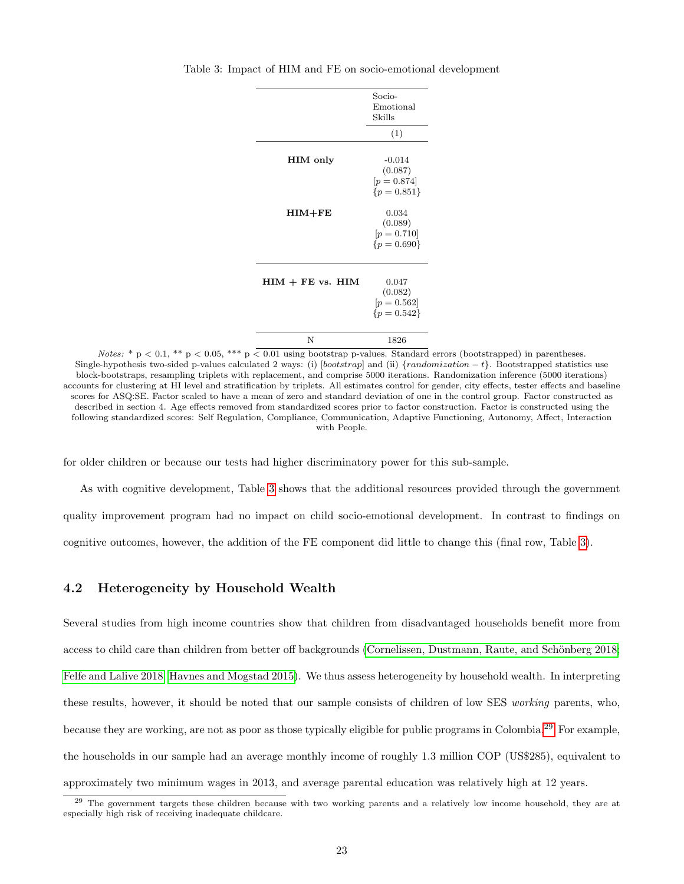|                             | Socio-<br>Emotional<br>Skills                                             |
|-----------------------------|---------------------------------------------------------------------------|
|                             | (1)                                                                       |
| <b>HIM</b> only<br>$HIM+FE$ | $-0.014$<br>(0.087)<br>$[p = 0.874]$<br>${p = 0.851}$<br>0.034<br>(0.089) |
|                             | $[p = 0.710]$<br>${p = 0.690}$                                            |
|                             |                                                                           |
| $HIM + FE$ vs. $HIM$        | 0.047<br>(0.082)<br>$[p = 0.562]$<br>${p = 0.542}$                        |
| N                           | 1826                                                                      |

<span id="page-23-0"></span>Table 3: Impact of HIM and FE on socio-emotional development

Notes: \* p < 0.1, \*\* p < 0.05, \*\*\* p  $\leq 0.01$  using bootstrap p-values. Standard errors (bootstrapped) in parentheses. Single-hypothesis two-sided p-values calculated 2 ways: (i)  $[bootstrap]$  and (ii)  $\{randomization - t\}$ . Bootstrapped statistics use block-bootstraps, resampling triplets with replacement, and comprise 5000 iterations. Randomization inference (5000 iterations) accounts for clustering at HI level and stratification by triplets. All estimates control for gender, city effects, tester effects and baseline scores for ASQ:SE. Factor scaled to have a mean of zero and standard deviation of one in the control group. Factor constructed as described in section 4. Age effects removed from standardized scores prior to factor construction. Factor is constructed using the following standardized scores: Self Regulation, Compliance, Communication, Adaptive Functioning, Autonomy, Affect, Interaction with People.

for older children or because our tests had higher discriminatory power for this sub-sample.

As with cognitive development, Table [3](#page-23-0) shows that the additional resources provided through the government quality improvement program had no impact on child socio-emotional development. In contrast to findings on cognitive outcomes, however, the addition of the FE component did little to change this (final row, Table [3\)](#page-23-0).

## 4.2 Heterogeneity by Household Wealth

Several studies from high income countries show that children from disadvantaged households benefit more from access to child care than children from better off backgrounds (Cornelissen, Dustmann, Raute, and Schönberg 2018; [Felfe and Lalive 2018;](#page-36-2) [Havnes and Mogstad 2015\)](#page-37-12). We thus assess heterogeneity by household wealth. In interpreting these results, however, it should be noted that our sample consists of children of low SES working parents, who, because they are working, are not as poor as those typically eligible for public programs in Colombia.[29](#page--1-0) For example, the households in our sample had an average monthly income of roughly 1.3 million COP (US\$285), equivalent to approximately two minimum wages in 2013, and average parental education was relatively high at 12 years.

<sup>&</sup>lt;sup>29</sup> The government targets these children because with two working parents and a relatively low income household, they are at especially high risk of receiving inadequate childcare.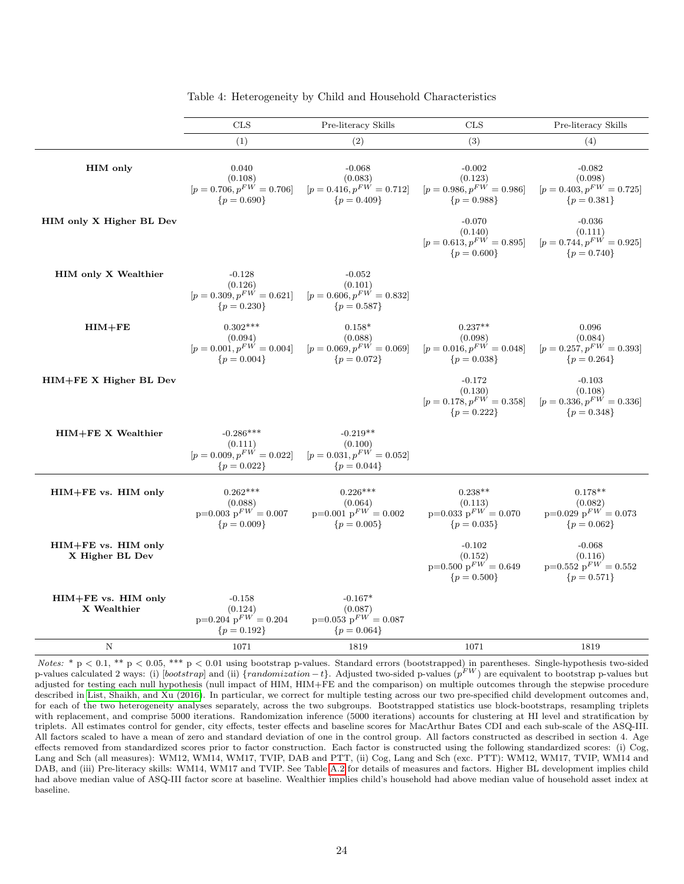<span id="page-24-0"></span>

|                                        | <b>CLS</b>                                                               | Pre-literacy Skills                                                     | <b>CLS</b>                                                             | Pre-literacy Skills                                                   |
|----------------------------------------|--------------------------------------------------------------------------|-------------------------------------------------------------------------|------------------------------------------------------------------------|-----------------------------------------------------------------------|
|                                        | (1)                                                                      | (2)                                                                     | (3)                                                                    | (4)                                                                   |
| <b>HIM</b> only                        | 0.040<br>(0.108)<br>$[p = 0.706, p^{FW} = 0.706]$<br>${p = 0.690}$       | $-0.068$<br>(0.083)<br>$[p = 0.416, p^{FW} = 0.712]$<br>${p = 0.409}$   | $-0.002$<br>(0.123)<br>$[p=0.986, p^{FW}=0.986]$<br>${p = 0.988}$      | $-0.082$<br>(0.098)<br>$[p = 0.403, p^{FW} = 0.725]$<br>${p = 0.381}$ |
| HIM only X Higher BL Dev               |                                                                          |                                                                         | $-0.070$<br>(0.140)<br>$[p = 0.613, p^{FW} = 0.895]$<br>${p = 0.600}$  | $-0.036$<br>(0.111)<br>$[p = 0.744, p^{FW} = 0.925]$<br>${p = 0.740}$ |
| <b>HIM only X Wealthier</b>            | $-0.128$<br>(0.126)<br>$[p = 0.309, p^{FW} = 0.621]$<br>${p = 0.230}$    | $-0.052$<br>(0.101)<br>$[p = 0.606, p^{FW} = 0.832]$<br>${p = 0.587}$   |                                                                        |                                                                       |
| $HIM + FE$                             | $0.302***$<br>(0.094)<br>$[p = 0.001, p^{FW} = 0.004]$<br>${p = 0.004}$  | $0.158*$<br>(0.088)<br>$[p = 0.069, p^{FW} = 0.069]$<br>${p = 0.072}$   | $0.237**$<br>(0.098)<br>$[p = 0.016, p^{FW} = 0.048]$<br>${p = 0.038}$ | 0.096<br>(0.084)<br>$[p = 0.257, p^{FW} = 0.393]$<br>${p = 0.264}$    |
| HIM+FE X Higher BL Dev                 |                                                                          |                                                                         | $-0.172$<br>(0.130)<br>$[p = 0.178, p^{FW} = 0.358]$<br>${p = 0.222}$  | $-0.103$<br>(0.108)<br>$[p = 0.336, p^{FW} = 0.336]$<br>${p = 0.348}$ |
| HIM+FE X Wealthier                     | $-0.286***$<br>(0.111)<br>$[p = 0.009, p^{FW} = 0.022]$<br>${p = 0.022}$ | $-0.219**$<br>(0.100)<br>$[p = 0.031, p^{FW} = 0.052]$<br>${p = 0.044}$ |                                                                        |                                                                       |
| HIM+FE vs. HIM only                    | $0.262***$<br>(0.088)<br>$p=0.003$ $p^{FW} = 0.007$<br>${p = 0.009}$     | $0.226***$<br>(0.064)<br>$p=0.001$ $p^{FW} = 0.002$<br>${p = 0.005}$    | $0.238**$<br>(0.113)<br>$p=0.033$ $p^{FW} = 0.070$<br>${p = 0.035}$    | $0.178**$<br>(0.082)<br>$p=0.029$ $p^{FW} = 0.073$<br>${p = 0.062}$   |
| HIM+FE vs. HIM only<br>X Higher BL Dev |                                                                          |                                                                         | $-0.102$<br>(0.152)<br>$p=0.500$ $p^{FW} = 0.649$<br>${p = 0.500}$     | $-0.068$<br>(0.116)<br>$p=0.552$ $p^{FW} = 0.552$<br>${p = 0.571}$    |
| HIM+FE vs. HIM only<br>X Wealthier     | $-0.158$<br>(0.124)<br>$p=0.204$ $p^{FW} = 0.204$<br>${p = 0.192}$       | $-0.167*$<br>(0.087)<br>$p=0.053$ $p^{FW} = 0.087$<br>${p = 0.064}$     |                                                                        |                                                                       |
| $_{\rm N}$                             | 1071                                                                     | 1819                                                                    | 1071                                                                   | 1819                                                                  |

Table 4: Heterogeneity by Child and Household Characteristics

Notes:  $* p < 0.1$ ,  $** p < 0.05$ ,  $** p < 0.01$  using bootstrap p-values. Standard errors (bootstrapped) in parentheses. Single-hypothesis two-sided p-values calculated 2 ways: (i) [bootstrap] and (ii)  $\{randomization - t\}$ . Adjusted two-sided p-values ( $p^{FW}$ ) are equivalent to bootstrap p-values but adjusted for testing each null hypothesis (null impact of HIM, HIM+FE and the comparison) on multiple outcomes through the stepwise procedure described in [List, Shaikh, and Xu \(2016\)](#page-38-7). In particular, we correct for multiple testing across our two pre-specified child development outcomes and, for each of the two heterogeneity analyses separately, across the two subgroups. Bootstrapped statistics use block-bootstraps, resampling triplets with replacement, and comprise 5000 iterations. Randomization inference (5000 iterations) accounts for clustering at HI level and stratification by triplets. All estimates control for gender, city effects, tester effects and baseline scores for MacArthur Bates CDI and each sub-scale of the ASQ-III. All factors scaled to have a mean of zero and standard deviation of one in the control group. All factors constructed as described in section 4. Age effects removed from standardized scores prior to factor construction. Each factor is constructed using the following standardized scores: (i) Cog, Lang and Sch (all measures): WM12, WM14, WM17, TVIP, DAB and PTT, (ii) Cog, Lang and Sch (exc. PTT): WM12, WM17, TVIP, WM14 and DAB, and (iii) Pre-literacy skills: WM14, WM17 and TVIP. See Table [A.2](#page-43-0) for details of measures and factors. Higher BL development implies child had above median value of ASQ-III factor score at baseline. Wealthier implies child's household had above median value of household asset index at baseline.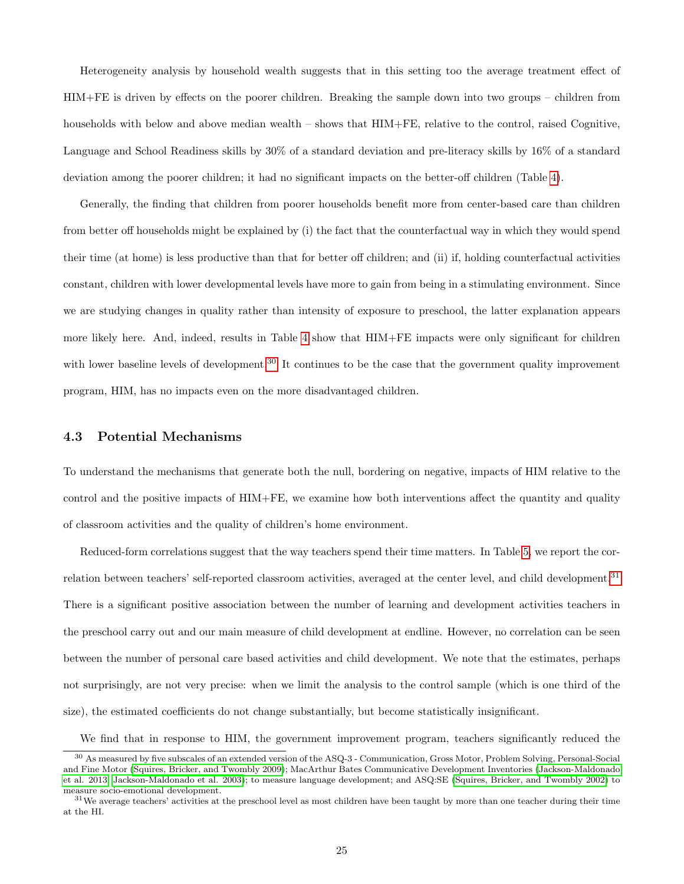Heterogeneity analysis by household wealth suggests that in this setting too the average treatment effect of HIM+FE is driven by effects on the poorer children. Breaking the sample down into two groups – children from households with below and above median wealth – shows that HIM+FE, relative to the control, raised Cognitive, Language and School Readiness skills by 30% of a standard deviation and pre-literacy skills by 16% of a standard deviation among the poorer children; it had no significant impacts on the better-off children (Table [4\)](#page-24-0).

Generally, the finding that children from poorer households benefit more from center-based care than children from better off households might be explained by (i) the fact that the counterfactual way in which they would spend their time (at home) is less productive than that for better off children; and (ii) if, holding counterfactual activities constant, children with lower developmental levels have more to gain from being in a stimulating environment. Since we are studying changes in quality rather than intensity of exposure to preschool, the latter explanation appears more likely here. And, indeed, results in Table [4](#page-24-0) show that HIM+FE impacts were only significant for children with lower baseline levels of development.<sup>[30](#page--1-0)</sup> It continues to be the case that the government quality improvement program, HIM, has no impacts even on the more disadvantaged children.

## 4.3 Potential Mechanisms

To understand the mechanisms that generate both the null, bordering on negative, impacts of HIM relative to the control and the positive impacts of HIM+FE, we examine how both interventions affect the quantity and quality of classroom activities and the quality of children's home environment.

Reduced-form correlations suggest that the way teachers spend their time matters. In Table [5,](#page-26-0) we report the correlation between teachers' self-reported classroom activities, averaged at the center level, and child development.[31](#page--1-0) There is a significant positive association between the number of learning and development activities teachers in the preschool carry out and our main measure of child development at endline. However, no correlation can be seen between the number of personal care based activities and child development. We note that the estimates, perhaps not surprisingly, are not very precise: when we limit the analysis to the control sample (which is one third of the size), the estimated coefficients do not change substantially, but become statistically insignificant.

We find that in response to HIM, the government improvement program, teachers significantly reduced the

<sup>30</sup> As measured by five subscales of an extended version of the ASQ-3 - Communication, Gross Motor, Problem Solving, Personal-Social and Fine Motor [\(Squires, Bricker, and Twombly 2009\)](#page-39-3); MacArthur Bates Communicative Development Inventories [\(Jackson-Maldonado](#page-38-5) [et al. 2013;](#page-38-5) [Jackson-Maldonado et al. 2003\)](#page-38-6); to measure language development; and ASQ:SE [\(Squires, Bricker, and Twombly 2002\)](#page-39-4) to measure socio-emotional development.

 $31$ We average teachers' activities at the preschool level as most children have been taught by more than one teacher during their time at the HI.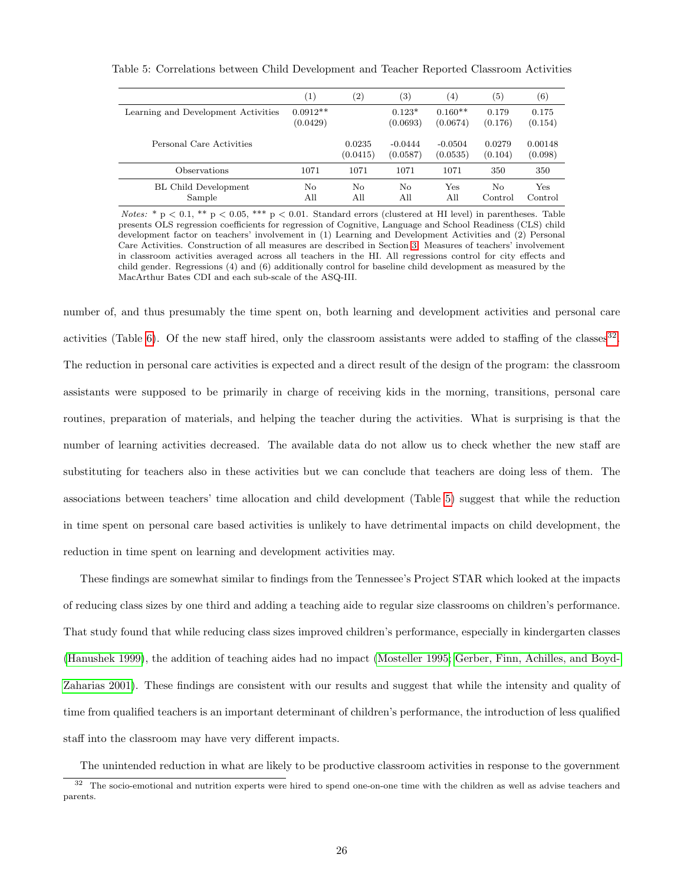<span id="page-26-0"></span>

|                                       | $\left( 1\right)$      | $\left( 2\right)$  | $\left( 3\right)$     | $\left( 4\right)$     | (5)               | $^{\rm (6)}$       |
|---------------------------------------|------------------------|--------------------|-----------------------|-----------------------|-------------------|--------------------|
| Learning and Development Activities   | $0.0912**$<br>(0.0429) |                    | $0.123*$<br>(0.0693)  | $0.160**$<br>(0.0674) | 0.179<br>(0.176)  | 0.175<br>(0.154)   |
| Personal Care Activities              |                        | 0.0235<br>(0.0415) | $-0.0444$<br>(0.0587) | $-0.0504$<br>(0.0535) | 0.0279<br>(0.104) | 0.00148<br>(0.098) |
| Observations                          | 1071                   | 1071               | 1071                  | 1071                  | 350               | 350                |
| <b>BL Child Development</b><br>Sample | No<br>All              | No<br>All          | Nο<br>All             | Yes<br>All            | No<br>Control     | Yes<br>Control     |

Table 5: Correlations between Child Development and Teacher Reported Classroom Activities

Notes: \* p < 0.1, \*\* p < 0.05, \*\*\* p < 0.01. Standard errors (clustered at HI level) in parentheses. Table presents OLS regression coefficients for regression of Cognitive, Language and School Readiness (CLS) child development factor on teachers' involvement in (1) Learning and Development Activities and (2) Personal Care Activities. Construction of all measures are described in Section [3.](#page-13-0) Measures of teachers' involvement in classroom activities averaged across all teachers in the HI. All regressions control for city effects and child gender. Regressions (4) and (6) additionally control for baseline child development as measured by the MacArthur Bates CDI and each sub-scale of the ASQ-III.

number of, and thus presumably the time spent on, both learning and development activities and personal care activities (Table [6\)](#page-27-0). Of the new staff hired, only the classroom assistants were added to staffing of the classes  $32$ . The reduction in personal care activities is expected and a direct result of the design of the program: the classroom assistants were supposed to be primarily in charge of receiving kids in the morning, transitions, personal care routines, preparation of materials, and helping the teacher during the activities. What is surprising is that the number of learning activities decreased. The available data do not allow us to check whether the new staff are substituting for teachers also in these activities but we can conclude that teachers are doing less of them. The associations between teachers' time allocation and child development (Table [5\)](#page-26-0) suggest that while the reduction in time spent on personal care based activities is unlikely to have detrimental impacts on child development, the reduction in time spent on learning and development activities may.

These findings are somewhat similar to findings from the Tennessee's Project STAR which looked at the impacts of reducing class sizes by one third and adding a teaching aide to regular size classrooms on children's performance. That study found that while reducing class sizes improved children's performance, especially in kindergarten classes [\(Hanushek 1999\)](#page-37-9), the addition of teaching aides had no impact [\(Mosteller 1995;](#page-38-10) [Gerber, Finn, Achilles, and Boyd-](#page-36-4)[Zaharias 2001\)](#page-36-4). These findings are consistent with our results and suggest that while the intensity and quality of time from qualified teachers is an important determinant of children's performance, the introduction of less qualified staff into the classroom may have very different impacts.

The unintended reduction in what are likely to be productive classroom activities in response to the government

<sup>&</sup>lt;sup>32</sup> The socio-emotional and nutrition experts were hired to spend one-on-one time with the children as well as advise teachers and parents.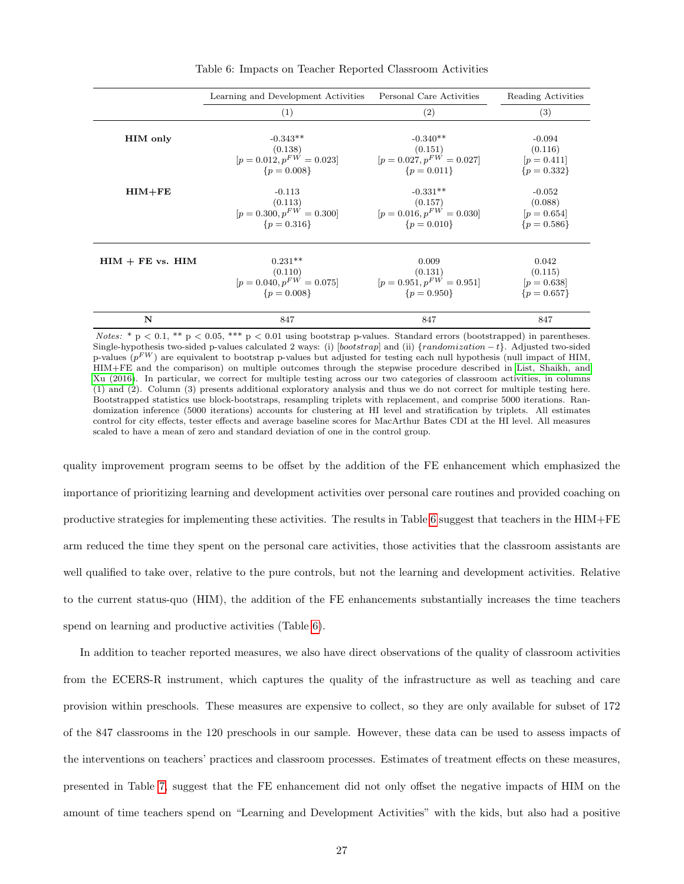<span id="page-27-0"></span>

|                      | Learning and Development Activities | Personal Care Activities      | Reading Activities |
|----------------------|-------------------------------------|-------------------------------|--------------------|
|                      | (1)                                 | (2)                           | (3)                |
| <b>HIM</b> only      | $-0.343**$                          | $-0.340**$                    | $-0.094$           |
|                      | (0.138)                             | (0.151)                       | (0.116)            |
|                      | $[p = 0.012, p^{FW} = 0.023]$       | $[p = 0.027, p^{FW} = 0.027]$ | $[p = 0.411]$      |
|                      | ${p = 0.008}$                       | $\{p=0.011\}$                 | ${p = 0.332}$      |
| $HIM + FE$           | $-0.113$                            | $-0.331**$                    | $-0.052$           |
|                      | (0.113)                             | (0.157)                       | (0.088)            |
|                      | $[p = 0.300, p^{FW} = 0.300]$       | $[p = 0.016, p^{FW} = 0.030]$ | $[p = 0.654]$      |
|                      | ${p = 0.316}$                       | $\{p=0.010\}$                 | ${p = 0.586}$      |
| $HIM + FE$ vs. $HIM$ | $0.231**$                           | 0.009                         | 0.042              |
|                      | (0.110)                             | (0.131)                       | (0.115)            |
|                      | $[p = 0.040, p^{FW} = 0.075]$       | $[p = 0.951, p^{FW} = 0.951]$ | $[p = 0.638]$      |
|                      | ${p = 0.008}$                       | $\{p=0.950\}$                 | ${p = 0.657}$      |
| N                    | 847                                 | 847                           | 847                |

Table 6: Impacts on Teacher Reported Classroom Activities

Notes: \* p < 0.1, \*\* p < 0.05, \*\*\* p < 0.01 using bootstrap p-values. Standard errors (bootstrapped) in parentheses. Single-hypothesis two-sided p-values calculated 2 ways: (i) [bootstrap] and (ii) {randomization  $-t$ }. Adjusted two-sided p-values  $(p^{FW})$  are equivalent to bootstrap p-values but adjusted for testing each null hypothesis (null impact of HIM, HIM+FE and the comparison) on multiple outcomes through the stepwise procedure described in [List, Shaikh, and](#page-38-7) [Xu \(2016\)](#page-38-7). In particular, we correct for multiple testing across our two categories of classroom activities, in columns (1) and (2). Column (3) presents additional exploratory analysis and thus we do not correct for multiple testing here. Bootstrapped statistics use block-bootstraps, resampling triplets with replacement, and comprise 5000 iterations. Randomization inference (5000 iterations) accounts for clustering at HI level and stratification by triplets. All estimates control for city effects, tester effects and average baseline scores for MacArthur Bates CDI at the HI level. All measures scaled to have a mean of zero and standard deviation of one in the control group.

quality improvement program seems to be offset by the addition of the FE enhancement which emphasized the importance of prioritizing learning and development activities over personal care routines and provided coaching on productive strategies for implementing these activities. The results in Table [6](#page-27-0) suggest that teachers in the HIM+FE arm reduced the time they spent on the personal care activities, those activities that the classroom assistants are well qualified to take over, relative to the pure controls, but not the learning and development activities. Relative to the current status-quo (HIM), the addition of the FE enhancements substantially increases the time teachers spend on learning and productive activities (Table [6\)](#page-27-0).

In addition to teacher reported measures, we also have direct observations of the quality of classroom activities from the ECERS-R instrument, which captures the quality of the infrastructure as well as teaching and care provision within preschools. These measures are expensive to collect, so they are only available for subset of 172 of the 847 classrooms in the 120 preschools in our sample. However, these data can be used to assess impacts of the interventions on teachers' practices and classroom processes. Estimates of treatment effects on these measures, presented in Table [7,](#page-28-0) suggest that the FE enhancement did not only offset the negative impacts of HIM on the amount of time teachers spend on "Learning and Development Activities" with the kids, but also had a positive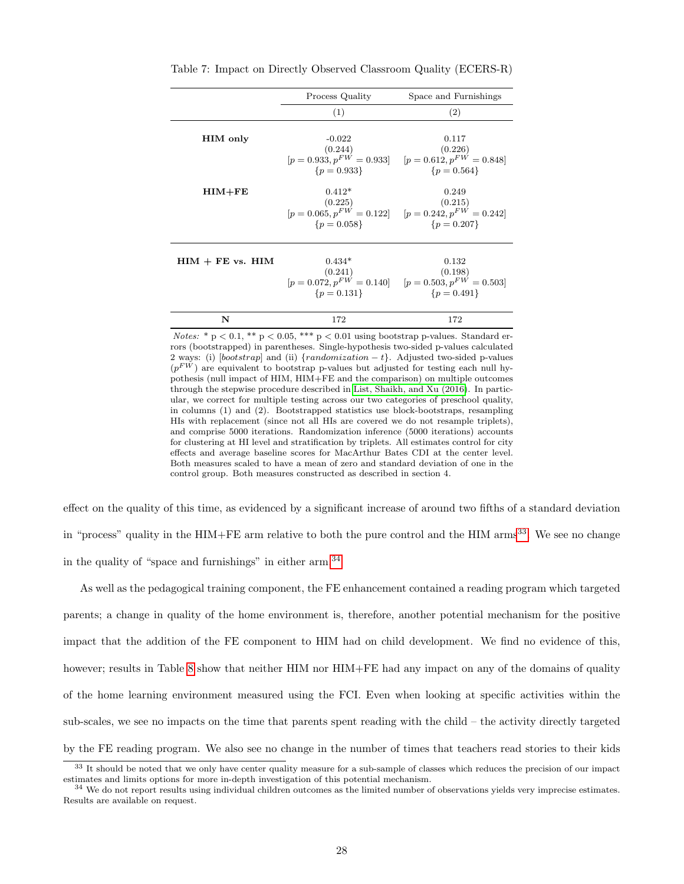|                      | Process Quality                                                       | Space and Furnishings                                                                            |
|----------------------|-----------------------------------------------------------------------|--------------------------------------------------------------------------------------------------|
|                      | (1)                                                                   | (2)                                                                                              |
| <b>HIM</b> only      | $-0.022$<br>(0.244)<br>$[p = 0.933, p^{FW} = 0.933]$<br>$\{p=0.933\}$ | 0.117<br>(0.226)<br>$[p = 0.612, p^{FW} = 0.848]$<br>${p = 0.564}$                               |
| $HIM + FE$           | $0.412*$<br>(0.225)<br>${p = 0.058}$                                  | 0.249<br>(0.215)<br>$[p = 0.065, p^{FW} = 0.122]$ $[p = 0.242, p^{FW} = 0.242]$<br>${p = 0.207}$ |
| $HIM + FE$ vs. $HIM$ | $0.434*$<br>(0.241)<br>$[p = 0.072, p^{FW} = 0.140]$<br>$\{p=0.131\}$ | 0.132<br>(0.198)<br>$[p = 0.503, p^{FW} = 0.503]$<br>$\{p=0.491\}$                               |
| N                    | 172                                                                   | 172                                                                                              |

<span id="page-28-0"></span>Table 7: Impact on Directly Observed Classroom Quality (ECERS-R)

Notes:  $* p < 0.1$ ,  $** p < 0.05$ ,  $** p < 0.01$  using bootstrap p-values. Standard errors (bootstrapped) in parentheses. Single-hypothesis two-sided p-values calculated 2 ways: (i) [bootstrap] and (ii)  $\{randomization - t\}$ . Adjusted two-sided p-values  $(p<sup>FW</sup>)$  are equivalent to bootstrap p-values but adjusted for testing each null hypothesis (null impact of HIM, HIM+FE and the comparison) on multiple outcomes through the stepwise procedure described in [List, Shaikh, and Xu \(2016\)](#page-38-7). In particular, we correct for multiple testing across our two categories of preschool quality, in columns (1) and (2). Bootstrapped statistics use block-bootstraps, resampling HIs with replacement (since not all HIs are covered we do not resample triplets), and comprise 5000 iterations. Randomization inference (5000 iterations) accounts for clustering at HI level and stratification by triplets. All estimates control for city effects and average baseline scores for MacArthur Bates CDI at the center level. Both measures scaled to have a mean of zero and standard deviation of one in the control group. Both measures constructed as described in section 4.

effect on the quality of this time, as evidenced by a significant increase of around two fifths of a standard deviation in "process" quality in the HIM+FE arm relative to both the pure control and the HIM arms<sup>[33](#page--1-0)</sup>. We see no change in the quality of "space and furnishings" in either arm.[34](#page--1-0)

As well as the pedagogical training component, the FE enhancement contained a reading program which targeted parents; a change in quality of the home environment is, therefore, another potential mechanism for the positive impact that the addition of the FE component to HIM had on child development. We find no evidence of this, however; results in Table [8](#page-30-0) show that neither HIM nor HIM+FE had any impact on any of the domains of quality of the home learning environment measured using the FCI. Even when looking at specific activities within the sub-scales, we see no impacts on the time that parents spent reading with the child – the activity directly targeted by the FE reading program. We also see no change in the number of times that teachers read stories to their kids

<sup>&</sup>lt;sup>33</sup> It should be noted that we only have center quality measure for a sub-sample of classes which reduces the precision of our impact estimates and limits options for more in-depth investigation of this potential mechanism.

<sup>&</sup>lt;sup>34</sup> We do not report results using individual children outcomes as the limited number of observations yields very imprecise estimates. Results are available on request.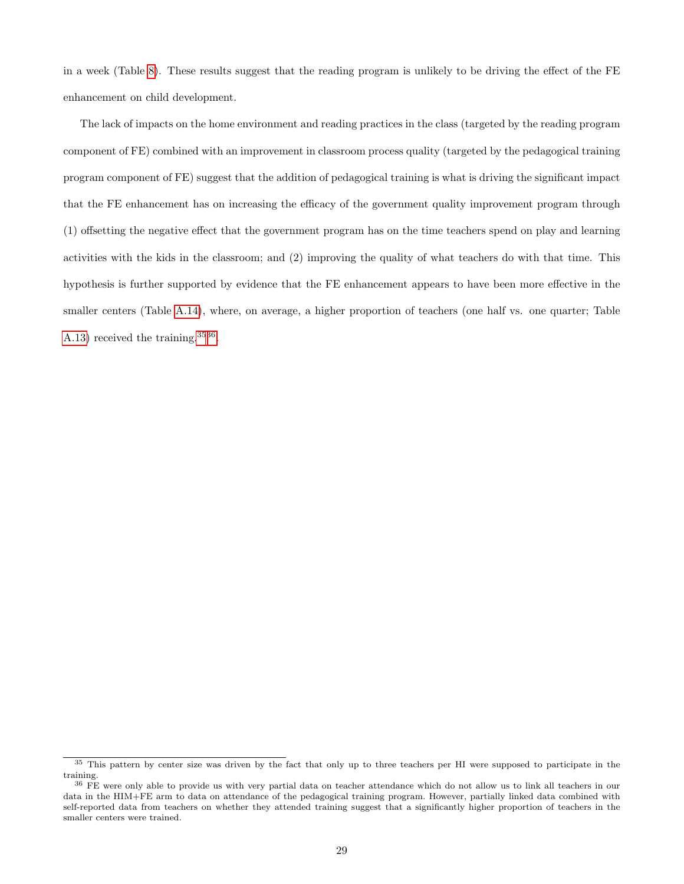in a week (Table [8\)](#page-30-0). These results suggest that the reading program is unlikely to be driving the effect of the FE enhancement on child development.

The lack of impacts on the home environment and reading practices in the class (targeted by the reading program component of FE) combined with an improvement in classroom process quality (targeted by the pedagogical training program component of FE) suggest that the addition of pedagogical training is what is driving the significant impact that the FE enhancement has on increasing the efficacy of the government quality improvement program through (1) offsetting the negative effect that the government program has on the time teachers spend on play and learning activities with the kids in the classroom; and (2) improving the quality of what teachers do with that time. This hypothesis is further supported by evidence that the FE enhancement appears to have been more effective in the smaller centers (Table [A.14\)](#page-50-0), where, on average, a higher proportion of teachers (one half vs. one quarter; Table [A.13\)](#page-49-0) received the training.<sup>[3536](#page--1-0)</sup>.

<sup>&</sup>lt;sup>35</sup> This pattern by center size was driven by the fact that only up to three teachers per HI were supposed to participate in the training.

<sup>&</sup>lt;sup>36</sup> FE were only able to provide us with very partial data on teacher attendance which do not allow us to link all teachers in our data in the HIM+FE arm to data on attendance of the pedagogical training program. However, partially linked data combined with self-reported data from teachers on whether they attended training suggest that a significantly higher proportion of teachers in the smaller centers were trained.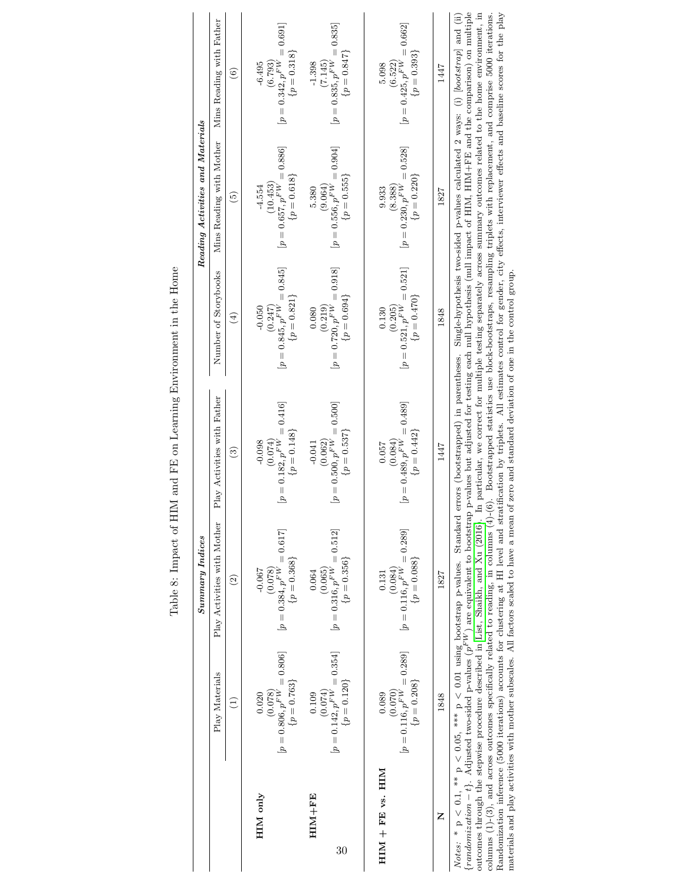<span id="page-30-0"></span>

|                  |                                                                        | Summary~Indices                                                                                                                                                                        |                                                                                                                                                                                                                                                                                                                                                                                                                                                                                                                                                                                                                                                                                                                                                                                                                                                                                                                               |                                                                                                                    | Reading Activities and Materials                                         |                                                                         |
|------------------|------------------------------------------------------------------------|----------------------------------------------------------------------------------------------------------------------------------------------------------------------------------------|-------------------------------------------------------------------------------------------------------------------------------------------------------------------------------------------------------------------------------------------------------------------------------------------------------------------------------------------------------------------------------------------------------------------------------------------------------------------------------------------------------------------------------------------------------------------------------------------------------------------------------------------------------------------------------------------------------------------------------------------------------------------------------------------------------------------------------------------------------------------------------------------------------------------------------|--------------------------------------------------------------------------------------------------------------------|--------------------------------------------------------------------------|-------------------------------------------------------------------------|
|                  | Play Materials                                                         | Play Activities with Mother                                                                                                                                                            | Play Activities with Father                                                                                                                                                                                                                                                                                                                                                                                                                                                                                                                                                                                                                                                                                                                                                                                                                                                                                                   | Number of Storybooks                                                                                               | Mins Reading with Mother                                                 | Mins Reading with Father                                                |
|                  | $\widehat{\Xi}$                                                        | $\widehat{c}$                                                                                                                                                                          | $\odot$                                                                                                                                                                                                                                                                                                                                                                                                                                                                                                                                                                                                                                                                                                                                                                                                                                                                                                                       | $\widehat{E}$                                                                                                      | $\widehat{5}$                                                            | $\left(6\right)$                                                        |
| HIM only         | $[p = 0.806, p^{F V'} = 0.806]$<br>$\{p = 0.763\}$<br>(0.078)<br>0.020 | $[p = 0.384, p^{FW} = 0.617]$<br>$\{p = 0.368\}$<br>(0.078)<br>$-0.067$                                                                                                                | $[p = 0.182, p^{FW} = 0.416]$<br>$\{p = 0.148\}$<br>(0.074)<br>$-0.098$                                                                                                                                                                                                                                                                                                                                                                                                                                                                                                                                                                                                                                                                                                                                                                                                                                                       | $[p = 0.845, p^{FW} = 0.845]$<br>$\{p = 0.821\}$<br>$-0.050$<br>(0.247)                                            | $[p = 0.657, p^{FW} = 0.886]$<br>$\{p = 0.618\}$<br>(10.453)<br>$-4.554$ | $[p = 0.342, p^{FW} = 0.691]$<br>$\{p = 0.318\}$<br>$-6.495$<br>(6.793) |
| HIM+FE<br>30     | $[p = 0.142, p^{FW} = 0.354]$<br>$\{p=0.120\}$<br>(0.074)<br>0.109     | $[p = 0.316, p^{FW} = 0.512]$<br>$\{p = 0.356\}$<br>(0.065)<br>0.064                                                                                                                   | $[p = 0.500, p^{FW} = 0.500]$<br>$\{p = 0.537\}$<br>(0.062)<br>$-0.041$                                                                                                                                                                                                                                                                                                                                                                                                                                                                                                                                                                                                                                                                                                                                                                                                                                                       | $[p = 0.720, p^{FW} = 0.918]$<br>$\{p = 0.694\}$<br>(0.219)<br>0.080                                               | $[p = 0.556, p^{FW} = 0.904]$<br>$\{p = 0.555\}$<br>(9.064)<br>5.380     | $[p = 0.835, p^{FW} = 0.835]$<br>$\{p=0.847\}$<br>$-1.398$<br>(7.145)   |
| HIM + FE vs. HIM | $[p = 0.116, p^{FW} = 0.289]$<br>$\{p = 0.208\}$<br>0.089              | $[p = 0.116, p^{FW} = 0.289]$<br>$\{p = 0.088\}$<br>0.131                                                                                                                              | $[p = 0.489, p^{FW} = 0.489]$<br>$\{p=0.442\}$<br>0.057                                                                                                                                                                                                                                                                                                                                                                                                                                                                                                                                                                                                                                                                                                                                                                                                                                                                       | $[p = 0.521, p^{FW} = 0.521]$<br>$\{p = 0.470\}$<br>0.130                                                          | $[p = 0.230, p^{FW} = 0.528]$<br>$\{p=0.220\}$<br>9.933                  | $[p = 0.425, p^{FW} = 0.662]$<br>$\{p = 0.393\}$<br>5.098               |
| Z                | 1848                                                                   | 1827                                                                                                                                                                                   | 1447                                                                                                                                                                                                                                                                                                                                                                                                                                                                                                                                                                                                                                                                                                                                                                                                                                                                                                                          | 1848                                                                                                               | 1827                                                                     | 1447                                                                    |
|                  |                                                                        | materials and play activities with mother subscales. All factors scaled to have a mean of<br>$\{randomization - t\}$ . Adjusted two-sided p-values $(pFW)$ are equivalent to bootstrap | outcomes through the stepwise procedure described in List, Shaikh, and Xu (2016). In particular, we correct for multiple testing separately across summary outcomes related to the home environment, in<br>Randomization inference (5000 iterations) accounts for clustering at HI level and stratification by triplets. All estimates control for gender, city effects, interviewer effects and baseline scores for the play<br>Notes: * $p < 0.1$ , ** $p < 0.05$ , *** $p < 0.01$ using bootstrap p-values. Standard errors (bootstrapped) in parentheses. Single-hypothesis two-sided p-values calculated 2 ways: (i) [bootstrap] and (ii)<br>columns $(1)-(3)$ , and across outcomes specifically related to reading, in columns $(4)-(6)$ . Bootstrapped statistics use block-bootstraps, resampling triplets with replacement, and comprise 5000 iterations.<br>ero and standard deviation of one in the control group | p-values but adjusted for testing each null hypothesis (null impact of HIM, HIM+FE and the comparison) on multiple |                                                                          |                                                                         |

Table 8: Impact of HIM and FE on Learning Environment in the Home Table 8: Impact of HIM and FE on Learning Environment in the Home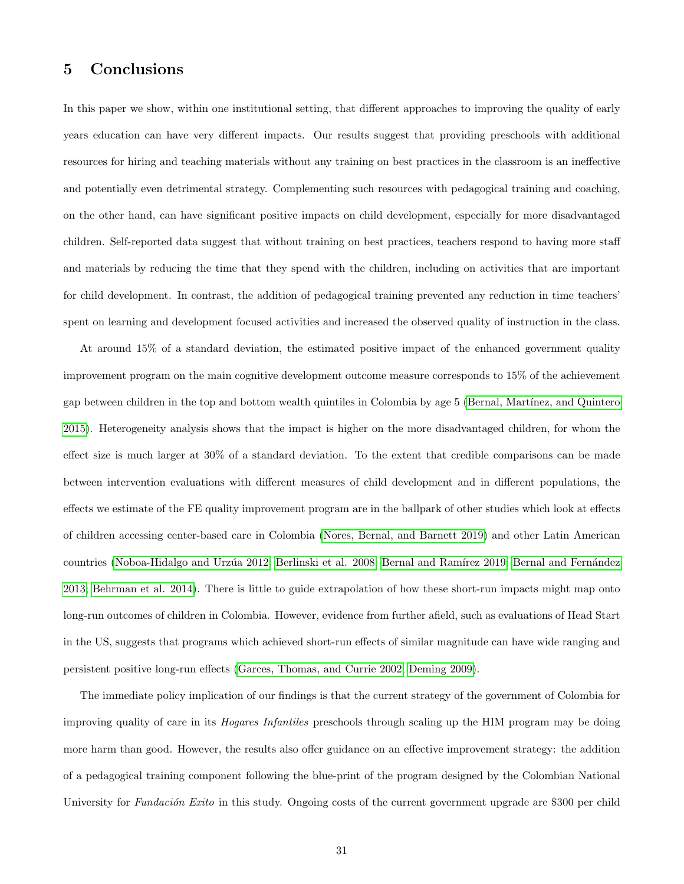# 5 Conclusions

In this paper we show, within one institutional setting, that different approaches to improving the quality of early years education can have very different impacts. Our results suggest that providing preschools with additional resources for hiring and teaching materials without any training on best practices in the classroom is an ineffective and potentially even detrimental strategy. Complementing such resources with pedagogical training and coaching, on the other hand, can have significant positive impacts on child development, especially for more disadvantaged children. Self-reported data suggest that without training on best practices, teachers respond to having more staff and materials by reducing the time that they spend with the children, including on activities that are important for child development. In contrast, the addition of pedagogical training prevented any reduction in time teachers' spent on learning and development focused activities and increased the observed quality of instruction in the class.

At around 15% of a standard deviation, the estimated positive impact of the enhanced government quality improvement program on the main cognitive development outcome measure corresponds to 15% of the achievement gap between children in the top and bottom wealth quintiles in Colombia by age 5 (Bernal, Martínez, and Quintero [2015\)](#page-34-4). Heterogeneity analysis shows that the impact is higher on the more disadvantaged children, for whom the effect size is much larger at 30% of a standard deviation. To the extent that credible comparisons can be made between intervention evaluations with different measures of child development and in different populations, the effects we estimate of the FE quality improvement program are in the ballpark of other studies which look at effects of children accessing center-based care in Colombia [\(Nores, Bernal, and Barnett 2019\)](#page-38-4) and other Latin American countries (Noboa-Hidalgo and Urzúa 2012; [Berlinski et al. 2008;](#page-34-10) Bernal and Ramírez 2019; Bernal and Fernández [2013;](#page-34-9) [Behrman et al. 2014\)](#page-34-11). There is little to guide extrapolation of how these short-run impacts might map onto long-run outcomes of children in Colombia. However, evidence from further afield, such as evaluations of Head Start in the US, suggests that programs which achieved short-run effects of similar magnitude can have wide ranging and persistent positive long-run effects [\(Garces, Thomas, and Currie 2002;](#page-36-9) [Deming 2009\)](#page-36-10).

The immediate policy implication of our findings is that the current strategy of the government of Colombia for improving quality of care in its Hogares Infantiles preschools through scaling up the HIM program may be doing more harm than good. However, the results also offer guidance on an effective improvement strategy: the addition of a pedagogical training component following the blue-print of the program designed by the Colombian National University for Fundación Exito in this study. Ongoing costs of the current government upgrade are \$300 per child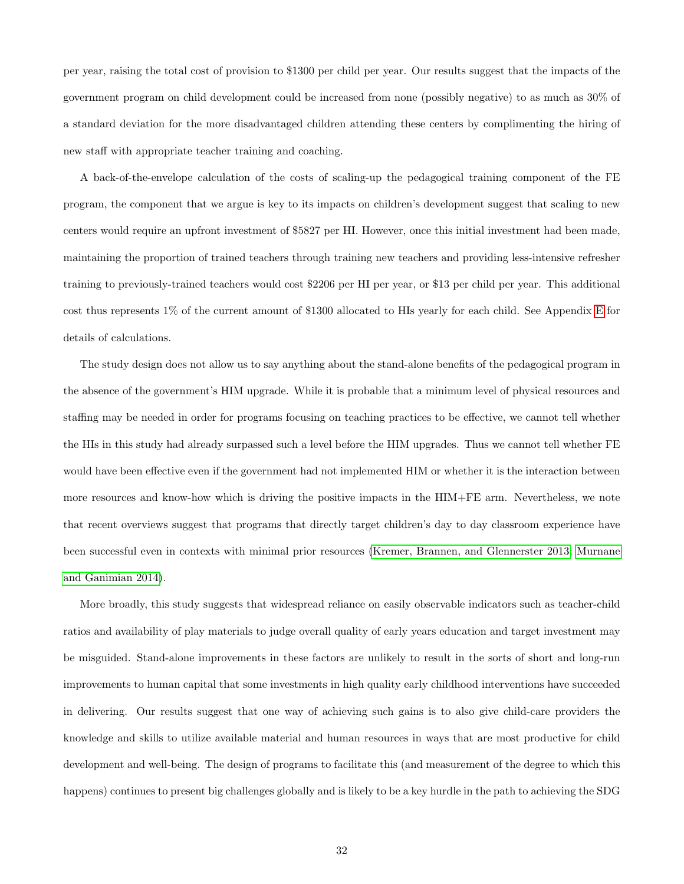per year, raising the total cost of provision to \$1300 per child per year. Our results suggest that the impacts of the government program on child development could be increased from none (possibly negative) to as much as 30% of a standard deviation for the more disadvantaged children attending these centers by complimenting the hiring of new staff with appropriate teacher training and coaching.

A back-of-the-envelope calculation of the costs of scaling-up the pedagogical training component of the FE program, the component that we argue is key to its impacts on children's development suggest that scaling to new centers would require an upfront investment of \$5827 per HI. However, once this initial investment had been made, maintaining the proportion of trained teachers through training new teachers and providing less-intensive refresher training to previously-trained teachers would cost \$2206 per HI per year, or \$13 per child per year. This additional cost thus represents 1% of the current amount of \$1300 allocated to HIs yearly for each child. See Appendix [E](#page-58-0) for details of calculations.

The study design does not allow us to say anything about the stand-alone benefits of the pedagogical program in the absence of the government's HIM upgrade. While it is probable that a minimum level of physical resources and staffing may be needed in order for programs focusing on teaching practices to be effective, we cannot tell whether the HIs in this study had already surpassed such a level before the HIM upgrades. Thus we cannot tell whether FE would have been effective even if the government had not implemented HIM or whether it is the interaction between more resources and know-how which is driving the positive impacts in the HIM+FE arm. Nevertheless, we note that recent overviews suggest that programs that directly target children's day to day classroom experience have been successful even in contexts with minimal prior resources [\(Kremer, Brannen, and Glennerster 2013;](#page-38-12) [Murnane](#page-38-0) [and Ganimian 2014\)](#page-38-0).

More broadly, this study suggests that widespread reliance on easily observable indicators such as teacher-child ratios and availability of play materials to judge overall quality of early years education and target investment may be misguided. Stand-alone improvements in these factors are unlikely to result in the sorts of short and long-run improvements to human capital that some investments in high quality early childhood interventions have succeeded in delivering. Our results suggest that one way of achieving such gains is to also give child-care providers the knowledge and skills to utilize available material and human resources in ways that are most productive for child development and well-being. The design of programs to facilitate this (and measurement of the degree to which this happens) continues to present big challenges globally and is likely to be a key hurdle in the path to achieving the SDG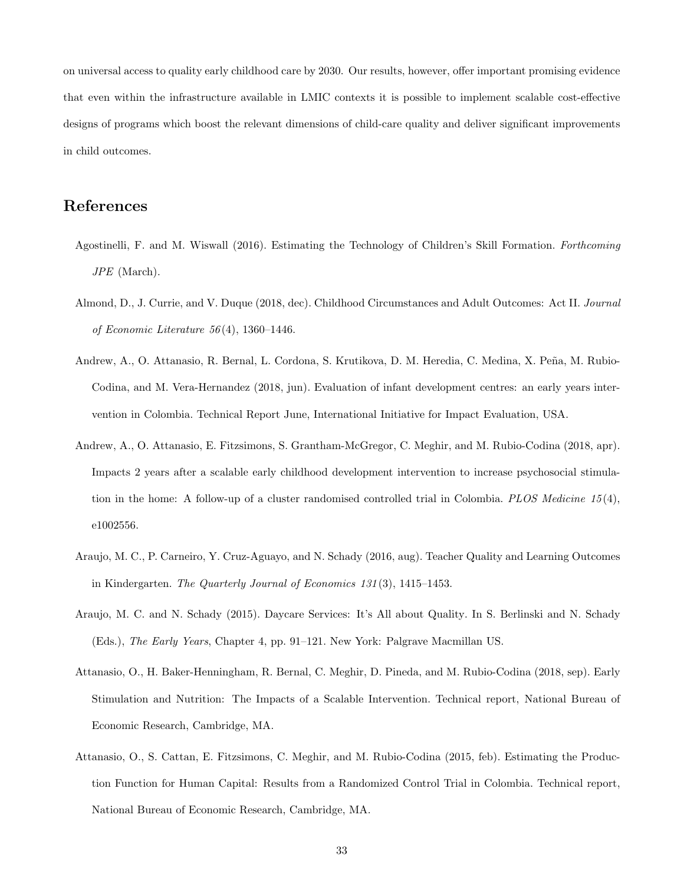on universal access to quality early childhood care by 2030. Our results, however, offer important promising evidence that even within the infrastructure available in LMIC contexts it is possible to implement scalable cost-effective designs of programs which boost the relevant dimensions of child-care quality and deliver significant improvements in child outcomes.

# References

- <span id="page-33-5"></span>Agostinelli, F. and M. Wiswall (2016). Estimating the Technology of Children's Skill Formation. Forthcoming JPE (March).
- <span id="page-33-0"></span>Almond, D., J. Currie, and V. Duque (2018, dec). Childhood Circumstances and Adult Outcomes: Act II. Journal of Economic Literature 56 (4), 1360–1446.
- <span id="page-33-6"></span>Andrew, A., O. Attanasio, R. Bernal, L. Cordona, S. Krutikova, D. M. Heredia, C. Medina, X. Peña, M. Rubio-Codina, and M. Vera-Hernandez (2018, jun). Evaluation of infant development centres: an early years intervention in Colombia. Technical Report June, International Initiative for Impact Evaluation, USA.
- <span id="page-33-7"></span>Andrew, A., O. Attanasio, E. Fitzsimons, S. Grantham-McGregor, C. Meghir, and M. Rubio-Codina (2018, apr). Impacts 2 years after a scalable early childhood development intervention to increase psychosocial stimulation in the home: A follow-up of a cluster randomised controlled trial in Colombia. PLOS Medicine 15 (4), e1002556.
- <span id="page-33-2"></span>Araujo, M. C., P. Carneiro, Y. Cruz-Aguayo, and N. Schady (2016, aug). Teacher Quality and Learning Outcomes in Kindergarten. The Quarterly Journal of Economics 131 (3), 1415–1453.
- <span id="page-33-1"></span>Araujo, M. C. and N. Schady (2015). Daycare Services: It's All about Quality. In S. Berlinski and N. Schady (Eds.), The Early Years, Chapter 4, pp. 91–121. New York: Palgrave Macmillan US.
- <span id="page-33-3"></span>Attanasio, O., H. Baker-Henningham, R. Bernal, C. Meghir, D. Pineda, and M. Rubio-Codina (2018, sep). Early Stimulation and Nutrition: The Impacts of a Scalable Intervention. Technical report, National Bureau of Economic Research, Cambridge, MA.
- <span id="page-33-4"></span>Attanasio, O., S. Cattan, E. Fitzsimons, C. Meghir, and M. Rubio-Codina (2015, feb). Estimating the Production Function for Human Capital: Results from a Randomized Control Trial in Colombia. Technical report, National Bureau of Economic Research, Cambridge, MA.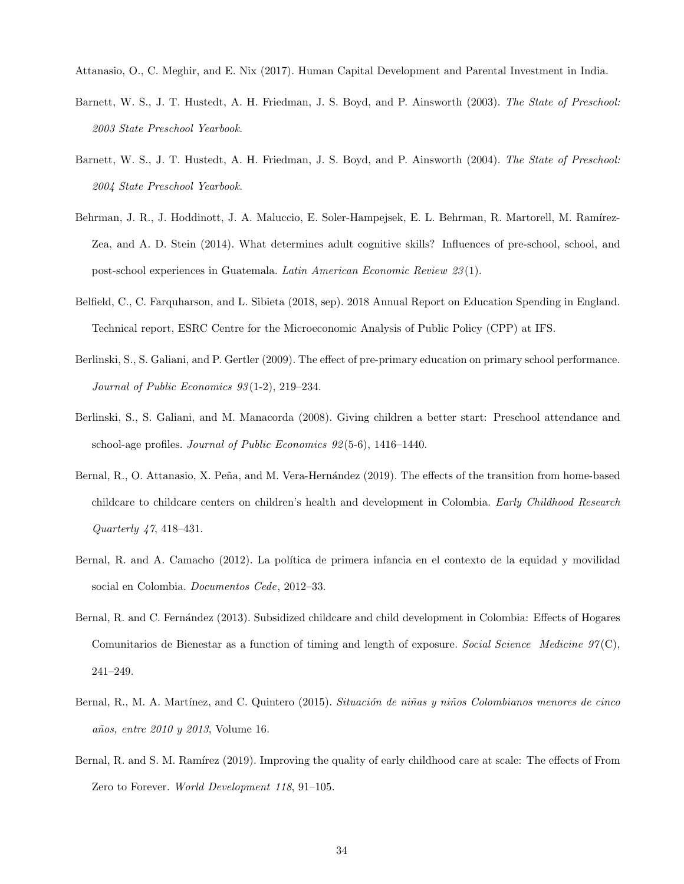<span id="page-34-5"></span><span id="page-34-1"></span>Attanasio, O., C. Meghir, and E. Nix (2017). Human Capital Development and Parental Investment in India.

- Barnett, W. S., J. T. Hustedt, A. H. Friedman, J. S. Boyd, and P. Ainsworth (2003). The State of Preschool: 2003 State Preschool Yearbook.
- <span id="page-34-2"></span>Barnett, W. S., J. T. Hustedt, A. H. Friedman, J. S. Boyd, and P. Ainsworth (2004). The State of Preschool: 2004 State Preschool Yearbook.
- <span id="page-34-11"></span>Behrman, J. R., J. Hoddinott, J. A. Maluccio, E. Soler-Hampejsek, E. L. Behrman, R. Martorell, M. Ramírez-Zea, and A. D. Stein (2014). What determines adult cognitive skills? Influences of pre-school, school, and post-school experiences in Guatemala. Latin American Economic Review 23 (1).
- <span id="page-34-0"></span>Belfield, C., C. Farquharson, and L. Sibieta (2018, sep). 2018 Annual Report on Education Spending in England. Technical report, ESRC Centre for the Microeconomic Analysis of Public Policy (CPP) at IFS.
- <span id="page-34-8"></span>Berlinski, S., S. Galiani, and P. Gertler (2009). The effect of pre-primary education on primary school performance. Journal of Public Economics 93 (1-2), 219–234.
- <span id="page-34-10"></span>Berlinski, S., S. Galiani, and M. Manacorda (2008). Giving children a better start: Preschool attendance and school-age profiles. Journal of Public Economics 92 (5-6), 1416–1440.
- <span id="page-34-3"></span>Bernal, R., O. Attanasio, X. Peña, and M. Vera-Hernández (2019). The effects of the transition from home-based childcare to childcare centers on children's health and development in Colombia. Early Childhood Research Quarterly 47, 418–431.
- <span id="page-34-6"></span>Bernal, R. and A. Camacho (2012). La política de primera infancia en el contexto de la equidad y movilidad social en Colombia. Documentos Cede, 2012–33.
- <span id="page-34-9"></span>Bernal, R. and C. Fernández (2013). Subsidized childcare and child development in Colombia: Effects of Hogares Comunitarios de Bienestar as a function of timing and length of exposure. Social Science Medicine  $97(C)$ , 241–249.
- <span id="page-34-4"></span>Bernal, R., M. A. Martínez, and C. Quintero (2015). Situación de niñas y niños Colombianos menores de cinco años, entre 2010 y 2013, Volume 16.
- <span id="page-34-7"></span>Bernal, R. and S. M. Ramírez (2019). Improving the quality of early childhood care at scale: The effects of From Zero to Forever. World Development 118, 91–105.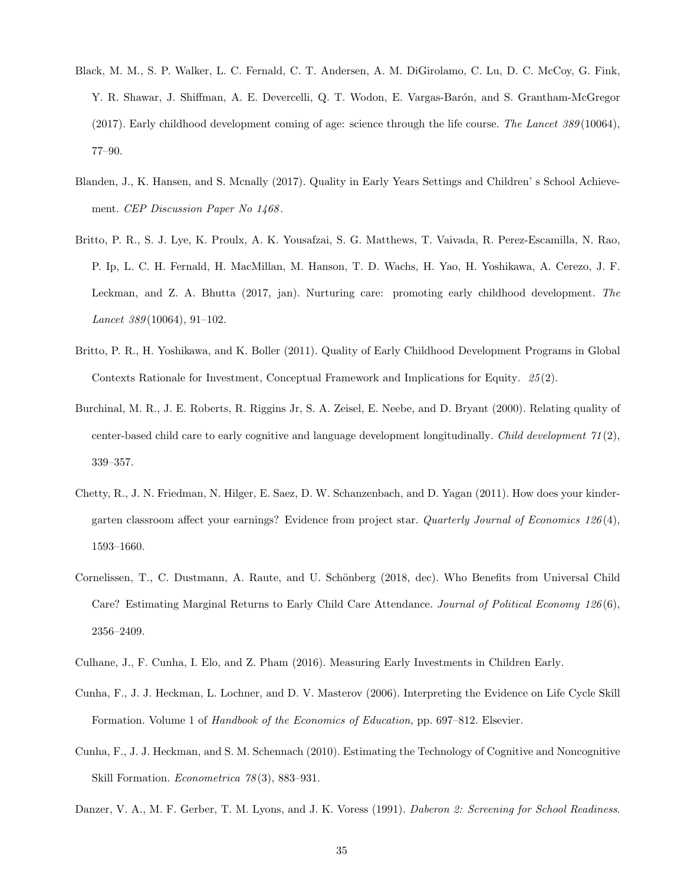- <span id="page-35-0"></span>Black, M. M., S. P. Walker, L. C. Fernald, C. T. Andersen, A. M. DiGirolamo, C. Lu, D. C. McCoy, G. Fink, Y. R. Shawar, J. Shiffman, A. E. Devercelli, Q. T. Wodon, E. Vargas-Barón, and S. Grantham-McGregor (2017). Early childhood development coming of age: science through the life course. The Lancet  $389(10064)$ , 77–90.
- <span id="page-35-4"></span>Blanden, J., K. Hansen, and S. Mcnally (2017). Quality in Early Years Settings and Children' s School Achievement. CEP Discussion Paper No 1468.
- <span id="page-35-1"></span>Britto, P. R., S. J. Lye, K. Proulx, A. K. Yousafzai, S. G. Matthews, T. Vaivada, R. Perez-Escamilla, N. Rao, P. Ip, L. C. H. Fernald, H. MacMillan, M. Hanson, T. D. Wachs, H. Yao, H. Yoshikawa, A. Cerezo, J. F. Leckman, and Z. A. Bhutta (2017, jan). Nurturing care: promoting early childhood development. The Lancet 389 (10064), 91–102.
- <span id="page-35-3"></span>Britto, P. R., H. Yoshikawa, and K. Boller (2011). Quality of Early Childhood Development Programs in Global Contexts Rationale for Investment, Conceptual Framework and Implications for Equity. 25 (2).
- <span id="page-35-8"></span>Burchinal, M. R., J. E. Roberts, R. Riggins Jr, S. A. Zeisel, E. Neebe, and D. Bryant (2000). Relating quality of center-based child care to early cognitive and language development longitudinally. Child development  $\gamma_1(2)$ , 339–357.
- <span id="page-35-6"></span>Chetty, R., J. N. Friedman, N. Hilger, E. Saez, D. W. Schanzenbach, and D. Yagan (2011). How does your kindergarten classroom affect your earnings? Evidence from project star. Quarterly Journal of Economics 126(4), 1593–1660.
- <span id="page-35-10"></span>Cornelissen, T., C. Dustmann, A. Raute, and U. Schönberg (2018, dec). Who Benefits from Universal Child Care? Estimating Marginal Returns to Early Child Care Attendance. Journal of Political Economy 126 (6), 2356–2409.
- <span id="page-35-9"></span><span id="page-35-2"></span>Culhane, J., F. Cunha, I. Elo, and Z. Pham (2016). Measuring Early Investments in Children Early.
- Cunha, F., J. J. Heckman, L. Lochner, and D. V. Masterov (2006). Interpreting the Evidence on Life Cycle Skill Formation. Volume 1 of Handbook of the Economics of Education, pp. 697–812. Elsevier.
- <span id="page-35-5"></span>Cunha, F., J. J. Heckman, and S. M. Schennach (2010). Estimating the Technology of Cognitive and Noncognitive Skill Formation. Econometrica 78(3), 883-931.
- <span id="page-35-7"></span>Danzer, V. A., M. F. Gerber, T. M. Lyons, and J. K. Voress (1991). Daberon 2: Screening for School Readiness.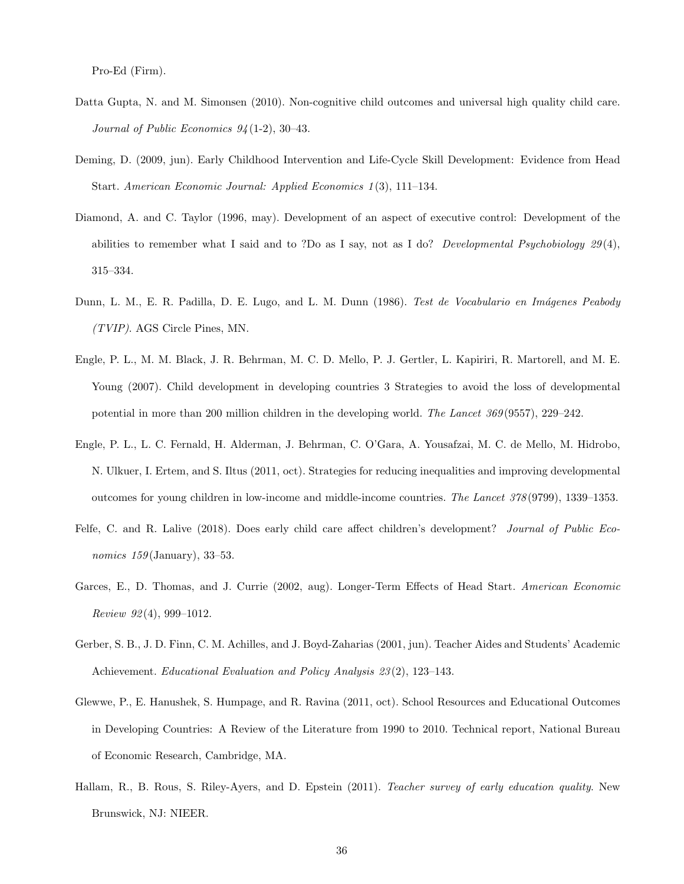Pro-Ed (Firm).

- <span id="page-36-5"></span>Datta Gupta, N. and M. Simonsen (2010). Non-cognitive child outcomes and universal high quality child care. Journal of Public Economics 94 (1-2), 30–43.
- <span id="page-36-10"></span>Deming, D. (2009, jun). Early Childhood Intervention and Life-Cycle Skill Development: Evidence from Head Start. American Economic Journal: Applied Economics 1 (3), 111–134.
- <span id="page-36-7"></span>Diamond, A. and C. Taylor (1996, may). Development of an aspect of executive control: Development of the abilities to remember what I said and to ?Do as I say, not as I do? Developmental Psychobiology  $29(4)$ , 315–334.
- <span id="page-36-6"></span>Dunn, L. M., E. R. Padilla, D. E. Lugo, and L. M. Dunn (1986). Test de Vocabulario en Imágenes Peabody (TVIP). AGS Circle Pines, MN.
- <span id="page-36-0"></span>Engle, P. L., M. M. Black, J. R. Behrman, M. C. D. Mello, P. J. Gertler, L. Kapiriri, R. Martorell, and M. E. Young (2007). Child development in developing countries 3 Strategies to avoid the loss of developmental potential in more than 200 million children in the developing world. The Lancet 369 (9557), 229–242.
- <span id="page-36-1"></span>Engle, P. L., L. C. Fernald, H. Alderman, J. Behrman, C. O'Gara, A. Yousafzai, M. C. de Mello, M. Hidrobo, N. Ulkuer, I. Ertem, and S. Iltus (2011, oct). Strategies for reducing inequalities and improving developmental outcomes for young children in low-income and middle-income countries. The Lancet 378 (9799), 1339–1353.
- <span id="page-36-2"></span>Felfe, C. and R. Lalive (2018). Does early child care affect children's development? Journal of Public Economics  $159$  (January), 33–53.
- <span id="page-36-9"></span>Garces, E., D. Thomas, and J. Currie (2002, aug). Longer-Term Effects of Head Start. American Economic Review  $92(4)$ , 999-1012.
- <span id="page-36-4"></span>Gerber, S. B., J. D. Finn, C. M. Achilles, and J. Boyd-Zaharias (2001, jun). Teacher Aides and Students' Academic Achievement. Educational Evaluation and Policy Analysis 23 (2), 123–143.
- <span id="page-36-3"></span>Glewwe, P., E. Hanushek, S. Humpage, and R. Ravina (2011, oct). School Resources and Educational Outcomes in Developing Countries: A Review of the Literature from 1990 to 2010. Technical report, National Bureau of Economic Research, Cambridge, MA.
- <span id="page-36-8"></span>Hallam, R., B. Rous, S. Riley-Ayers, and D. Epstein (2011). Teacher survey of early education quality. New Brunswick, NJ: NIEER.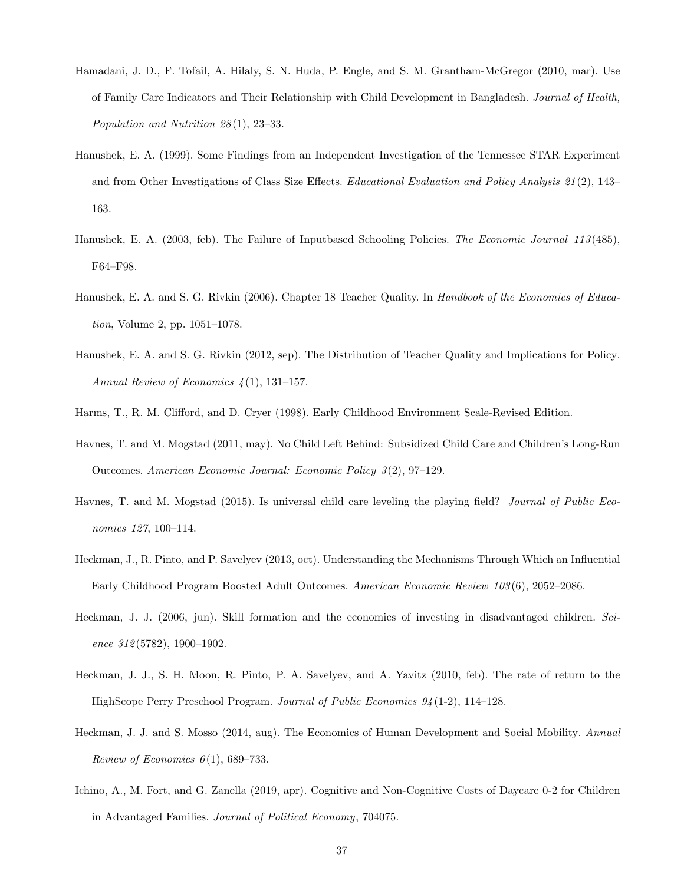- <span id="page-37-11"></span>Hamadani, J. D., F. Tofail, A. Hilaly, S. N. Huda, P. Engle, and S. M. Grantham-McGregor (2010, mar). Use of Family Care Indicators and Their Relationship with Child Development in Bangladesh. Journal of Health, Population and Nutrition 28 (1), 23–33.
- <span id="page-37-9"></span>Hanushek, E. A. (1999). Some Findings from an Independent Investigation of the Tennessee STAR Experiment and from Other Investigations of Class Size Effects. Educational Evaluation and Policy Analysis 21 (2), 143– 163.
- <span id="page-37-5"></span>Hanushek, E. A. (2003, feb). The Failure of Inputbased Schooling Policies. The Economic Journal 113 (485), F64–F98.
- <span id="page-37-6"></span>Hanushek, E. A. and S. G. Rivkin (2006). Chapter 18 Teacher Quality. In Handbook of the Economics of Education, Volume 2, pp. 1051–1078.
- <span id="page-37-8"></span>Hanushek, E. A. and S. G. Rivkin (2012, sep). The Distribution of Teacher Quality and Implications for Policy. Annual Review of Economics  $\mathcal{L}(1)$ , 131–157.
- <span id="page-37-10"></span><span id="page-37-7"></span>Harms, T., R. M. Clifford, and D. Cryer (1998). Early Childhood Environment Scale-Revised Edition.
- Havnes, T. and M. Mogstad (2011, may). No Child Left Behind: Subsidized Child Care and Children's Long-Run Outcomes. American Economic Journal: Economic Policy 3 (2), 97–129.
- <span id="page-37-12"></span>Havnes, T. and M. Mogstad (2015). Is universal child care leveling the playing field? Journal of Public Economics 127, 100–114.
- <span id="page-37-2"></span>Heckman, J., R. Pinto, and P. Savelyev (2013, oct). Understanding the Mechanisms Through Which an Influential Early Childhood Program Boosted Adult Outcomes. American Economic Review 103 (6), 2052–2086.
- <span id="page-37-0"></span>Heckman, J. J. (2006, jun). Skill formation and the economics of investing in disadvantaged children. Science 312 (5782), 1900–1902.
- <span id="page-37-1"></span>Heckman, J. J., S. H. Moon, R. Pinto, P. A. Savelyev, and A. Yavitz (2010, feb). The rate of return to the HighScope Perry Preschool Program. Journal of Public Economics 94 (1-2), 114–128.
- <span id="page-37-3"></span>Heckman, J. J. and S. Mosso (2014, aug). The Economics of Human Development and Social Mobility. Annual Review of Economics  $6(1)$ , 689–733.
- <span id="page-37-4"></span>Ichino, A., M. Fort, and G. Zanella (2019, apr). Cognitive and Non-Cognitive Costs of Daycare 0-2 for Children in Advantaged Families. Journal of Political Economy, 704075.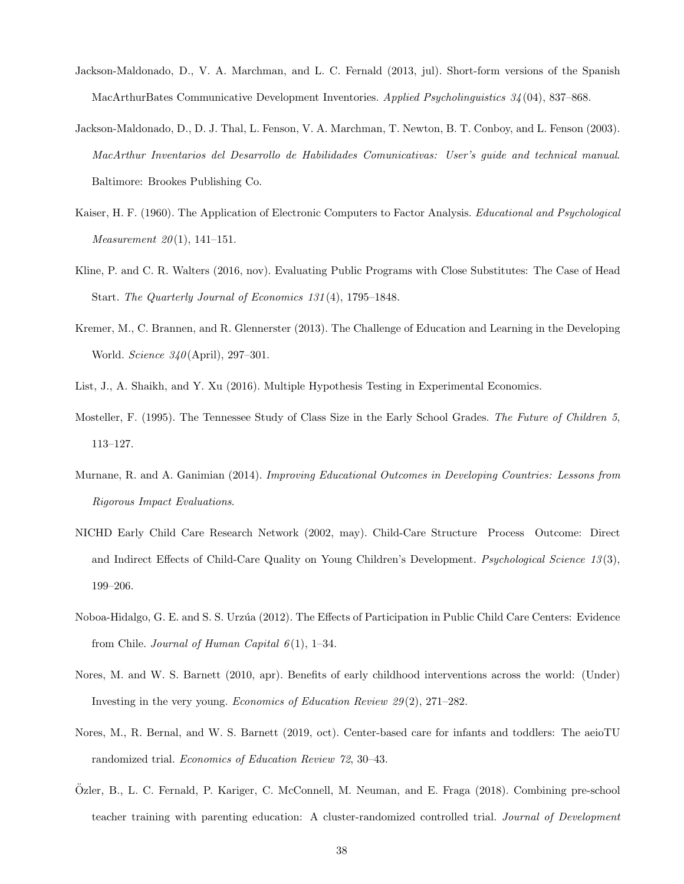- <span id="page-38-5"></span>Jackson-Maldonado, D., V. A. Marchman, and L. C. Fernald (2013, jul). Short-form versions of the Spanish MacArthurBates Communicative Development Inventories. Applied Psycholinguistics 34 (04), 837–868.
- <span id="page-38-6"></span>Jackson-Maldonado, D., D. J. Thal, L. Fenson, V. A. Marchman, T. Newton, B. T. Conboy, and L. Fenson (2003). MacArthur Inventarios del Desarrollo de Habilidades Comunicativas: User's guide and technical manual. Baltimore: Brookes Publishing Co.
- <span id="page-38-9"></span>Kaiser, H. F. (1960). The Application of Electronic Computers to Factor Analysis. Educational and Psychological *Measurement*  $20(1)$ , 141-151.
- <span id="page-38-8"></span>Kline, P. and C. R. Walters (2016, nov). Evaluating Public Programs with Close Substitutes: The Case of Head Start. The Quarterly Journal of Economics 131 (4), 1795–1848.
- <span id="page-38-12"></span>Kremer, M., C. Brannen, and R. Glennerster (2013). The Challenge of Education and Learning in the Developing World. Science 340 (April), 297–301.
- <span id="page-38-10"></span><span id="page-38-7"></span>List, J., A. Shaikh, and Y. Xu (2016). Multiple Hypothesis Testing in Experimental Economics.
- Mosteller, F. (1995). The Tennessee Study of Class Size in the Early School Grades. The Future of Children 5, 113–127.
- <span id="page-38-0"></span>Murnane, R. and A. Ganimian (2014). Improving Educational Outcomes in Developing Countries: Lessons from Rigorous Impact Evaluations.
- <span id="page-38-2"></span>NICHD Early Child Care Research Network (2002, may). Child-Care Structure Process Outcome: Direct and Indirect Effects of Child-Care Quality on Young Children's Development. *Psychological Science 13(3)*, 199–206.
- <span id="page-38-11"></span>Noboa-Hidalgo, G. E. and S. S. Urz´ua (2012). The Effects of Participation in Public Child Care Centers: Evidence from Chile. Journal of Human Capital  $6(1)$ , 1–34.
- <span id="page-38-3"></span>Nores, M. and W. S. Barnett (2010, apr). Benefits of early childhood interventions across the world: (Under) Investing in the very young. Economics of Education Review  $29(2)$ ,  $271-282$ .
- <span id="page-38-4"></span>Nores, M., R. Bernal, and W. S. Barnett (2019, oct). Center-based care for infants and toddlers: The aeioTU randomized trial. Economics of Education Review 72, 30–43.
- <span id="page-38-1"></span>Ozler, B., L. C. Fernald, P. Kariger, C. McConnell, M. Neuman, and E. Fraga (2018). Combining pre-school ¨ teacher training with parenting education: A cluster-randomized controlled trial. Journal of Development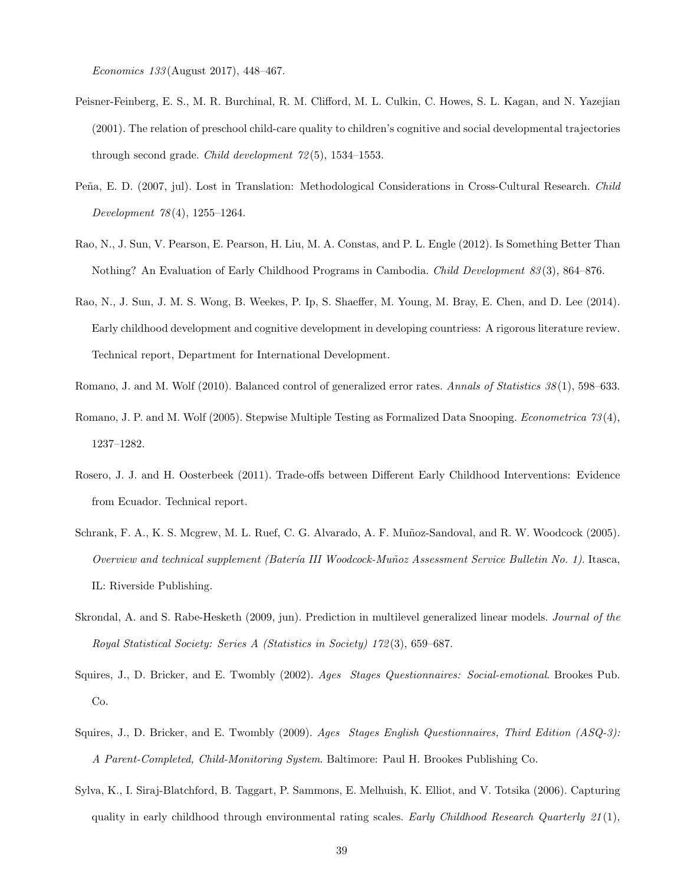Economics 133 (August 2017), 448–467.

- <span id="page-39-9"></span>Peisner-Feinberg, E. S., M. R. Burchinal, R. M. Clifford, M. L. Culkin, C. Howes, S. L. Kagan, and N. Yazejian (2001). The relation of preschool child-care quality to children's cognitive and social developmental trajectories through second grade. *Child development*  $72(5)$ , 1534–1553.
- <span id="page-39-7"></span>Peña, E. D. (2007, jul). Lost in Translation: Methodological Considerations in Cross-Cultural Research. Child Development 78 (4), 1255–1264.
- <span id="page-39-1"></span>Rao, N., J. Sun, V. Pearson, E. Pearson, H. Liu, M. A. Constas, and P. L. Engle (2012). Is Something Better Than Nothing? An Evaluation of Early Childhood Programs in Cambodia. Child Development 83(3), 864–876.
- <span id="page-39-2"></span>Rao, N., J. Sun, J. M. S. Wong, B. Weekes, P. Ip, S. Shaeffer, M. Young, M. Bray, E. Chen, and D. Lee (2014). Early childhood development and cognitive development in developing countriess: A rigorous literature review. Technical report, Department for International Development.
- <span id="page-39-6"></span><span id="page-39-5"></span>Romano, J. and M. Wolf (2010). Balanced control of generalized error rates. Annals of Statistics 38(1), 598–633.
- Romano, J. P. and M. Wolf (2005). Stepwise Multiple Testing as Formalized Data Snooping. Econometrica 73 (4), 1237–1282.
- <span id="page-39-0"></span>Rosero, J. J. and H. Oosterbeek (2011). Trade-offs between Different Early Childhood Interventions: Evidence from Ecuador. Technical report.
- <span id="page-39-8"></span>Schrank, F. A., K. S. Mcgrew, M. L. Ruef, C. G. Alvarado, A. F. Muñoz-Sandoval, and R. W. Woodcock (2005). Overview and technical supplement (Batería III Woodcock-Muñoz Assessment Service Bulletin No. 1). Itasca, IL: Riverside Publishing.
- <span id="page-39-11"></span>Skrondal, A. and S. Rabe-Hesketh (2009, jun). Prediction in multilevel generalized linear models. Journal of the Royal Statistical Society: Series A (Statistics in Society) 172 (3), 659–687.
- <span id="page-39-4"></span>Squires, J., D. Bricker, and E. Twombly (2002). Ages Stages Questionnaires: Social-emotional. Brookes Pub. Co.
- <span id="page-39-3"></span>Squires, J., D. Bricker, and E. Twombly (2009). Ages Stages English Questionnaires, Third Edition  $(ASQ-3)$ : A Parent-Completed, Child-Monitoring System. Baltimore: Paul H. Brookes Publishing Co.
- <span id="page-39-10"></span>Sylva, K., I. Siraj-Blatchford, B. Taggart, P. Sammons, E. Melhuish, K. Elliot, and V. Totsika (2006). Capturing quality in early childhood through environmental rating scales. Early Childhood Research Quarterly  $21(1)$ ,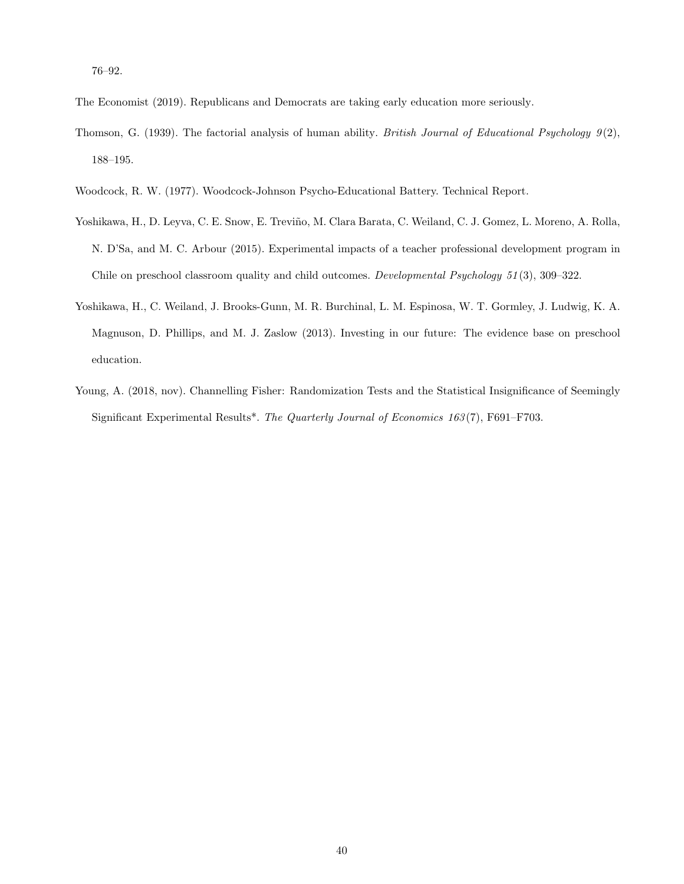76–92.

<span id="page-40-5"></span><span id="page-40-0"></span>The Economist (2019). Republicans and Democrats are taking early education more seriously.

- Thomson, G. (1939). The factorial analysis of human ability. British Journal of Educational Psychology  $9(2)$ , 188–195.
- <span id="page-40-4"></span><span id="page-40-2"></span>Woodcock, R. W. (1977). Woodcock-Johnson Psycho-Educational Battery. Technical Report.
- Yoshikawa, H., D. Leyva, C. E. Snow, E. Treviño, M. Clara Barata, C. Weiland, C. J. Gomez, L. Moreno, A. Rolla, N. D'Sa, and M. C. Arbour (2015). Experimental impacts of a teacher professional development program in Chile on preschool classroom quality and child outcomes. Developmental Psychology 51 (3), 309–322.
- <span id="page-40-1"></span>Yoshikawa, H., C. Weiland, J. Brooks-Gunn, M. R. Burchinal, L. M. Espinosa, W. T. Gormley, J. Ludwig, K. A. Magnuson, D. Phillips, and M. J. Zaslow (2013). Investing in our future: The evidence base on preschool education.
- <span id="page-40-3"></span>Young, A. (2018, nov). Channelling Fisher: Randomization Tests and the Statistical Insignificance of Seemingly Significant Experimental Results\*. The Quarterly Journal of Economics 163(7), F691–F703.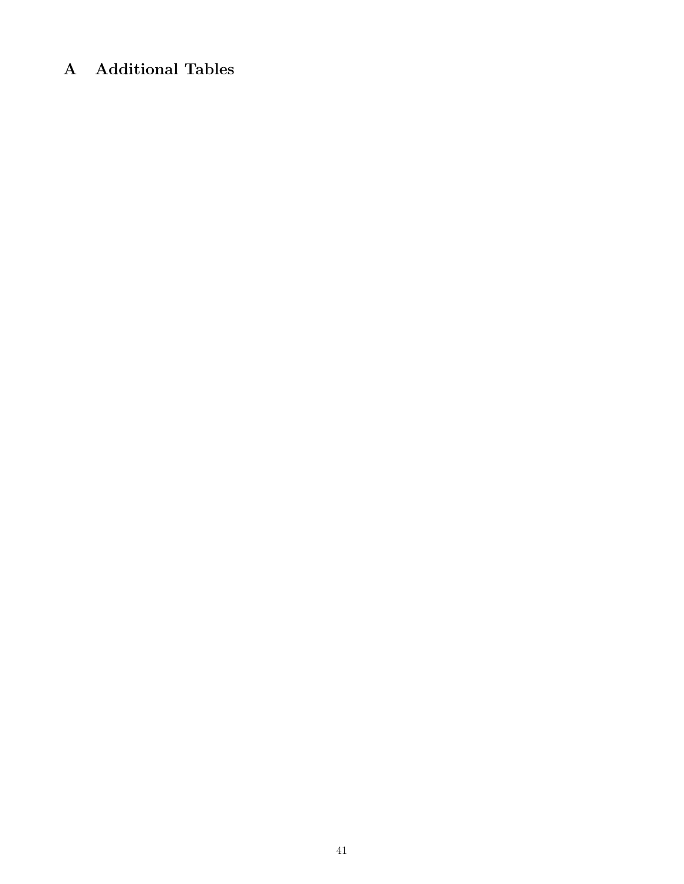# A Additional Tables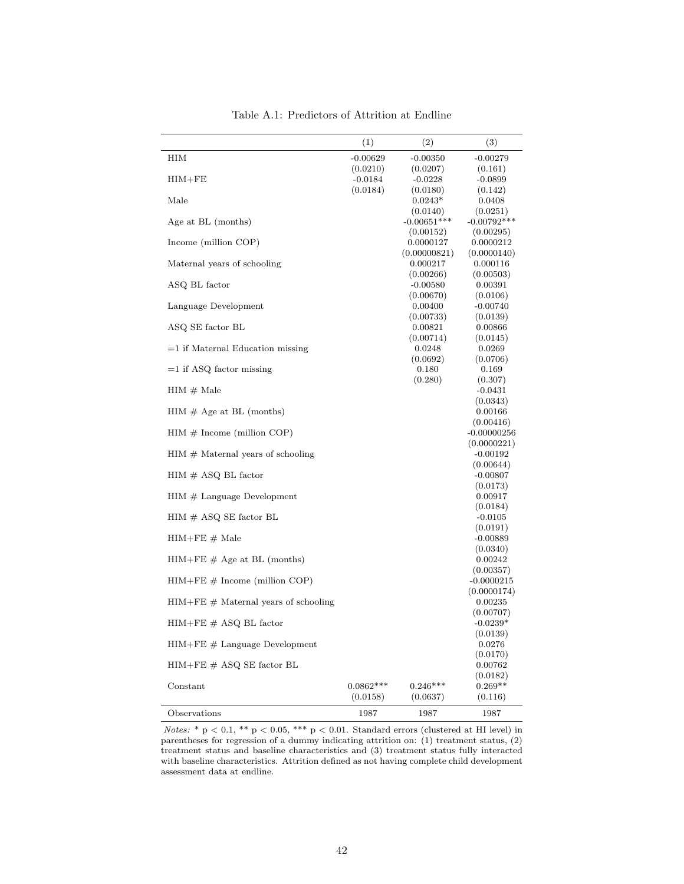<span id="page-42-0"></span>

|                                                              | (1)         | (2)                     | (3)                     |
|--------------------------------------------------------------|-------------|-------------------------|-------------------------|
| HІМ                                                          | $-0.00629$  | $-0.00350$              | $-0.00279$              |
|                                                              | (0.0210)    | (0.0207)                | (0.161)                 |
| $HIM + FE$                                                   | $-0.0184$   | $-0.0228$               | $-0.0899$               |
| Male                                                         | (0.0184)    | (0.0180)<br>$0.0243*$   | (0.142)<br>0.0408       |
|                                                              |             | (0.0140)                | (0.0251)                |
| Age at BL (months)                                           |             | $-0.00651***$           | $-0.00792***$           |
|                                                              |             | (0.00152)               | (0.00295)               |
| Income (million COP)                                         |             | 0.0000127               | 0.0000212               |
|                                                              |             | (0.00000821)            | (0.0000140)             |
| Maternal years of schooling                                  |             | 0.000217                | 0.000116                |
|                                                              |             | (0.00266)<br>$-0.00580$ | (0.00503)               |
| ASQ BL factor                                                |             | (0.00670)               | 0.00391<br>(0.0106)     |
| Language Development                                         |             | 0.00400                 | $-0.00740$              |
|                                                              |             | (0.00733)               | (0.0139)                |
| ASQ SE factor BL                                             |             | 0.00821                 | 0.00866                 |
|                                                              |             | (0.00714)               | (0.0145)                |
| $=1$ if Maternal Education missing                           |             | 0.0248                  | 0.0269                  |
|                                                              |             | (0.0692)                | (0.0706)                |
| $=1$ if ASQ factor missing                                   |             | 0.180<br>(0.280)        | 0.169                   |
| $HIM \# Male$                                                |             |                         | (0.307)<br>$-0.0431$    |
|                                                              |             |                         | (0.0343)                |
| $HIM \# Age$ at BL (months)                                  |             |                         | 0.00166                 |
|                                                              |             |                         | (0.00416)               |
| $HIM \# Income (million COP)$                                |             |                         | $-0.00000256$           |
|                                                              |             |                         | (0.0000221)             |
| $HIM \# \text{Material years of schooling}$                  |             |                         | $-0.00192$              |
| $HIM \# ASQ BL factor$                                       |             |                         | (0.00644)<br>$-0.00807$ |
|                                                              |             |                         | (0.0173)                |
| $HIM \#$ Language Development                                |             |                         | 0.00917                 |
|                                                              |             |                         | (0.0184)                |
| $HIM \# ASQ SE factor BL$                                    |             |                         | $-0.0105$               |
|                                                              |             |                         | (0.0191)                |
| $HIM + FE \# Male$                                           |             |                         | $-0.00889$              |
| $HIM + FE \# Age$ at BL (months)                             |             |                         | (0.0340)<br>0.00242     |
|                                                              |             |                         | (0.00357)               |
| $HIM + FE \# Income (million COP)$                           |             |                         | $-0.0000215$            |
|                                                              |             |                         | (0.0000174)             |
| $HIM + FE \# Material$ years of schooling                    |             |                         | 0.00235                 |
|                                                              |             |                         | (0.00707)               |
| $HIM + FE \# ASQ BL factor$                                  |             |                         | $-0.0239*$              |
| $\textit{HIM}+\textit{FE}\ \textit{\#}$ Language Development |             |                         | (0.0139)<br>0.0276      |
|                                                              |             |                         | (0.0170)                |
| $HIM + FE \# ASQ SE factor BL$                               |             |                         | 0.00762                 |
|                                                              |             |                         | (0.0182)                |
| Constant                                                     | $0.0862***$ | $0.246***$              | $0.269**$               |
|                                                              | (0.0158)    | (0.0637)                | (0.116)                 |
| Observations                                                 | 1987        | 1987                    | 1987                    |

Table A.1: Predictors of Attrition at Endline

Notes:  $* p < 0.1, ** p < 0.05, ** p < 0.01$ . Standard errors (clustered at HI level) in parentheses for regression of a dummy indicating attrition on: (1) treatment status, (2) treatment status and baseline characteristics and (3) treatment status fully interacted with baseline characteristics. Attrition defined as not having complete child development assessment data at endline.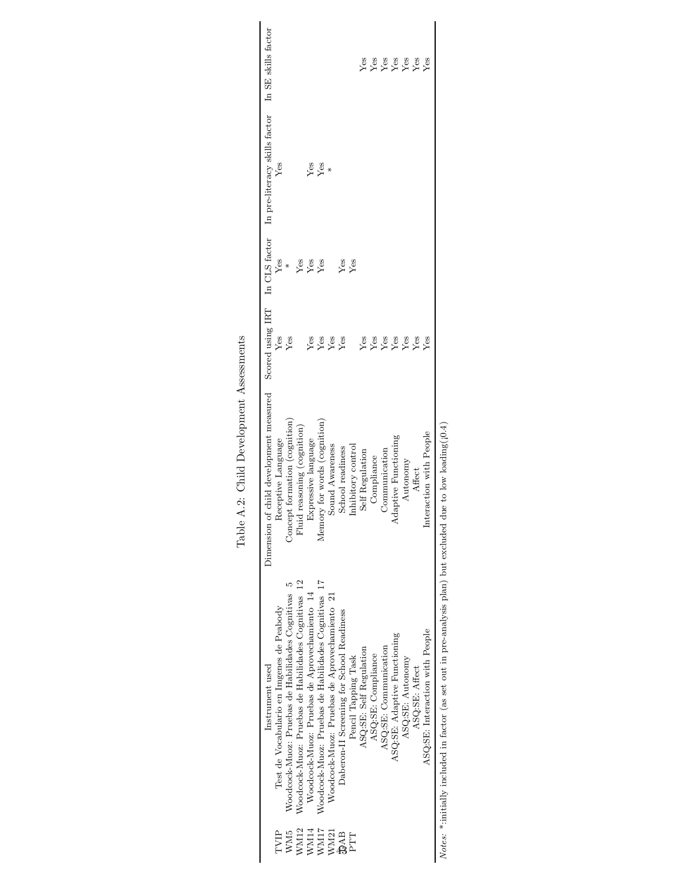<span id="page-43-0"></span>

|             | Instrument used                                                                                                           | Dimension of child development measured |                   |     | Scored using IRT In CLS factor In pre-literacy skills factor In SE skills factor |            |
|-------------|---------------------------------------------------------------------------------------------------------------------------|-----------------------------------------|-------------------|-----|----------------------------------------------------------------------------------|------------|
| TVIP        | Test de Vocabulario en Imgenes de Peabody                                                                                 | Receptive Language                      | Yes               | Yes | Yes                                                                              |            |
| WM5         | Woodcock-Muoz: Pruebas de Habilidades Cognitivas                                                                          | Concept formation (cognition)           | Yes               |     |                                                                                  |            |
| <b>WM12</b> | Woodcock-Muoz: Pruebas de Habilidades Cognitivas 12                                                                       | Fluid reasoning (cognition)             |                   | Yes |                                                                                  |            |
| $W$ M14     | Woodcock-Muoz: Pruebas de Aprovechamiento 14                                                                              | Expressive language                     | Yes               | Yes | Yes                                                                              |            |
| WM17        | Woodcock-Muoz: Pruebas de Habilidades Cognitivas 17                                                                       | Memory for words (cognition)            | Yes               | Yes | Yes                                                                              |            |
| <b>WM21</b> | Woodcock-Muoz: Pruebas de Aprovechamiento 21                                                                              | Sound Awareness                         | Yes               |     | ¥                                                                                |            |
| <b>EVE</b>  | Daberon-II Screening for School Readiness                                                                                 | School readiness                        | Yes               | Yes |                                                                                  |            |
| PTT         | Pencil Tapping Task                                                                                                       | Inhibitory control                      |                   | Yes |                                                                                  |            |
|             | ASQ:SE: Self Regulation                                                                                                   | Self Regulation                         | Yes               |     |                                                                                  | Yes        |
|             | ASQ:SE: Compliance                                                                                                        | Compliance                              | Yes               |     |                                                                                  |            |
|             | ASQ:SE: Communication                                                                                                     | Communication                           | <b>Yes</b><br>Yes |     |                                                                                  | Yes<br>Yes |
|             | ASQ:SE: Adaptive Functioning                                                                                              | daptive Functioning                     |                   |     |                                                                                  |            |
|             | ASQ:SE: Autonomy                                                                                                          | Autonomy                                | Yes               |     |                                                                                  | Yes        |
|             | ASQ:SE: Affect                                                                                                            | Affect                                  | $Y$ es            |     |                                                                                  | Yes        |
|             | ASQ:SE: Interaction with People                                                                                           | eraction with People<br>$_{\rm Int}$    | Ýes               |     |                                                                                  | Ýes        |
|             | <i>Notes:</i> *:initially included in factor (as set out in pre-analysis plan) but excluded due to low loading( $(0.4)$ ) |                                         |                   |     |                                                                                  |            |

excluded due to low loading(10.4) Notes: \*:initially included in factor (as set out in pre-analysis plan) but excluded due to low loading( $[0.4]$ ) analysis plan) but  $\frac{1}{2}$  out in preser initially included in factor (as

Table A.2: Child Development Assessments Table A.2: Child Development Assessments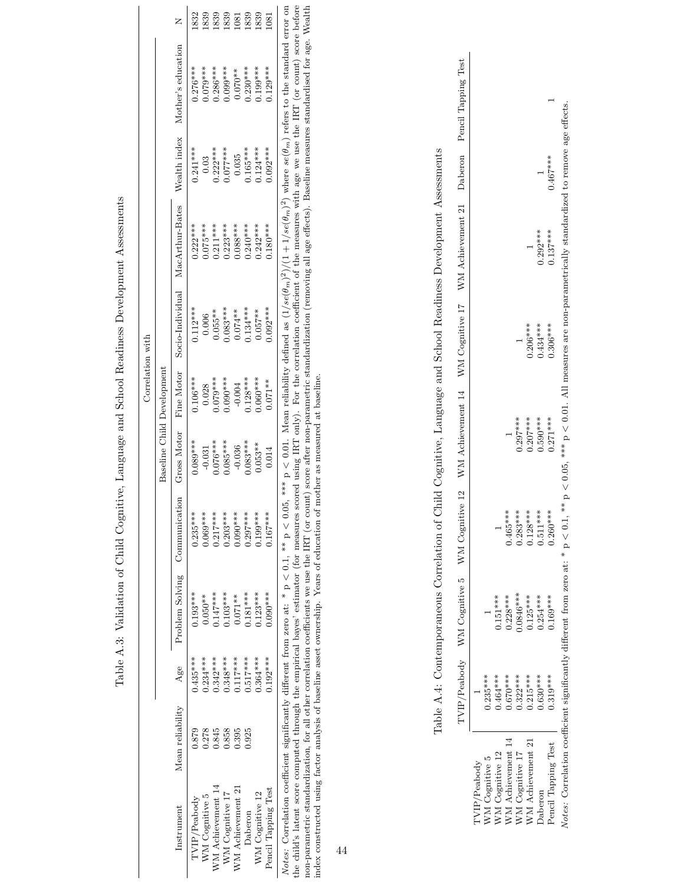|                  |                                   |                               | 1832         | 1839           | 1839              | 1839            | <b>PS0</b>        | 1839       | 1839            | $\overline{081}$    |                                                                                                                                                                                                                                                |
|------------------|-----------------------------------|-------------------------------|--------------|----------------|-------------------|-----------------|-------------------|------------|-----------------|---------------------|------------------------------------------------------------------------------------------------------------------------------------------------------------------------------------------------------------------------------------------------|
|                  |                                   | Mother's education            | $0.276***$   | $0.079***$     | $0.286***$        | $0.099***$      | $0.070**$         | $0.230***$ | $0.199***$      | $0.129***$          |                                                                                                                                                                                                                                                |
|                  |                                   | Wealth index                  | $0.241***$   | 0.03           | $0.222***$        | $0.077***$      | 0.035             | $0.165***$ | $0.124***$      | $0.092***$          |                                                                                                                                                                                                                                                |
|                  |                                   | MacArthur-Bates               | $0.222***$   | $0.075***$     | $0.211***$        | $0.223***$      | $0.088***$        | $0.240***$ | $0.242***$      | $0.180***$          |                                                                                                                                                                                                                                                |
|                  |                                   | Socio-Individual              | $0.112***$   | 0.006          | $0.055**$         | $0.083***$      | $0.074***$        | $134***$   | $0.057***$      | $.092***$           |                                                                                                                                                                                                                                                |
| Correlation with | <b>Baseline Child Development</b> | Gross Motor Fine Motor        | $0.106***$   | 0.028          | $0.079***$        | $0.090***$      | $-0.004$          | $0.128***$ | $0.060***$      | $0.071***$          |                                                                                                                                                                                                                                                |
|                  |                                   |                               | $0.089***$   | $-0.031$       | $0.076***$        | $0.085***$      | $-0.036$          | $0.083***$ | $0.053***$      | 0.014               |                                                                                                                                                                                                                                                |
|                  |                                   |                               | $0.235***$   | $0.069***$     | $0.217***$        | $0.203***$      | $0.090***$        | $0.297***$ | $0.199***$      | $0.167***$          |                                                                                                                                                                                                                                                |
|                  |                                   | Problem Solving Communication | $0.193***$   | $0.050**$      | $0.147***$        | $0.103***$      | $0.071***$        | $0.181***$ | $0.123***$      | $0.090***$          |                                                                                                                                                                                                                                                |
|                  |                                   | Age                           | $0.435***$   | $0.234***$     | $0.342***$        | $0.348***$      | $0.117***$        | $0.517***$ | $0.364***$      | $0.192***$          |                                                                                                                                                                                                                                                |
|                  |                                   | Mean reliability              | 0.879        | 0.278          | 1.845             | 0.858           | 0.395             | 0.925      |                 |                     |                                                                                                                                                                                                                                                |
|                  |                                   | Instrument                    | TVIP/Peabody | WM Cognitive 5 | WM Achievement 14 | WM Cognitive 17 | WM Achievement 21 | Daberon    | WM Cognitive 12 | Pencil Tapping Test | Notes: Correlation coefficient significantly different from zero at: * $p < 0.1$ , ** $p < 0.05$ , *** $p < 0.01$ . Mean reliability defined as $(1/se(\theta_m)^2)/(1+1/se(\theta_m)^2)$ where $se(\theta_m)$ refers to the standard error on |

Table A.3: Validation of Child Cognitive, Language and School Readiness Development Assessments Table A.3: Validation of Child Cognitive, Language and School Readiness Development Assessments <span id="page-44-1"></span><span id="page-44-0"></span>*Notes:* Correlation coefficient significantly different from zero at: \*  $p < 0.1$ , \*\*  $p < 0.05$ , \*\*\*  $p < 0.01$ . Mean reliability defined as  $(1/se(\theta_m)^2)/(1+1/se(\theta_m)^2)$  where  $se(\theta_m)$  referses to the standard error on the child Notes: Correlation coefficient significantly different from zero at: \* p < 0.1, \*\* p < 0.05, \*\*\* p < 0.01. Mean reliability defined as  $(1/s\epsilon(\theta_m)^2)/(1+1/s\epsilon(\theta_m))$  where  $s\epsilon(\theta_m)$  refers to the standard error on  $\epsilon$ , at a sta the child's latent score computed through the empirical bayes' estimator (for measures scored using IRT only). For the correlation coefficient of the measures we use the IRT (or count) score before non-parametric standardization, for all other correlation coefficients we use the IRT (or count) score after non-parametric standardization (removing all age effects). Baseline measures standardised for age. Wealth index constructed using factor analysis of baseline asset ownership. Years of education of mother as measured at baseline.

44

Table A.4: Contemporaneous Correlation of Child Cognitive, Language and School Readiness Development Assessments Table A.4: Contemporaneous Correlation of Child Cognitive, Language and School Readiness Development Assessments

|                              |            |             |            | I'VIP/Peabody WM Cognitive 5 WM Cognitive 12 WM Achievement 14 WM Cognitive 17 WM Achievement 21 Daberon Pencil Tapping Test |            |            |            |  |
|------------------------------|------------|-------------|------------|------------------------------------------------------------------------------------------------------------------------------|------------|------------|------------|--|
| 'VIP/Peabody                 |            |             |            |                                                                                                                              |            |            |            |  |
| VM Cognitive 5               | $0.235***$ |             |            |                                                                                                                              |            |            |            |  |
| $NN$ Cognitive $12\,$        | $0.464***$ | $0.151***$  |            |                                                                                                                              |            |            |            |  |
| ${\it NM}$<br>Achievement 14 | $0.670***$ | $0.228***$  | $0.465***$ |                                                                                                                              |            |            |            |  |
| $NM$ Cognitive $17$          | $0.322***$ | $0.0846***$ | $0.283***$ | $0.297***$                                                                                                                   |            |            |            |  |
| VM Achievement 21            | $0.215***$ | $0.125***$  | $0.128***$ | $0.207***$                                                                                                                   | $0.206***$ |            |            |  |
| <b>Jaberon</b>               | $0.630***$ | $0.254***$  | $0.511***$ | $0.590***$                                                                                                                   | $0.434***$ | $0.292***$ |            |  |
| Pencil Tapping Test          | $0.319***$ | $0.169***$  | $0.260***$ | $0.271***$                                                                                                                   | $0.306***$ | $0.137***$ | $0.467***$ |  |
|                              |            |             |            |                                                                                                                              |            |            |            |  |

Notes: Correlation coefficient significantly different from zero at: \*  $p < 0.1$ , \*\*\*  $p < 0.05$ , \*\*\*  $p < 0.01$ . All measures are non-parametrically standardized to remove age effects. Notes: Correlation coefficient significantly different from zero at: \* p  $<$  0.1, \*\* p  $<$  0.05, \*\*\* p  $<$  0.01. All measures are non-parametrically standardized to remove age effects.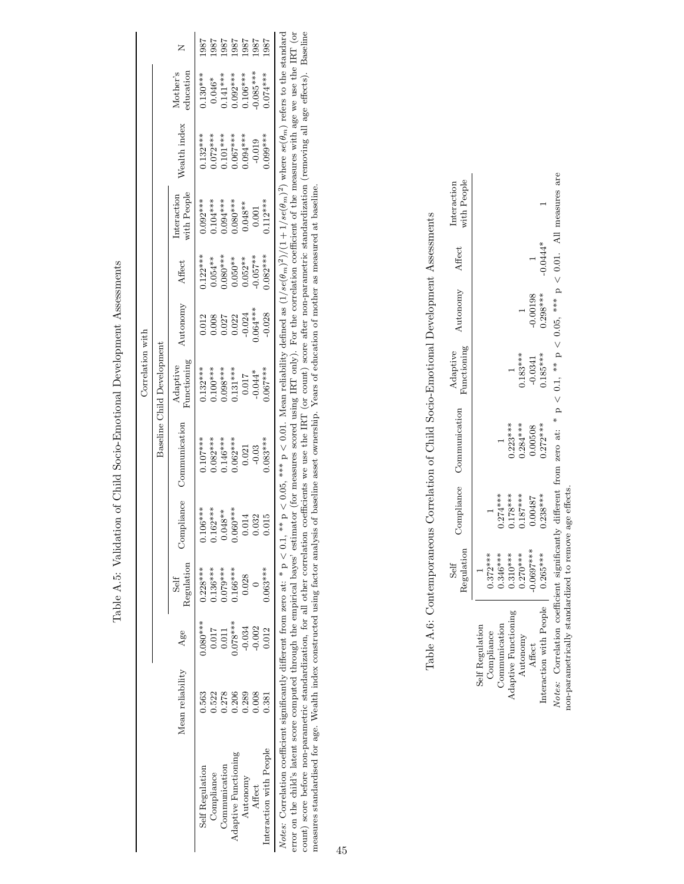<span id="page-45-0"></span>

|                  |                            |                                     | -987            |                                        | 1861<br>186   | 1987                | 1887                                                                                                    | 1987       | 587                    |
|------------------|----------------------------|-------------------------------------|-----------------|----------------------------------------|---------------|---------------------|---------------------------------------------------------------------------------------------------------|------------|------------------------|
|                  |                            | Mother's<br>education               | $0.130***$      |                                        |               |                     | $0.046**$<br>$0.141***$<br>$0.092***$<br>$0.106***$                                                     | $0.085***$ | $0.074***$             |
|                  |                            | Wealth index                        |                 |                                        |               |                     | $0.132***$<br>$0.072***$<br>$0.101***$<br>$0.101***$<br>$0.067***$<br>$0.0104***$<br>$0.019$<br>$0.019$ |            |                        |
|                  |                            | with $\mbox{People}$<br>interaction |                 |                                        |               |                     | $0.092***$<br>$0.104***$<br>$0.094***$<br>$0.080***$<br>$0.048**$<br>$0.048***$                         |            | $0.112***$             |
|                  |                            | Affect                              |                 |                                        |               |                     | ******<br>0.054**<br>0.080****<br>0.050**<br>0.052**                                                    |            | $0.082***$             |
|                  |                            | vutonomy                            |                 |                                        |               |                     | 0.012<br>0.008<br>0.027<br>0.022<br>0.024***                                                            |            | $-0.028$               |
| Correlation with | Baseline Child Development | Adaptive<br>Functioning             |                 | $0.132***$                             | $0.098***$    |                     | $0.131***$<br>$0.017$<br>$-0.044*$<br>$0.067***$                                                        |            |                        |
|                  |                            | Communication                       | $0.107***$      |                                        |               |                     | $0.082***$<br>0.146***<br>0.062***<br>0.021<br>0.021                                                    |            | $0.083***$             |
|                  |                            | Compliance                          | $0.106***$      | $0.162***$<br>$0.048***$<br>$0.060***$ |               |                     | 0.014                                                                                                   | 0.032      |                        |
|                  |                            | Regulation<br>Self                  | $0.228***$      | $0.136***$                             | $0.079***$    | $0.166***$          | 0.028                                                                                                   |            | $0.063***$             |
|                  |                            | Age                                 | $0.080***$      | $0.017$                                | 0.011         | $0.078***$          | $-0.034$                                                                                                | $-0.002$   | 0.012                  |
|                  |                            | Mean reliability                    | 0.563           | 0.522                                  | 0.278         | 0.206               | 0.289                                                                                                   | 0.008      |                        |
|                  |                            |                                     | Self Regulation | Compliance                             | Communication | daptive Functioning | Autonomy                                                                                                | Affect     | nteraction with People |

Table A.5: Validation of Child Socio-Emotional Development Assessments Table A.5: Validation of Child Socio-Emotional Development Assessments <span id="page-45-1"></span>Interaction with People 0.381 0.012 0.063\*\*\* 0.015 0.063\*\*\* 0.067\*\*\* 0.067\*\*\* 0.028 0.082\*\*\* 0.112\*\*\* 0.099\*\*\* 0.074\*\*\* 1987<br>Notes: Correlation coefficient significantly different from zero at: \*  $p < 0.1$ , \*\*  $p < 0.05$ , \* Notes: Correlation coefficient significantly different from zero at: \* p < 0.1, \*\* p < 0.05, \*\*\* p < 0.001. Mean reliability defined as  $(1/\text{se}(\theta_m)^2)(1+1/\text{se}(\theta_m)^2)$  where  $\text{se}(\theta_m)$  refers to the standard model of the s error on the child's latent score computed through the empirical bayes' estimator (for measures scored using IRT only). For the correlation coefficient of the measures with age we use the IRT (or count) score before non-parametric standardization, for all other correlation, for all other correlation coefficients we use the IRT (or count) score after non-parametric standardization (removing all age effects). Baselin measures standardised for age. Wealth index constructed using factor analysis of baseline asset ownership. Years of education of mother as measured at baseline.

Table A.6: Contemporaneous Correlation of Child Socio-Emotional Development Assessments Table A.6: Contemporaneous Correlation of Child Socio-Emotional Development Assessments

|                                    | Regulation<br>Self |            | Compliance Communication | Adaptive<br>Functioning | Autonomy   | Affect     | Interaction<br>with People |
|------------------------------------|--------------------|------------|--------------------------|-------------------------|------------|------------|----------------------------|
| Self Regulation<br>Compliance      | $0.372***$         |            |                          |                         |            |            |                            |
| Communication                      | $0.346***$         | $0.274***$ |                          |                         |            |            |                            |
| <b>Adaptive Functioning</b>        | $0.310***$         | $0.178***$ | $0.223***$               |                         |            |            |                            |
|                                    | $0.270***$         | $0.187***$ | $0.284***$               | $.183***$               |            |            |                            |
| Autonomy<br>Affect                 | $0.0697***$        | 1.00487    | 0.0508                   | $-0.0341$               | 0.00198    |            |                            |
| Interaction with People   0.265*** |                    | $0.238***$ | $0.272***$               | $0.185***$              | $0.298***$ | $-0.0444*$ |                            |

ures are Notes: Correlation coefficient significantly different from zero at: \*  $p < 0.1$ , \*\*  $p < 0.05$ , \*\*\*  $p < 0.01$ . All measures are  $\frac{1}{2}$  $\frac{1}{2}$ UJL. Í  $\overline{a}$ **U.U5,**  $\overline{1}$ Ĺ, U.L,  $\sqrt{2}$ **q** ن<br>5 **NA7**  $\mathbf{H}$ *Notes:* Correlation coefficient significantly different i<br>non-parametrically standardized to remove age effects. non-parametrically standardized to remove age effects.  $\label{p:1} Notes:$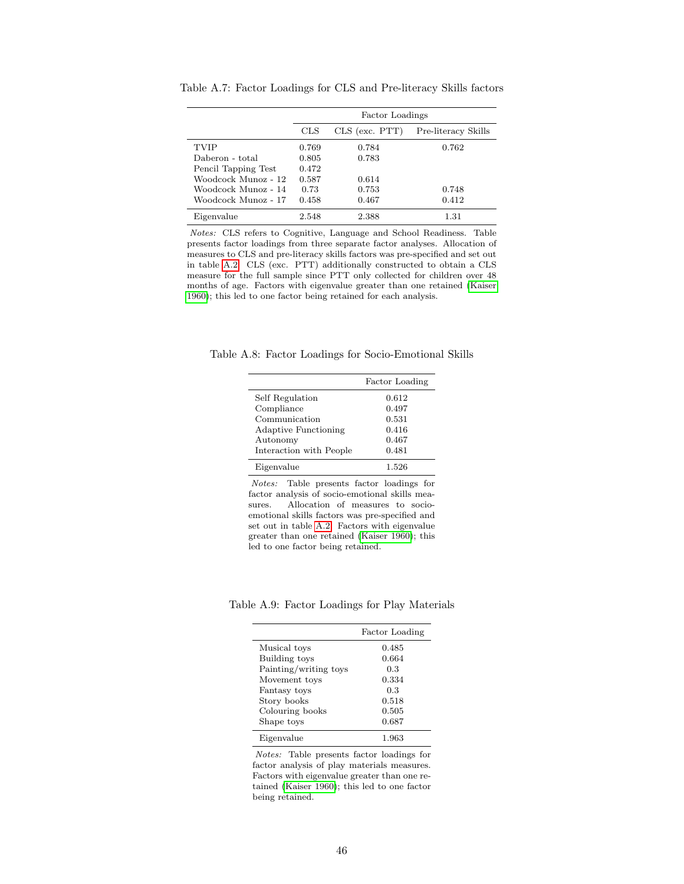|                     |       | Factor Loadings |                     |
|---------------------|-------|-----------------|---------------------|
|                     | CLS   | CLS (exc. PTT)  | Pre-literacy Skills |
| <b>TVIP</b>         | 0.769 | 0.784           | 0.762               |
| Daberon - total     | 0.805 | 0.783           |                     |
| Pencil Tapping Test | 0.472 |                 |                     |
| Woodcock Munoz - 12 | 0.587 | 0.614           |                     |
| Woodcock Munoz - 14 | 0.73  | 0.753           | 0.748               |
| Woodcock Munoz - 17 | 0.458 | 0.467           | 0.412               |
| Eigenvalue          | 2.548 | 2.388           | $1.31\,$            |

<span id="page-46-0"></span>Table A.7: Factor Loadings for CLS and Pre-literacy Skills factors

Notes: CLS refers to Cognitive, Language and School Readiness. Table presents factor loadings from three separate factor analyses. Allocation of measures to CLS and pre-literacy skills factors was pre-specified and set out in table [A.2.](#page-43-0) CLS (exc. PTT) additionally constructed to obtain a CLS measure for the full sample since PTT only collected for children over 48 months of age. Factors with eigenvalue greater than one retained [\(Kaiser](#page-38-9) [1960\)](#page-38-9); this led to one factor being retained for each analysis.

Table A.8: Factor Loadings for Socio-Emotional Skills

<span id="page-46-1"></span>

|                             | Factor Loading |
|-----------------------------|----------------|
| Self Regulation             | 0.612          |
| Compliance                  | 0.497          |
| Communication               | 0.531          |
| <b>Adaptive Functioning</b> | 0.416          |
| Autonomy                    | 0.467          |
| Interaction with People     | 0.481          |
| Eigenvalue                  | 1.526          |

Notes: Table presents factor loadings for factor analysis of socio-emotional skills measures. Allocation of measures to socioemotional skills factors was pre-specified and set out in table [A.2.](#page-43-0) Factors with eigenvalue greater than one retained [\(Kaiser 1960\)](#page-38-9); this led to one factor being retained.

Table A.9: Factor Loadings for Play Materials

<span id="page-46-2"></span>

|                       | Factor Loading |
|-----------------------|----------------|
| Musical toys          | 0.485          |
| Building toys         | 0.664          |
| Painting/writing toys | 0.3            |
| Movement toys         | 0.334          |
| Fantasy toys          | 0.3            |
| Story books           | 0.518          |
| Colouring books       | 0.505          |
| Shape toys            | 0.687          |
| Eigenvalue            | 1.963          |

Notes: Table presents factor loadings for factor analysis of play materials measures. Factors with eigenvalue greater than one retained [\(Kaiser 1960\)](#page-38-9); this led to one factor being retained.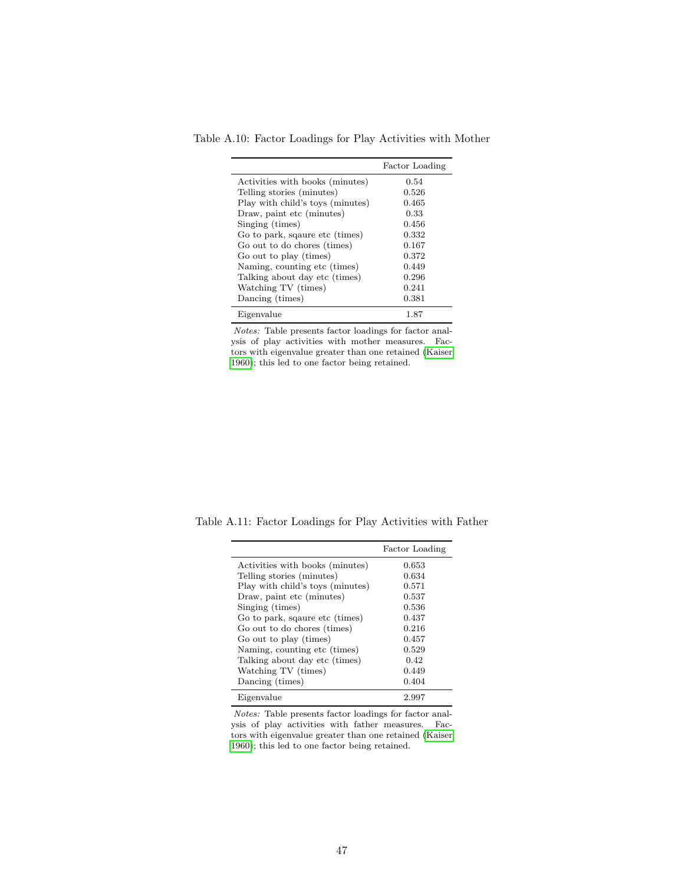Table A.10: Factor Loadings for Play Activities with Mother

<span id="page-47-0"></span>

|                                  | Factor Loading |
|----------------------------------|----------------|
| Activities with books (minutes)  | 0.54           |
| Telling stories (minutes)        | 0.526          |
| Play with child's toys (minutes) | 0.465          |
| Draw, paint etc (minutes)        | 0.33           |
| Singing (times)                  | 0.456          |
| Go to park, sqaure etc (times)   | 0.332          |
| Go out to do chores (times)      | 0.167          |
| Go out to play (times)           | 0.372          |
| Naming, counting etc (times)     | 0.449          |
| Talking about day etc (times)    | 0.296          |
| Watching TV (times)              | 0.241          |
| Dancing (times)                  | 0.381          |
| Eigenvalue                       | 1.87           |

Notes: Table presents factor loadings for factor analysis of play activities with mother measures. Factors with eigenvalue greater than one retained [\(Kaiser](#page-38-9) [1960\)](#page-38-9); this led to one factor being retained.

Table A.11: Factor Loadings for Play Activities with Father

<span id="page-47-1"></span>

|                                  | Factor Loading |
|----------------------------------|----------------|
| Activities with books (minutes)  | 0.653          |
| Telling stories (minutes)        | 0.634          |
| Play with child's toys (minutes) | 0.571          |
| Draw, paint etc (minutes)        | 0.537          |
| Singing (times)                  | 0.536          |
| Go to park, sqaure etc (times)   | 0.437          |
| Go out to do chores (times)      | 0.216          |
| Go out to play (times)           | 0.457          |
| Naming, counting etc (times)     | 0.529          |
| Talking about day etc (times)    | 0.42           |
| Watching TV (times)              | 0.449          |
| Dancing (times)                  | 0.404          |
| Eigenvalue                       | 2.997          |

Notes: Table presents factor loadings for factor analysis of play activities with father measures. Factors with eigenvalue greater than one retained [\(Kaiser](#page-38-9) [1960\)](#page-38-9); this led to one factor being retained.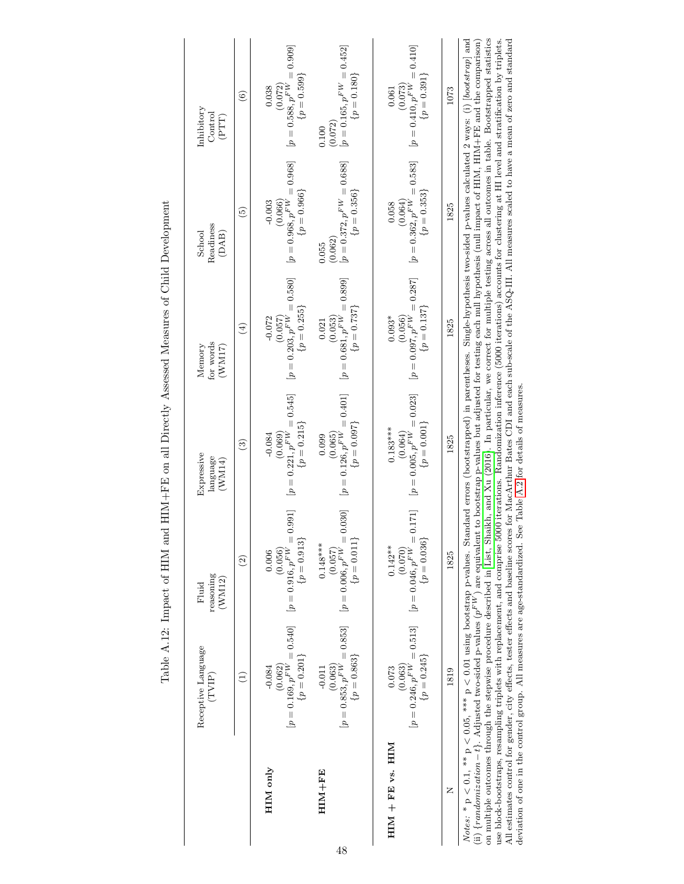<span id="page-48-0"></span>

|                      | Receptive Language<br>(TVIP)                                                                                                                                                                                                                                                                                                                                                                                                                                                                                                                                                                                                                                                                                                                                                                                                                                                                                                                                                                                                                                                                                                                                   | reasoning<br>(WM12)<br>Fluid                                                                              | Expressive<br>language<br>(WMM14)                                         | for words<br>Memory<br>(WM17)                                         | Readiness<br>School<br>(DAB)                                          | Inhibitory<br>Control<br>(PTT)                                       |
|----------------------|----------------------------------------------------------------------------------------------------------------------------------------------------------------------------------------------------------------------------------------------------------------------------------------------------------------------------------------------------------------------------------------------------------------------------------------------------------------------------------------------------------------------------------------------------------------------------------------------------------------------------------------------------------------------------------------------------------------------------------------------------------------------------------------------------------------------------------------------------------------------------------------------------------------------------------------------------------------------------------------------------------------------------------------------------------------------------------------------------------------------------------------------------------------|-----------------------------------------------------------------------------------------------------------|---------------------------------------------------------------------------|-----------------------------------------------------------------------|-----------------------------------------------------------------------|----------------------------------------------------------------------|
|                      | $\left( \begin{matrix} 1 \end{matrix} \right)$                                                                                                                                                                                                                                                                                                                                                                                                                                                                                                                                                                                                                                                                                                                                                                                                                                                                                                                                                                                                                                                                                                                 | $\widehat{c}$                                                                                             | $\widehat{c}$                                                             | $\left( \frac{1}{2} \right)$                                          | $\widehat{5}$                                                         | $\odot$                                                              |
| HIM only             | $[p = 0.169, p^{FW} = 0.540]$<br>$\{p=0.201\}$<br>(0.062)<br>$-0.084$                                                                                                                                                                                                                                                                                                                                                                                                                                                                                                                                                                                                                                                                                                                                                                                                                                                                                                                                                                                                                                                                                          | 0.991<br>$\{p=0.913\}$<br>$[p=0.916,p^{FW}=$<br>(0.056)<br>0.006                                          | $[p = 0.221, p^{FW} = 0.545]$ $\{p = 0.215\}$<br>(0.069)<br>$-0.084$      | $[p = 0.203, p^{FW} = 0.580]$<br>$\{p=0.255\}$<br>(0.057)<br>$-0.072$ | $[p = 0.968, p^{FW} = 0.968]$<br>$\{p=0.966\}$<br>(0.066)<br>$-0.003$ | $[p = 0.588, p^{FW} = 0.909]$<br>$\{p=0.599\}$<br>(0.072)<br>0.038   |
| HIM+FE               | $[p = 0.853, p^{FW} = 0.853]$<br>$\{p = 0.863\}$<br>$-0.011$                                                                                                                                                                                                                                                                                                                                                                                                                                                                                                                                                                                                                                                                                                                                                                                                                                                                                                                                                                                                                                                                                                   | 0.030<br>$\{p=0.011\}$<br>$0.148***$<br>$\begin{array}{c} (0.057) \\ [2mm] [p=0.006, p^{FW}] \end{array}$ | $[0.065]$<br>$[p = 0.126, p^{FW} = 0.401]$<br>$\{p = 0.097\}$<br>0.099    | $[p = 0.681, p^{FW} = 0.899]$<br>$\{p = 0.737\}$<br>0.021             | $[p = 0.372, p^{FW} = 0.688]$<br>$\{p = 0.356\}$<br>(0.062)<br>0.055  | $[p = 0.165, p^{FW} = 0.452]$<br>$\{p = 0.180\}$<br>(0.072)<br>0.100 |
| $HIM + FE$ vs. $HIM$ | $[p = 0.246, p^{FW} = 0.513]$<br>$\{p = 0.245\}$<br>(0.063)<br>0.073                                                                                                                                                                                                                                                                                                                                                                                                                                                                                                                                                                                                                                                                                                                                                                                                                                                                                                                                                                                                                                                                                           | 0.171]<br>$\{p = 0.036\}$<br>$[p=0.046,p^{FW}=$<br>$0.142***$<br>(0.070)                                  | $[p=0.005, p^{F\dot{W}}=0.023]$<br>$\{p=0.001\}$<br>$0.183***$<br>(0.064) | $[p = 0.097, p^{FW} = 0.287]$<br>$\{p=0.137\}$<br>(0.056)<br>$0.093*$ | $[p = 0.362, p^{FW} = 0.583]$ $\{p = 0.353\}$<br>(0.064)<br>0.058     | $[p = 0.410, p^{FW} = 0.410]$<br>$\{p=0.391\}$<br>(0.073)<br>0.061   |
| Z                    | 1819                                                                                                                                                                                                                                                                                                                                                                                                                                                                                                                                                                                                                                                                                                                                                                                                                                                                                                                                                                                                                                                                                                                                                           | 1825                                                                                                      | 1825                                                                      | 1825                                                                  | 1825                                                                  | 1073                                                                 |
|                      | on multiple outcomes through the stepwise procedure described in List, Shaikh, and Xu (2016). In particular, we correct for multiple testing across all outcomes in table. Bootstrapped statistics<br>$Notes: * p < 0.1, ** p < 0.05, **p < 0.01$ using bootstrap p-values. Standard errors (bootstrapped) in parentheses. Single-hypothesis two-sided p-values calculated 2 ways: (i) [bootstrap] and<br>All estimates control for gender, city effects, tester effects and baseline scores for MacArthur Bates CDI and each sub-scale of the ASQ-III. All measures scaled to have a mean of zero and standard<br>(ii) { <i>randomization</i> – t}. Adjusted two-sided p-values ( $p^{FW}$ ) are equivalent to bootstrap p-values but adjusted for testing each null hypothesis (null impact of HIM, HIM+FE and the comparison)<br>use block-bootstraps, resampling triplets with replacement, and comprise 5000 iterations. Randomization inference (5000 iterations) accounts for clustering at HI level and stratification by triplets.<br>deviation of one in the control group. All measures are age-standardized. See Table A.2 for details of measures |                                                                                                           |                                                                           |                                                                       |                                                                       |                                                                      |

Table A.12: Impact of HIM and HIM+FE on all Directly Assessed Measures of Child Development Table A.12: Impact of HIM and HIM+FE on all Directly Assessed Measures of Child Development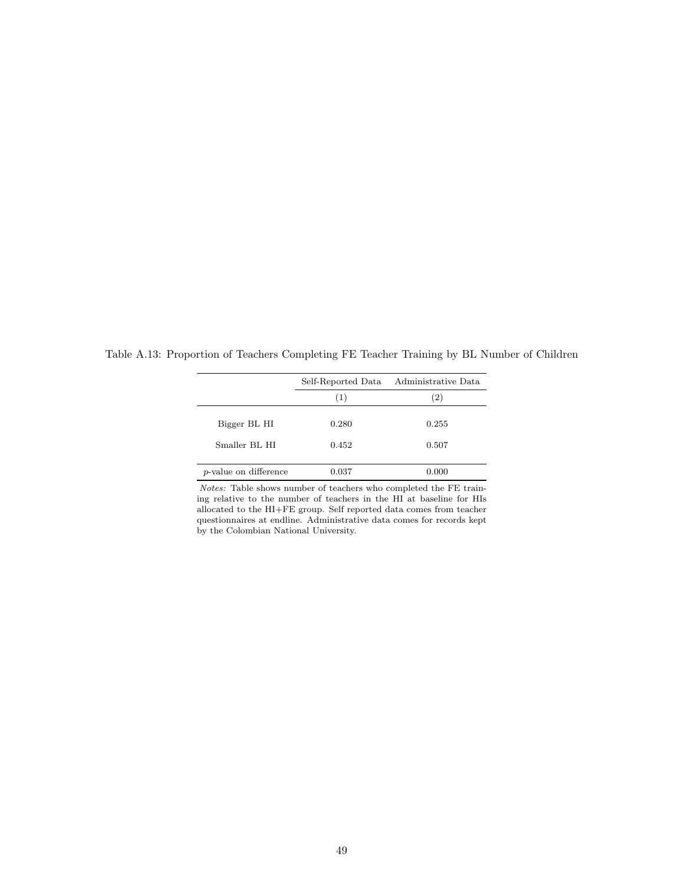<span id="page-49-0"></span>

|                               |                | Self-Reported Data Administrative Data |
|-------------------------------|----------------|----------------------------------------|
|                               | (1)            | $\left( 2\right)$                      |
| Bigger BL HI<br>Smaller BL HI | 0.280<br>0.452 | 0.255<br>0.507                         |
| <i>p</i> -value on difference | 0.037          | 0.000                                  |

Table A.13: Proportion of Teachers Completing FE Teacher Training by BL Number of Children

Notes: Table shows number of teachers who completed the FE training relative to the number of teachers in the HI at baseline for HIs allocated to the HI+FE group. Self reported data comes from teacher questionnaires at endline. Administrative data comes for records kept by the Colombian National University.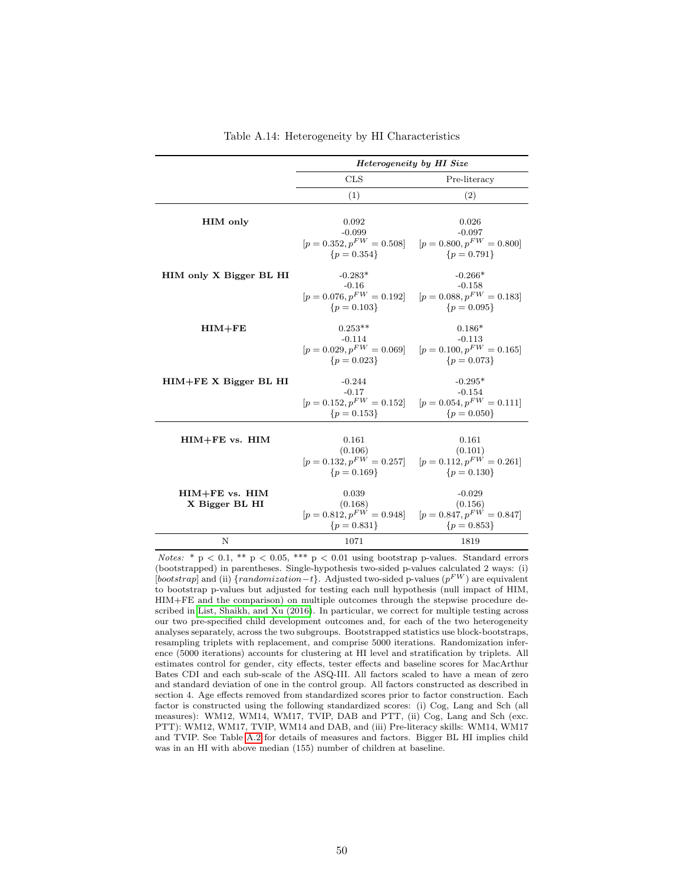<span id="page-50-0"></span>

|                           |                                           | Heterogeneity by HI Size                                    |
|---------------------------|-------------------------------------------|-------------------------------------------------------------|
|                           | <b>CLS</b>                                | Pre-literacy                                                |
|                           | (1)                                       | (2)                                                         |
|                           |                                           |                                                             |
| HIM only                  | 0.092                                     | 0.026                                                       |
|                           | $-0.099$<br>$[p = 0.352, p^{FW} = 0.508]$ | $-0.097$<br>$[p = 0.800, p^{FW} = 0.800]$                   |
|                           | ${p = 0.354}$                             | ${p = 0.791}$                                               |
|                           |                                           |                                                             |
| HIM only X Bigger BL HI   | $-0.283*$<br>$-0.16$                      | $-0.266*$<br>$-0.158$                                       |
|                           | $[p = 0.076, p^{FW} = 0.192]$             | $[p = 0.088, p^{FW} = 0.183]$                               |
|                           | ${p = 0.103}$                             | ${p = 0.095}$                                               |
| $HIM + FE$                | $0.253**$                                 | $0.186*$                                                    |
|                           | $-0.114$                                  | $-0.113$                                                    |
|                           | $[p = 0.029, p^{FW} = 0.069]$             | $[p = 0.100, p^{FW} = 0.165]$                               |
|                           | $\{p=0.023\}$                             | ${p = 0.073}$                                               |
| $HIM + FE X Bigger BL HI$ | $-0.244$                                  | $-0.295*$                                                   |
|                           | $-0.17$                                   | $-0.154$                                                    |
|                           | $[p = 0.152, p^{FW} = 0.152]$             | $[p = 0.054, p^{FW} = 0.111]$                               |
|                           | ${p = 0.153}$                             | ${p = 0.050}$                                               |
|                           |                                           |                                                             |
| $HIM + FE$ vs. $HIM$      | 0.161<br>(0.106)                          | 0.161<br>(0.101)                                            |
|                           |                                           | $[p = 0.132, p^{FW} = 0.257]$ $[p = 0.112, p^{FW} = 0.261]$ |
|                           | ${p = 0.169}$                             | ${p = 0.130}$                                               |
| $HIM + FE$ vs. $HIM$      | 0.039                                     | $-0.029$                                                    |
| X Bigger BL HI            | (0.168)                                   | (0.156)                                                     |
|                           | $[p = 0.812, p^{FW} = 0.948]$             | $[p = 0.847, p^{FW} = 0.847]$                               |
|                           | ${p = 0.831}$                             | ${p = 0.853}$                                               |
| N                         | 1071                                      | 1819                                                        |

Table A.14: Heterogeneity by HI Characteristics

Notes: \*  $p < 0.1$ , \*\*  $p < 0.05$ , \*\*\*  $p < 0.01$  using bootstrap p-values. Standard errors (bootstrapped) in parentheses. Single-hypothesis two-sided p-values calculated 2 ways: (i) [bootstrap] and (ii) {randomization -t}. Adjusted two-sided p-values ( $p^{FW}$ ) are equivalent to bootstrap p-values but adjusted for testing each null hypothesis (null impact of HIM, HIM+FE and the comparison) on multiple outcomes through the stepwise procedure described in [List, Shaikh, and Xu \(2016\)](#page-38-7). In particular, we correct for multiple testing across our two pre-specified child development outcomes and, for each of the two heterogeneity analyses separately, across the two subgroups. Bootstrapped statistics use block-bootstraps, resampling triplets with replacement, and comprise 5000 iterations. Randomization inference (5000 iterations) accounts for clustering at HI level and stratification by triplets. All estimates control for gender, city effects, tester effects and baseline scores for MacArthur Bates CDI and each sub-scale of the ASQ-III. All factors scaled to have a mean of zero and standard deviation of one in the control group. All factors constructed as described in section 4. Age effects removed from standardized scores prior to factor construction. Each factor is constructed using the following standardized scores: (i) Cog, Lang and Sch (all measures): WM12, WM14, WM17, TVIP, DAB and PTT, (ii) Cog, Lang and Sch (exc. PTT): WM12, WM17, TVIP, WM14 and DAB, and (iii) Pre-literacy skills: WM14, WM17 and TVIP. See Table [A.2](#page-43-0) for details of measures and factors. Bigger BL HI implies child was in an HI with above median (155) number of children at baseline.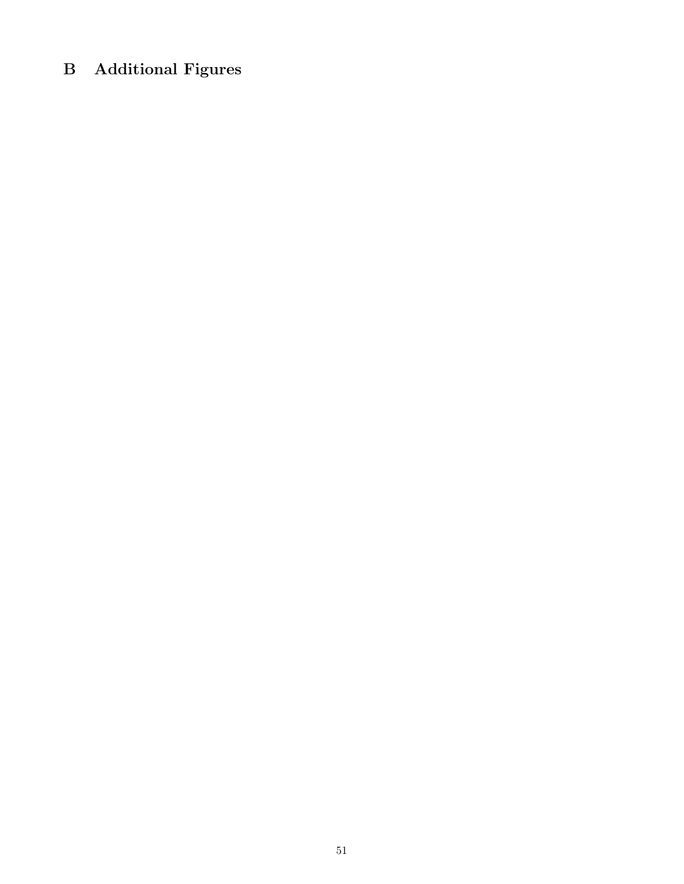# B Additional Figures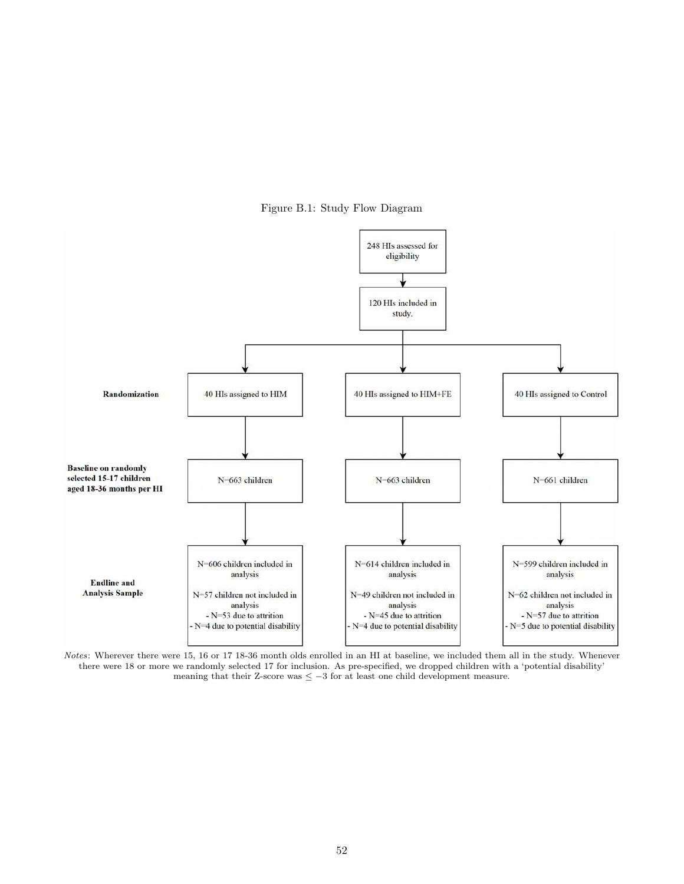Figure B.1: Study Flow Diagram

<span id="page-52-0"></span>

Notes: Wherever there were 15, 16 or 17 18-36 month olds enrolled in an HI at baseline, we included them all in the study. Whenever there were 18 or more we randomly selected 17 for inclusion. As pre-specified, we dropped children with a 'potential disability' meaning that their Z-score was  $\leq -3$  for at least one child development measure.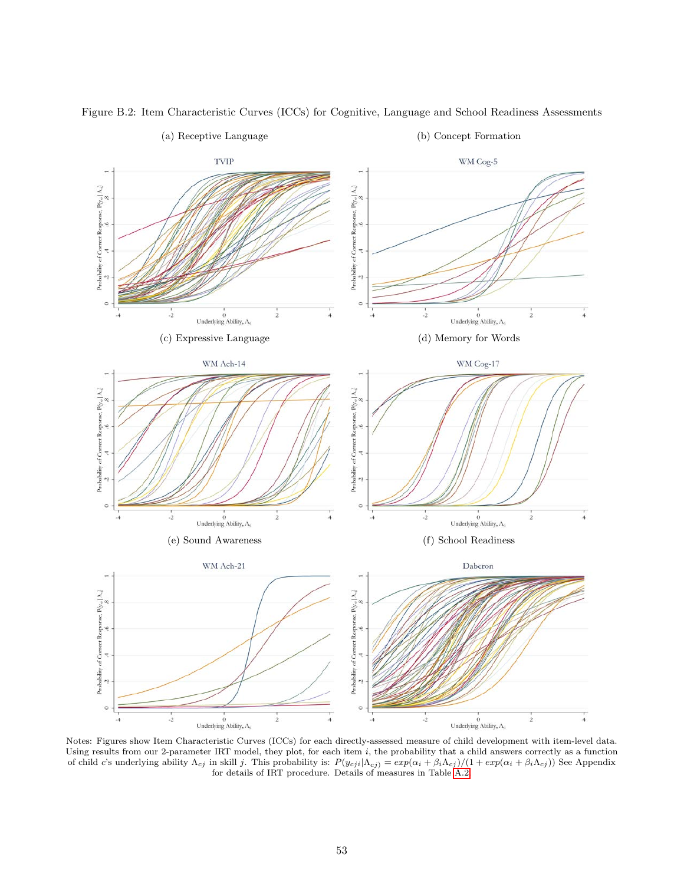<span id="page-53-0"></span>

Figure B.2: Item Characteristic Curves (ICCs) for Cognitive, Language and School Readiness Assessments

Notes: Figures show Item Characteristic Curves (ICCs) for each directly-assessed measure of child development with item-level data. Using results from our 2-parameter IRT model, they plot, for each item i, the probability that a child answers correctly as a function of child c's underlying ability  $\Lambda_{cj}$  in skill j. This probability is:  $P(y_{cji}|\Lambda_{cj}) = exp(\alpha_i + \beta_i \Lambda_{cj})/(1 + exp(\alpha_i + \beta_i \Lambda_{cj}))$  See Appendix for details of IRT procedure. Details of measures in Table [A.2.](#page-43-0)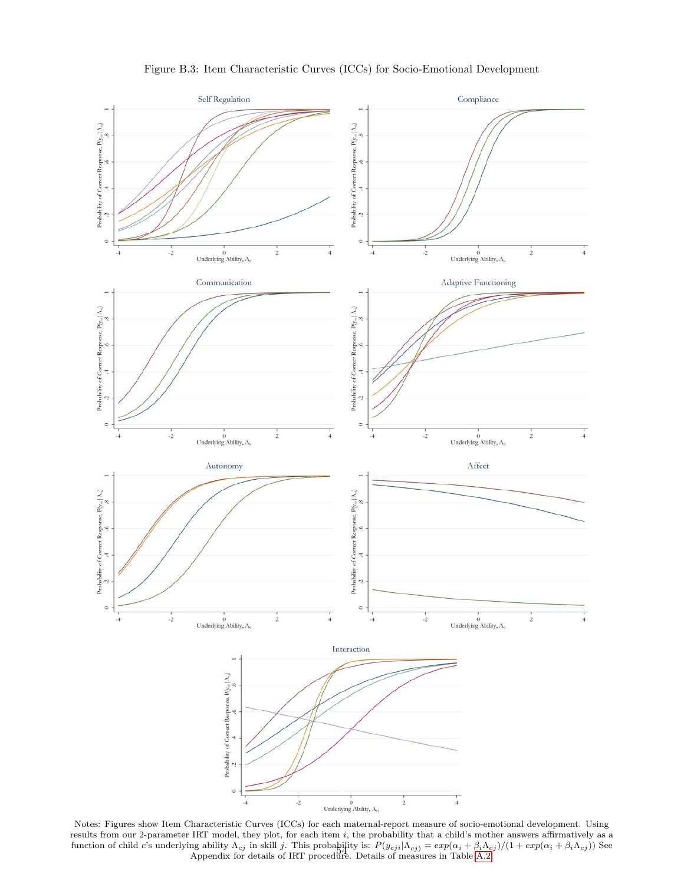<span id="page-54-0"></span>

Figure B.3: Item Characteristic Curves (ICCs) for Socio-Emotional Development

Notes: Figures show Item Characteristic Curves (ICCs) for each maternal-report measure of socio-emotional development. Using results from our 2-parameter IRT model, they plot, for each item i, the probability that a child's mother answers affirmatively as a function of child c's underlying ability  $\Lambda_{cj}$  in skill j. This probability is:  $P(y_{cji}|\Lambda_{cj}) = exp(\alpha_i + \beta_i\Lambda_{cj})/(1 + exp(\alpha_i + \beta_i\Lambda_{cj}))$  See Appendix for details of IRT procedure. Details of measures in Table [A.2.](#page-43-0)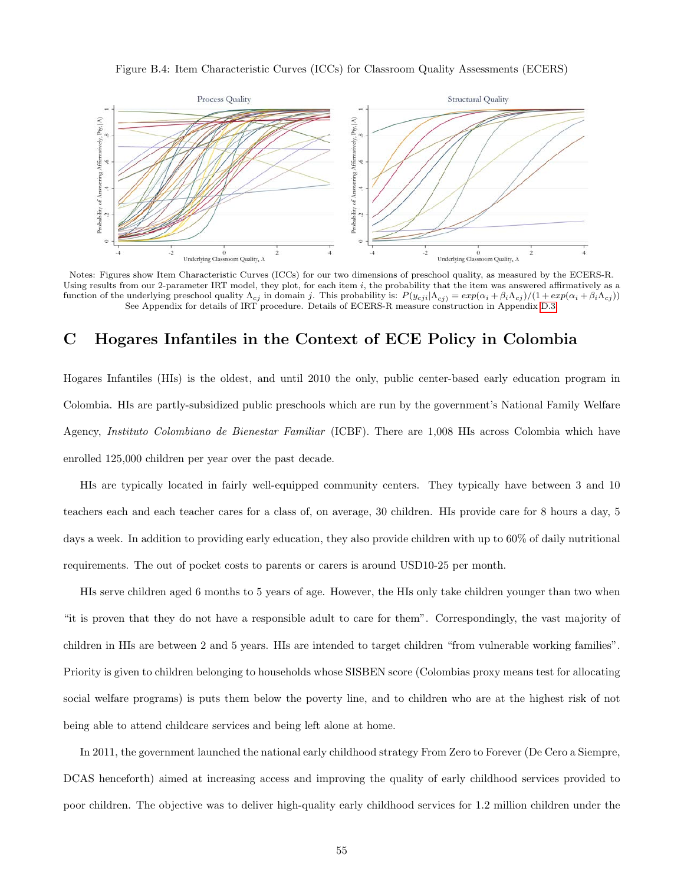Figure B.4: Item Characteristic Curves (ICCs) for Classroom Quality Assessments (ECERS)

<span id="page-55-0"></span>

Notes: Figures show Item Characteristic Curves (ICCs) for our two dimensions of preschool quality, as measured by the ECERS-R. Using results from our 2-parameter IRT model, they plot, for each item  $i$ , the probability that the item was answered affirmatively as a function of the underlying preschool quality  $\Lambda_{cj}$  in domain j. This probability is:  $P(y_{cj}| \Lambda_{cj}) = exp(\alpha_i + \beta_i \Lambda_{cj})/(1 + exp(\alpha_i + \beta_i \Lambda_{cj}))$ See Appendix for details of IRT procedure. Details of ECERS-R measure construction in Appendix [D.3.](#page-57-1)

# C Hogares Infantiles in the Context of ECE Policy in Colombia

Hogares Infantiles (HIs) is the oldest, and until 2010 the only, public center-based early education program in Colombia. HIs are partly-subsidized public preschools which are run by the government's National Family Welfare Agency, Instituto Colombiano de Bienestar Familiar (ICBF). There are 1,008 HIs across Colombia which have enrolled 125,000 children per year over the past decade.

HIs are typically located in fairly well-equipped community centers. They typically have between 3 and 10 teachers each and each teacher cares for a class of, on average, 30 children. HIs provide care for 8 hours a day, 5 days a week. In addition to providing early education, they also provide children with up to 60% of daily nutritional requirements. The out of pocket costs to parents or carers is around USD10-25 per month.

HIs serve children aged 6 months to 5 years of age. However, the HIs only take children younger than two when "it is proven that they do not have a responsible adult to care for them". Correspondingly, the vast majority of children in HIs are between 2 and 5 years. HIs are intended to target children "from vulnerable working families". Priority is given to children belonging to households whose SISBEN score (Colombias proxy means test for allocating social welfare programs) is puts them below the poverty line, and to children who are at the highest risk of not being able to attend childcare services and being left alone at home.

In 2011, the government launched the national early childhood strategy From Zero to Forever (De Cero a Siempre, DCAS henceforth) aimed at increasing access and improving the quality of early childhood services provided to poor children. The objective was to deliver high-quality early childhood services for 1.2 million children under the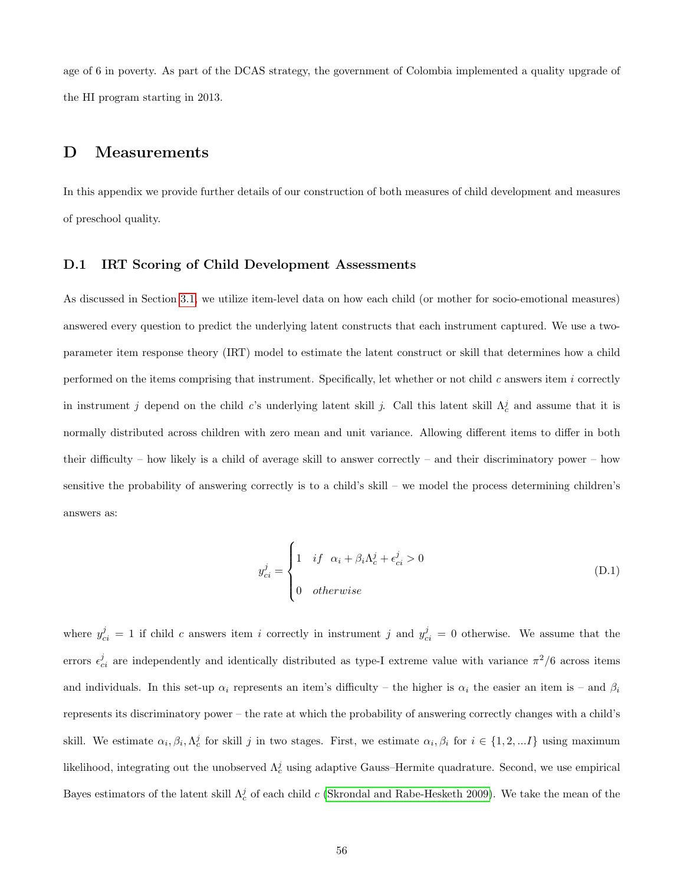age of 6 in poverty. As part of the DCAS strategy, the government of Colombia implemented a quality upgrade of the HI program starting in 2013.

## D Measurements

In this appendix we provide further details of our construction of both measures of child development and measures of preschool quality.

#### <span id="page-56-0"></span>D.1 IRT Scoring of Child Development Assessments

As discussed in Section [3.1,](#page-14-0) we utilize item-level data on how each child (or mother for socio-emotional measures) answered every question to predict the underlying latent constructs that each instrument captured. We use a twoparameter item response theory (IRT) model to estimate the latent construct or skill that determines how a child performed on the items comprising that instrument. Specifically, let whether or not child  $c$  answers item  $i$  correctly in instrument j depend on the child c's underlying latent skill j. Call this latent skill  $\Lambda_c^j$  and assume that it is normally distributed across children with zero mean and unit variance. Allowing different items to differ in both their difficulty – how likely is a child of average skill to answer correctly – and their discriminatory power – how sensitive the probability of answering correctly is to a child's skill – we model the process determining children's answers as:

<span id="page-56-1"></span>
$$
y_{ci}^{j} = \begin{cases} 1 & if \alpha_{i} + \beta_{i}\Lambda_{c}^{j} + \epsilon_{ci}^{j} > 0 \\ 0 & otherwise \end{cases}
$$
 (D.1)

where  $y_{ci}^j = 1$  if child c answers item i correctly in instrument j and  $y_{ci}^j = 0$  otherwise. We assume that the errors  $\epsilon_{ci}^{j}$  are independently and identically distributed as type-I extreme value with variance  $\pi^{2}/6$  across items and individuals. In this set-up  $\alpha_i$  represents an item's difficulty – the higher is  $\alpha_i$  the easier an item is – and  $\beta_i$ represents its discriminatory power – the rate at which the probability of answering correctly changes with a child's skill. We estimate  $\alpha_i, \beta_i, \Lambda_c^j$  for skill j in two stages. First, we estimate  $\alpha_i, \beta_i$  for  $i \in \{1, 2, ...I\}$  using maximum likelihood, integrating out the unobserved  $\Lambda_c^j$  using adaptive Gauss–Hermite quadrature. Second, we use empirical Bayes estimators of the latent skill  $\Lambda_c^j$  of each child c [\(Skrondal and Rabe-Hesketh 2009\)](#page-39-11). We take the mean of the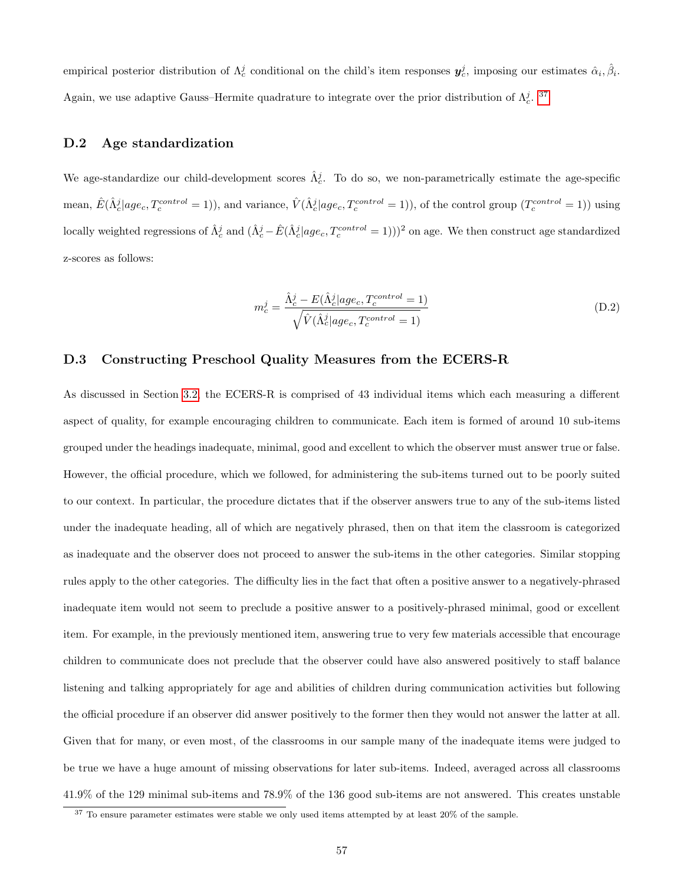empirical posterior distribution of  $\Lambda_c^j$  conditional on the child's item responses  $y_c^j$ , imposing our estimates  $\hat{\alpha}_i, \hat{\beta}_i$ . Again, we use adaptive Gauss–Hermite quadrature to integrate over the prior distribution of  $\Lambda_c^j$ . <sup>[37](#page--1-0)</sup>

## <span id="page-57-0"></span>D.2 Age standardization

We age-standardize our child-development scores  $\hat{\Lambda}_{c}^{j}$ . To do so, we non-parametrically estimate the age-specific mean,  $\hat{E}(\hat{\Lambda}_c^j|age_c, T_c^{control}=1)$ , and variance,  $\hat{V}(\hat{\Lambda}_c^j|age_c, T_c^{control}=1)$ , of the control group  $(T_c^{control}=1)$  using locally weighted regressions of  $\hat{\Lambda}_c^j$  and  $(\hat{\Lambda}_c^j - \hat{E}(\hat{\Lambda}_c^j | age_c, T_c^{control} = 1)))^2$  on age. We then construct age standardized z-scores as follows:

$$
m_c^j = \frac{\hat{\Lambda}_c^j - E(\hat{\Lambda}_c^j | age_c, T_c^{control} = 1)}{\sqrt{\hat{V}(\hat{\Lambda}_c^j | age_c, T_c^{control} = 1)}}
$$
(D.2)

## <span id="page-57-1"></span>D.3 Constructing Preschool Quality Measures from the ECERS-R

As discussed in Section [3.2,](#page-18-0) the ECERS-R is comprised of 43 individual items which each measuring a different aspect of quality, for example encouraging children to communicate. Each item is formed of around 10 sub-items grouped under the headings inadequate, minimal, good and excellent to which the observer must answer true or false. However, the official procedure, which we followed, for administering the sub-items turned out to be poorly suited to our context. In particular, the procedure dictates that if the observer answers true to any of the sub-items listed under the inadequate heading, all of which are negatively phrased, then on that item the classroom is categorized as inadequate and the observer does not proceed to answer the sub-items in the other categories. Similar stopping rules apply to the other categories. The difficulty lies in the fact that often a positive answer to a negatively-phrased inadequate item would not seem to preclude a positive answer to a positively-phrased minimal, good or excellent item. For example, in the previously mentioned item, answering true to very few materials accessible that encourage children to communicate does not preclude that the observer could have also answered positively to staff balance listening and talking appropriately for age and abilities of children during communication activities but following the official procedure if an observer did answer positively to the former then they would not answer the latter at all. Given that for many, or even most, of the classrooms in our sample many of the inadequate items were judged to be true we have a huge amount of missing observations for later sub-items. Indeed, averaged across all classrooms 41.9% of the 129 minimal sub-items and 78.9% of the 136 good sub-items are not answered. This creates unstable

<sup>&</sup>lt;sup>37</sup> To ensure parameter estimates were stable we only used items attempted by at least 20% of the sample.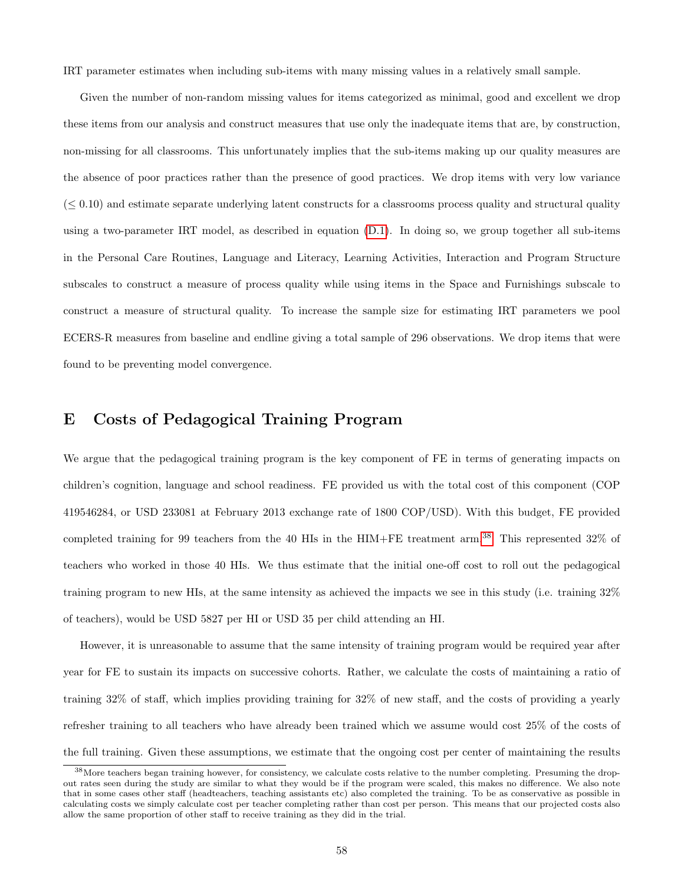IRT parameter estimates when including sub-items with many missing values in a relatively small sample.

Given the number of non-random missing values for items categorized as minimal, good and excellent we drop these items from our analysis and construct measures that use only the inadequate items that are, by construction, non-missing for all classrooms. This unfortunately implies that the sub-items making up our quality measures are the absence of poor practices rather than the presence of good practices. We drop items with very low variance  $(< 0.10$ ) and estimate separate underlying latent constructs for a classrooms process quality and structural quality using a two-parameter IRT model, as described in equation [\(D.1\)](#page-56-1). In doing so, we group together all sub-items in the Personal Care Routines, Language and Literacy, Learning Activities, Interaction and Program Structure subscales to construct a measure of process quality while using items in the Space and Furnishings subscale to construct a measure of structural quality. To increase the sample size for estimating IRT parameters we pool ECERS-R measures from baseline and endline giving a total sample of 296 observations. We drop items that were found to be preventing model convergence.

## <span id="page-58-0"></span>E Costs of Pedagogical Training Program

We argue that the pedagogical training program is the key component of FE in terms of generating impacts on children's cognition, language and school readiness. FE provided us with the total cost of this component (COP 419546284, or USD 233081 at February 2013 exchange rate of 1800 COP/USD). With this budget, FE provided completed training for 99 teachers from the 40 HIs in the HIM+FE treatment arm.[38](#page--1-0) This represented 32% of teachers who worked in those 40 HIs. We thus estimate that the initial one-off cost to roll out the pedagogical training program to new HIs, at the same intensity as achieved the impacts we see in this study (i.e. training 32% of teachers), would be USD 5827 per HI or USD 35 per child attending an HI.

However, it is unreasonable to assume that the same intensity of training program would be required year after year for FE to sustain its impacts on successive cohorts. Rather, we calculate the costs of maintaining a ratio of training 32% of staff, which implies providing training for 32% of new staff, and the costs of providing a yearly refresher training to all teachers who have already been trained which we assume would cost 25% of the costs of the full training. Given these assumptions, we estimate that the ongoing cost per center of maintaining the results

<sup>&</sup>lt;sup>38</sup> More teachers began training however, for consistency, we calculate costs relative to the number completing. Presuming the dropout rates seen during the study are similar to what they would be if the program were scaled, this makes no difference. We also note that in some cases other staff (headteachers, teaching assistants etc) also completed the training. To be as conservative as possible in calculating costs we simply calculate cost per teacher completing rather than cost per person. This means that our projected costs also allow the same proportion of other staff to receive training as they did in the trial.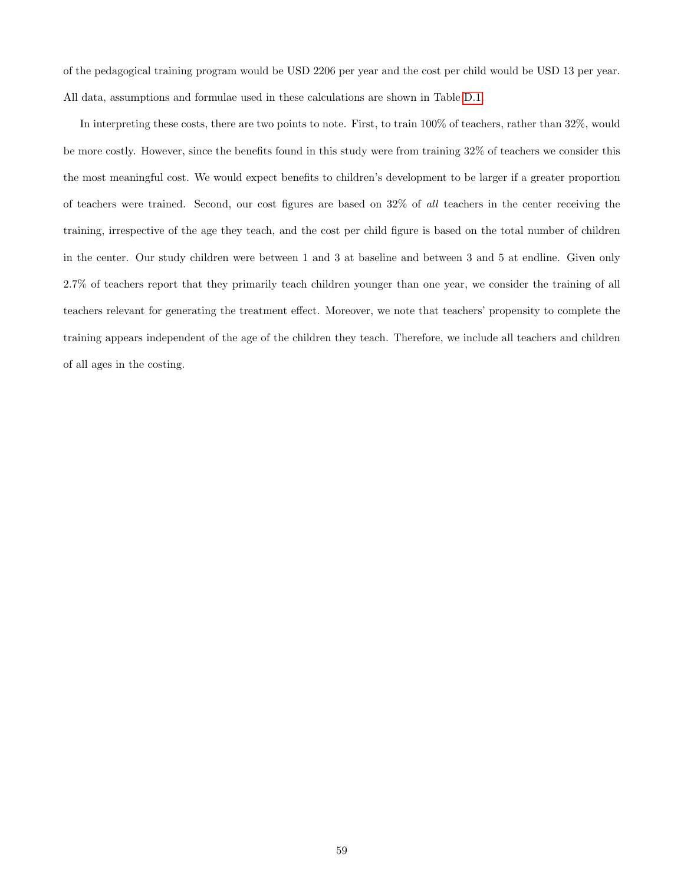of the pedagogical training program would be USD 2206 per year and the cost per child would be USD 13 per year. All data, assumptions and formulae used in these calculations are shown in Table [D.1.](#page-60-0)

In interpreting these costs, there are two points to note. First, to train 100% of teachers, rather than 32%, would be more costly. However, since the benefits found in this study were from training 32% of teachers we consider this the most meaningful cost. We would expect benefits to children's development to be larger if a greater proportion of teachers were trained. Second, our cost figures are based on 32% of all teachers in the center receiving the training, irrespective of the age they teach, and the cost per child figure is based on the total number of children in the center. Our study children were between 1 and 3 at baseline and between 3 and 5 at endline. Given only 2.7% of teachers report that they primarily teach children younger than one year, we consider the training of all teachers relevant for generating the treatment effect. Moreover, we note that teachers' propensity to complete the training appears independent of the age of the children they teach. Therefore, we include all teachers and children of all ages in the costing.